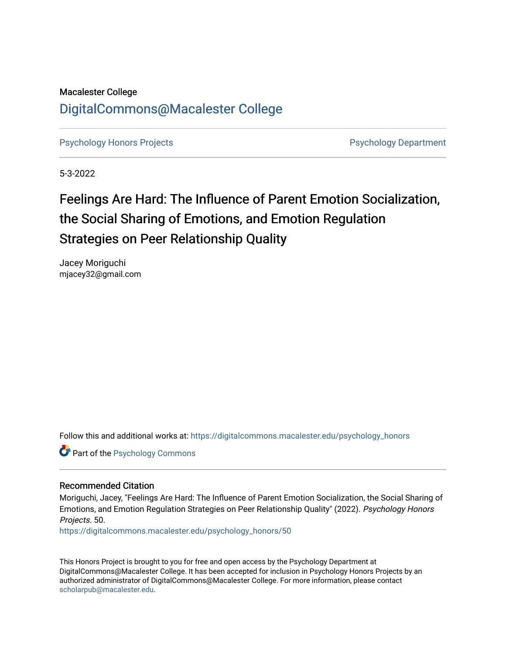## Macalester College [DigitalCommons@Macalester College](https://digitalcommons.macalester.edu/)

[Psychology Honors Projects](https://digitalcommons.macalester.edu/psychology_honors) **Profession Controller Psychology Department** 

5-3-2022

## Feelings Are Hard: The Influence of Parent Emotion Socialization, the Social Sharing of Emotions, and Emotion Regulation Strategies on Peer Relationship Quality

Jacey Moriguchi mjacey32@gmail.com

Follow this and additional works at: [https://digitalcommons.macalester.edu/psychology\\_honors](https://digitalcommons.macalester.edu/psychology_honors?utm_source=digitalcommons.macalester.edu%2Fpsychology_honors%2F50&utm_medium=PDF&utm_campaign=PDFCoverPages)

Part of the [Psychology Commons](https://network.bepress.com/hgg/discipline/404?utm_source=digitalcommons.macalester.edu%2Fpsychology_honors%2F50&utm_medium=PDF&utm_campaign=PDFCoverPages) 

## Recommended Citation

Moriguchi, Jacey, "Feelings Are Hard: The Influence of Parent Emotion Socialization, the Social Sharing of Emotions, and Emotion Regulation Strategies on Peer Relationship Quality" (2022). Psychology Honors Projects. 50.

[https://digitalcommons.macalester.edu/psychology\\_honors/50](https://digitalcommons.macalester.edu/psychology_honors/50?utm_source=digitalcommons.macalester.edu%2Fpsychology_honors%2F50&utm_medium=PDF&utm_campaign=PDFCoverPages) 

This Honors Project is brought to you for free and open access by the Psychology Department at DigitalCommons@Macalester College. It has been accepted for inclusion in Psychology Honors Projects by an authorized administrator of DigitalCommons@Macalester College. For more information, please contact [scholarpub@macalester.edu](mailto:scholarpub@macalester.edu).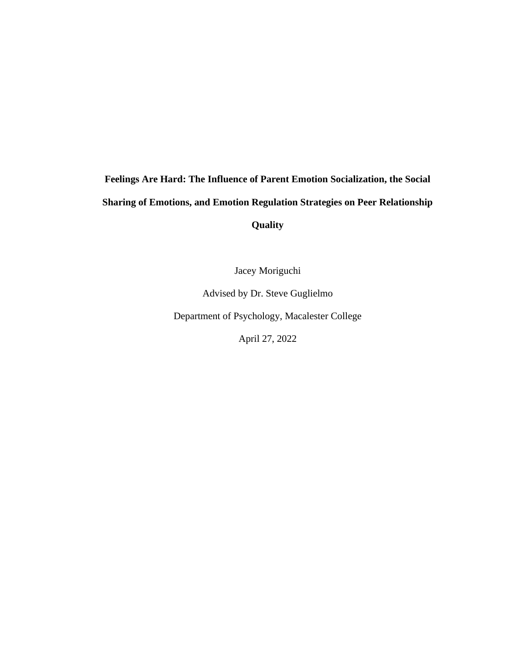# **Feelings Are Hard: The Influence of Parent Emotion Socialization, the Social Sharing of Emotions, and Emotion Regulation Strategies on Peer Relationship**

**Quality** 

Jacey Moriguchi

Advised by Dr. Steve Guglielmo

Department of Psychology, Macalester College

April 27, 2022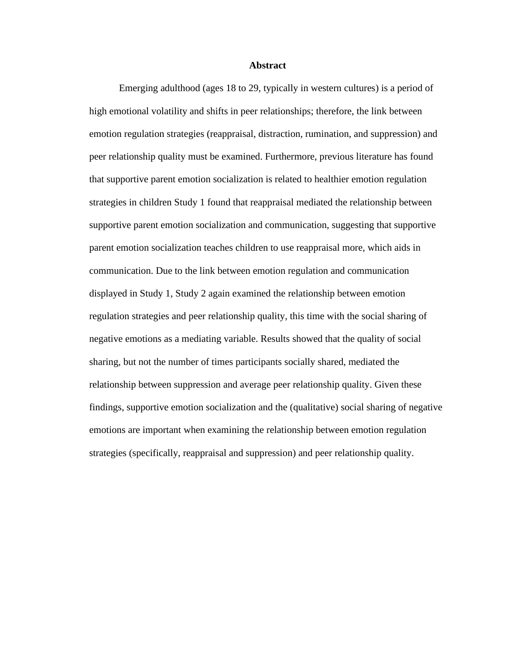## **Abstract**

<span id="page-2-0"></span>Emerging adulthood (ages 18 to 29, typically in western cultures) is a period of high emotional volatility and shifts in peer relationships; therefore, the link between emotion regulation strategies (reappraisal, distraction, rumination, and suppression) and peer relationship quality must be examined. Furthermore, previous literature has found that supportive parent emotion socialization is related to healthier emotion regulation strategies in children Study 1 found that reappraisal mediated the relationship between supportive parent emotion socialization and communication, suggesting that supportive parent emotion socialization teaches children to use reappraisal more, which aids in communication. Due to the link between emotion regulation and communication displayed in Study 1, Study 2 again examined the relationship between emotion regulation strategies and peer relationship quality, this time with the social sharing of negative emotions as a mediating variable. Results showed that the quality of social sharing, but not the number of times participants socially shared, mediated the relationship between suppression and average peer relationship quality. Given these findings, supportive emotion socialization and the (qualitative) social sharing of negative emotions are important when examining the relationship between emotion regulation strategies (specifically, reappraisal and suppression) and peer relationship quality.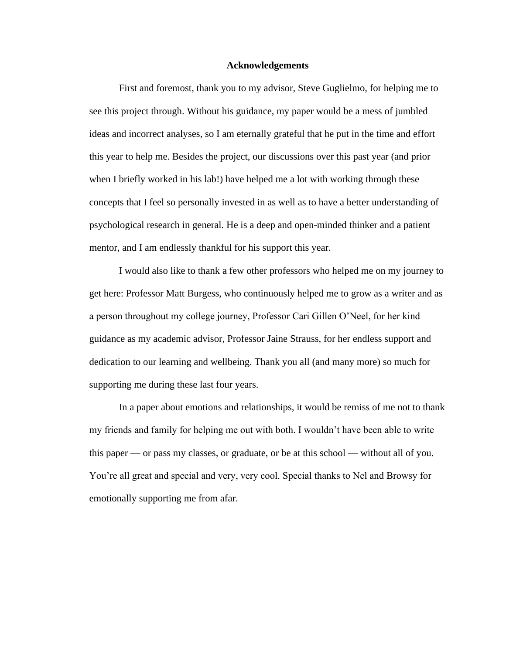## **Acknowledgements**

<span id="page-3-0"></span>First and foremost, thank you to my advisor, Steve Guglielmo, for helping me to see this project through. Without his guidance, my paper would be a mess of jumbled ideas and incorrect analyses, so I am eternally grateful that he put in the time and effort this year to help me. Besides the project, our discussions over this past year (and prior when I briefly worked in his lab!) have helped me a lot with working through these concepts that I feel so personally invested in as well as to have a better understanding of psychological research in general. He is a deep and open-minded thinker and a patient mentor, and I am endlessly thankful for his support this year.

I would also like to thank a few other professors who helped me on my journey to get here: Professor Matt Burgess, who continuously helped me to grow as a writer and as a person throughout my college journey, Professor Cari Gillen O'Neel, for her kind guidance as my academic advisor, Professor Jaine Strauss, for her endless support and dedication to our learning and wellbeing. Thank you all (and many more) so much for supporting me during these last four years.

In a paper about emotions and relationships, it would be remiss of me not to thank my friends and family for helping me out with both. I wouldn't have been able to write this paper — or pass my classes, or graduate, or be at this school — without all of you. You're all great and special and very, very cool. Special thanks to Nel and Browsy for emotionally supporting me from afar.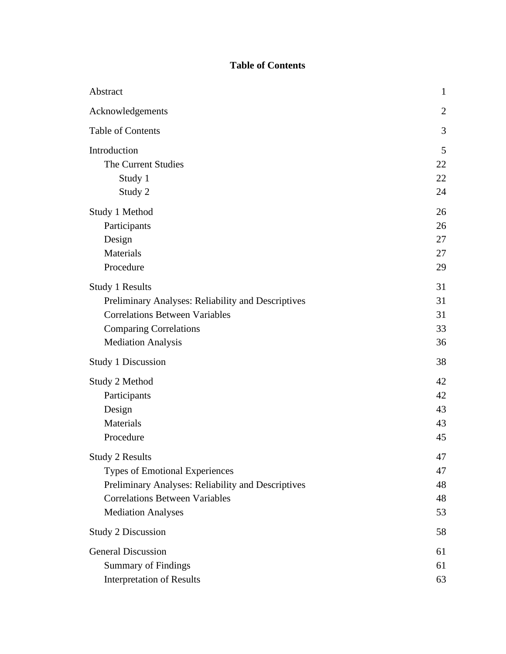## **Table of Contents**

<span id="page-4-0"></span>

| Abstract                                           | $\mathbf{1}$   |
|----------------------------------------------------|----------------|
| Acknowledgements                                   | $\overline{2}$ |
| <b>Table of Contents</b>                           | 3              |
| Introduction                                       | 5              |
| The Current Studies                                | 22             |
| Study 1                                            | 22             |
| Study 2                                            | 24             |
| Study 1 Method                                     | 26             |
| Participants                                       | 26             |
| Design                                             | 27             |
| Materials                                          | 27             |
| Procedure                                          | 29             |
| Study 1 Results                                    | 31             |
| Preliminary Analyses: Reliability and Descriptives | 31             |
| <b>Correlations Between Variables</b>              | 31             |
| <b>Comparing Correlations</b>                      | 33             |
| <b>Mediation Analysis</b>                          | 36             |
| <b>Study 1 Discussion</b>                          | 38             |
| Study 2 Method                                     | 42             |
| Participants                                       | 42             |
| Design                                             | 43             |
| Materials                                          | 43             |
| Procedure                                          | 45             |
| <b>Study 2 Results</b>                             | 47             |
| <b>Types of Emotional Experiences</b>              | 47             |
| Preliminary Analyses: Reliability and Descriptives | 48             |
| <b>Correlations Between Variables</b>              | 48             |
| <b>Mediation Analyses</b>                          | 53             |
| <b>Study 2 Discussion</b>                          | 58             |
| <b>General Discussion</b>                          | 61             |
| <b>Summary of Findings</b>                         | 61             |
| <b>Interpretation of Results</b>                   | 63             |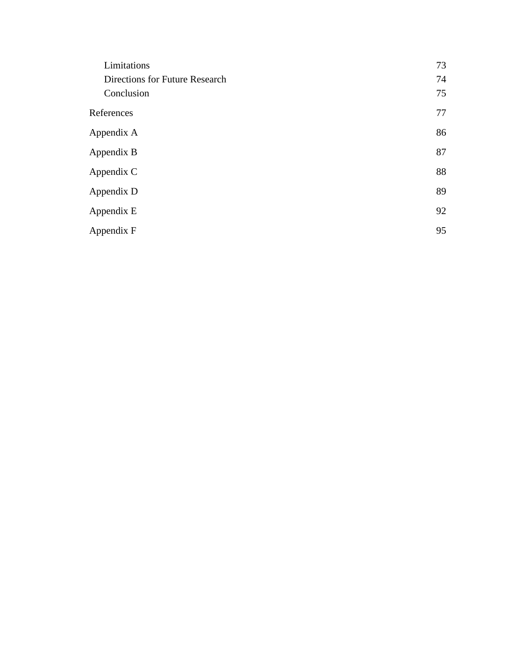| Limitations                    | 73 |
|--------------------------------|----|
| Directions for Future Research | 74 |
| Conclusion                     | 75 |
| References                     | 77 |
| Appendix A                     | 86 |
| Appendix B                     | 87 |
| Appendix C                     | 88 |
| Appendix D                     | 89 |
| Appendix E                     | 92 |
| Appendix F                     | 95 |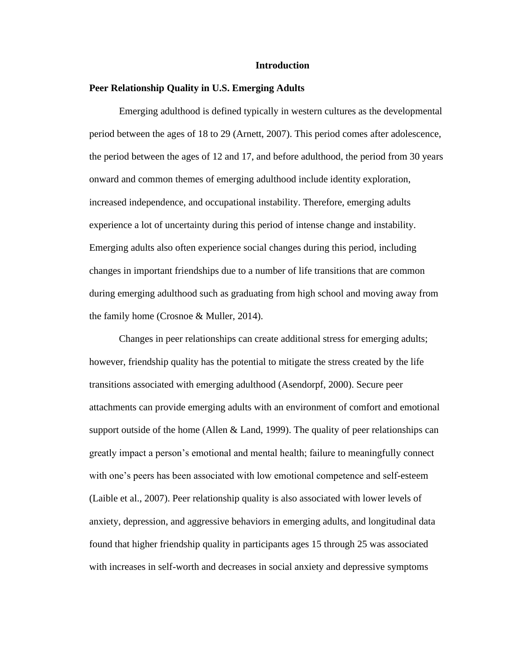## **Introduction**

## <span id="page-6-0"></span>**Peer Relationship Quality in U.S. Emerging Adults**

Emerging adulthood is defined typically in western cultures as the developmental period between the ages of 18 to 29 (Arnett, 2007). This period comes after adolescence, the period between the ages of 12 and 17, and before adulthood, the period from 30 years onward and common themes of emerging adulthood include identity exploration, increased independence, and occupational instability. Therefore, emerging adults experience a lot of uncertainty during this period of intense change and instability. Emerging adults also often experience social changes during this period, including changes in important friendships due to a number of life transitions that are common during emerging adulthood such as graduating from high school and moving away from the family home (Crosnoe & Muller, 2014).

Changes in peer relationships can create additional stress for emerging adults; however, friendship quality has the potential to mitigate the stress created by the life transitions associated with emerging adulthood (Asendorpf, 2000). Secure peer attachments can provide emerging adults with an environment of comfort and emotional support outside of the home (Allen  $&$  Land, 1999). The quality of peer relationships can greatly impact a person's emotional and mental health; failure to meaningfully connect with one's peers has been associated with low emotional competence and self-esteem (Laible et al., 2007). Peer relationship quality is also associated with lower levels of anxiety, depression, and aggressive behaviors in emerging adults, and longitudinal data found that higher friendship quality in participants ages 15 through 25 was associated with increases in self-worth and decreases in social anxiety and depressive symptoms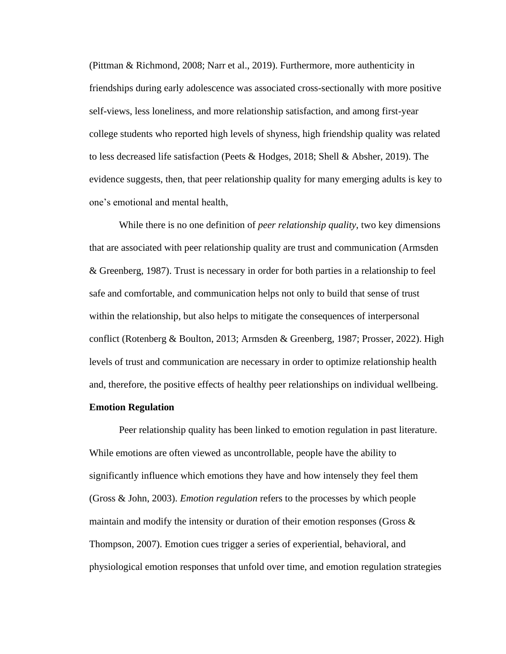(Pittman & Richmond, 2008; Narr et al., 2019). Furthermore, more authenticity in friendships during early adolescence was associated cross-sectionally with more positive self-views, less loneliness, and more relationship satisfaction, and among first-year college students who reported high levels of shyness, high friendship quality was related to less decreased life satisfaction (Peets & Hodges, 2018; Shell & Absher, 2019). The evidence suggests, then, that peer relationship quality for many emerging adults is key to one's emotional and mental health,

While there is no one definition of *peer relationship quality*, two key dimensions that are associated with peer relationship quality are trust and communication (Armsden & Greenberg, 1987). Trust is necessary in order for both parties in a relationship to feel safe and comfortable, and communication helps not only to build that sense of trust within the relationship, but also helps to mitigate the consequences of interpersonal conflict (Rotenberg & Boulton, 2013; Armsden & Greenberg, 1987; Prosser, 2022). High levels of trust and communication are necessary in order to optimize relationship health and, therefore, the positive effects of healthy peer relationships on individual wellbeing.

## **Emotion Regulation**

Peer relationship quality has been linked to emotion regulation in past literature. While emotions are often viewed as uncontrollable, people have the ability to significantly influence which emotions they have and how intensely they feel them (Gross & John, 2003). *Emotion regulation* refers to the processes by which people maintain and modify the intensity or duration of their emotion responses (Gross  $\&$ Thompson, 2007). Emotion cues trigger a series of experiential, behavioral, and physiological emotion responses that unfold over time, and emotion regulation strategies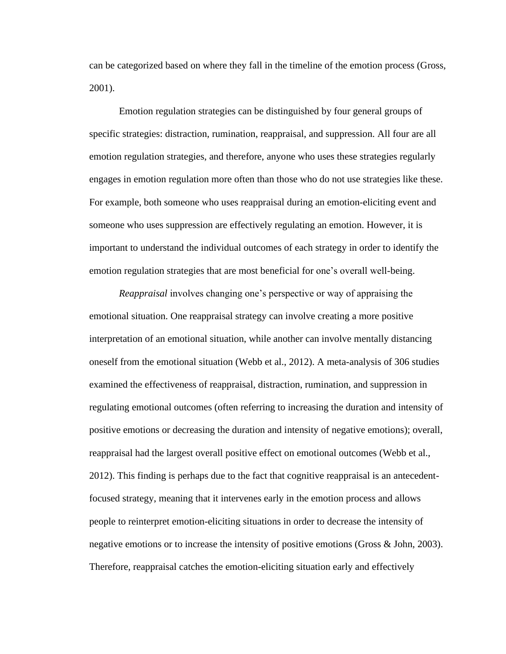can be categorized based on where they fall in the timeline of the emotion process (Gross, 2001).

Emotion regulation strategies can be distinguished by four general groups of specific strategies: distraction, rumination, reappraisal, and suppression. All four are all emotion regulation strategies, and therefore, anyone who uses these strategies regularly engages in emotion regulation more often than those who do not use strategies like these. For example, both someone who uses reappraisal during an emotion-eliciting event and someone who uses suppression are effectively regulating an emotion. However, it is important to understand the individual outcomes of each strategy in order to identify the emotion regulation strategies that are most beneficial for one's overall well-being.

*Reappraisal* involves changing one's perspective or way of appraising the emotional situation. One reappraisal strategy can involve creating a more positive interpretation of an emotional situation, while another can involve mentally distancing oneself from the emotional situation (Webb et al., 2012). A meta-analysis of 306 studies examined the effectiveness of reappraisal, distraction, rumination, and suppression in regulating emotional outcomes (often referring to increasing the duration and intensity of positive emotions or decreasing the duration and intensity of negative emotions); overall, reappraisal had the largest overall positive effect on emotional outcomes (Webb et al., 2012). This finding is perhaps due to the fact that cognitive reappraisal is an antecedentfocused strategy, meaning that it intervenes early in the emotion process and allows people to reinterpret emotion-eliciting situations in order to decrease the intensity of negative emotions or to increase the intensity of positive emotions (Gross & John, 2003). Therefore, reappraisal catches the emotion-eliciting situation early and effectively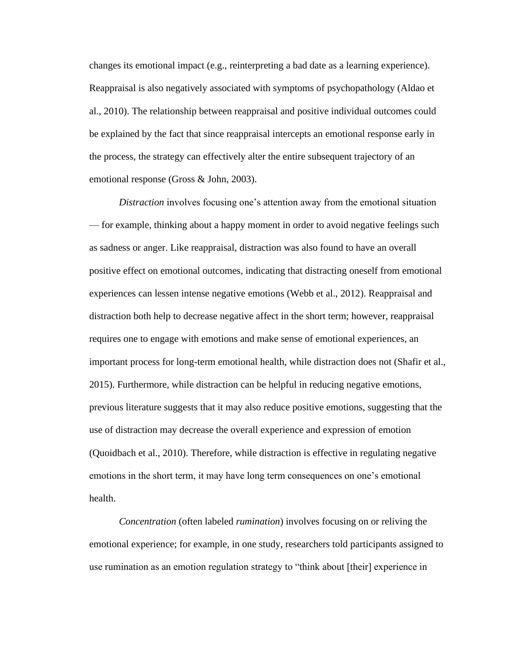changes its emotional impact (e.g., reinterpreting a bad date as a learning experience). Reappraisal is also negatively associated with symptoms of psychopathology (Aldao et al., 2010). The relationship between reappraisal and positive individual outcomes could be explained by the fact that since reappraisal intercepts an emotional response early in the process, the strategy can effectively alter the entire subsequent trajectory of an emotional response (Gross & John, 2003).

*Distraction* involves focusing one's attention away from the emotional situation — for example, thinking about a happy moment in order to avoid negative feelings such as sadness or anger. Like reappraisal, distraction was also found to have an overall positive effect on emotional outcomes, indicating that distracting oneself from emotional experiences can lessen intense negative emotions (Webb et al., 2012). Reappraisal and distraction both help to decrease negative affect in the short term; however, reappraisal requires one to engage with emotions and make sense of emotional experiences, an important process for long-term emotional health, while distraction does not (Shafir et al., 2015). Furthermore, while distraction can be helpful in reducing negative emotions, previous literature suggests that it may also reduce positive emotions, suggesting that the use of distraction may decrease the overall experience and expression of emotion (Quoidbach et al., 2010). Therefore, while distraction is effective in regulating negative emotions in the short term, it may have long term consequences on one's emotional health.

*Concentration* (often labeled *rumination*) involves focusing on or reliving the emotional experience; for example, in one study, researchers told participants assigned to use rumination as an emotion regulation strategy to "think about [their] experience in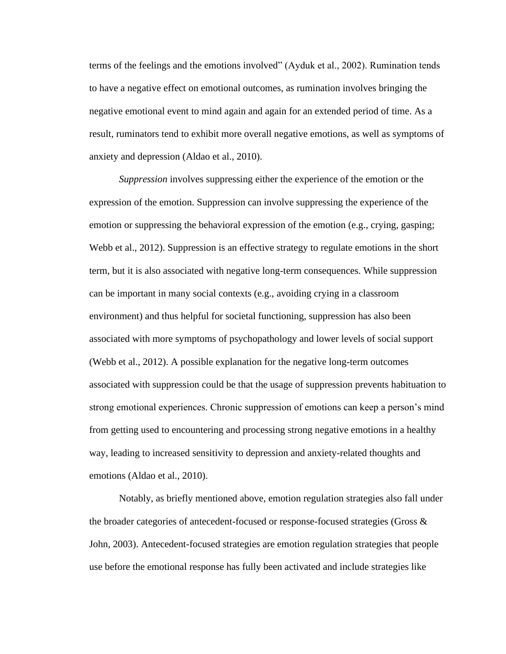terms of the feelings and the emotions involved" (Ayduk et al., 2002). Rumination tends to have a negative effect on emotional outcomes, as rumination involves bringing the negative emotional event to mind again and again for an extended period of time. As a result, ruminators tend to exhibit more overall negative emotions, as well as symptoms of anxiety and depression (Aldao et al., 2010).

*Suppression* involves suppressing either the experience of the emotion or the expression of the emotion. Suppression can involve suppressing the experience of the emotion or suppressing the behavioral expression of the emotion (e.g., crying, gasping; Webb et al., 2012). Suppression is an effective strategy to regulate emotions in the short term, but it is also associated with negative long-term consequences. While suppression can be important in many social contexts (e.g., avoiding crying in a classroom environment) and thus helpful for societal functioning, suppression has also been associated with more symptoms of psychopathology and lower levels of social support (Webb et al., 2012). A possible explanation for the negative long-term outcomes associated with suppression could be that the usage of suppression prevents habituation to strong emotional experiences. Chronic suppression of emotions can keep a person's mind from getting used to encountering and processing strong negative emotions in a healthy way, leading to increased sensitivity to depression and anxiety-related thoughts and emotions (Aldao et al., 2010).

Notably, as briefly mentioned above, emotion regulation strategies also fall under the broader categories of antecedent-focused or response-focused strategies (Gross & John, 2003). Antecedent-focused strategies are emotion regulation strategies that people use before the emotional response has fully been activated and include strategies like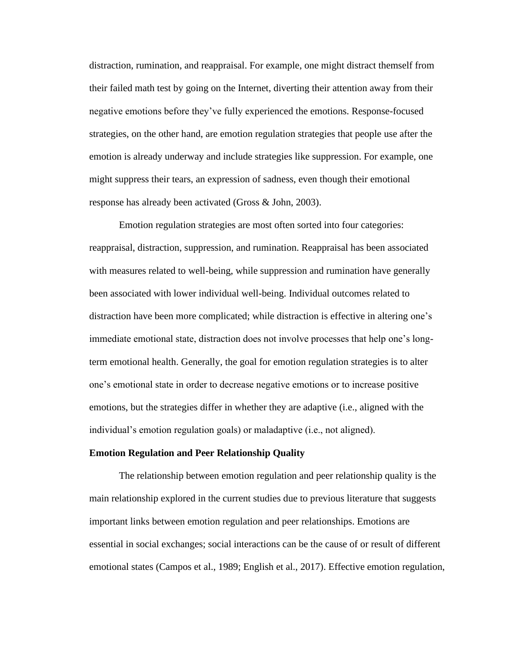distraction, rumination, and reappraisal. For example, one might distract themself from their failed math test by going on the Internet, diverting their attention away from their negative emotions before they've fully experienced the emotions. Response-focused strategies, on the other hand, are emotion regulation strategies that people use after the emotion is already underway and include strategies like suppression. For example, one might suppress their tears, an expression of sadness, even though their emotional response has already been activated (Gross & John, 2003).

Emotion regulation strategies are most often sorted into four categories: reappraisal, distraction, suppression, and rumination. Reappraisal has been associated with measures related to well-being, while suppression and rumination have generally been associated with lower individual well-being. Individual outcomes related to distraction have been more complicated; while distraction is effective in altering one's immediate emotional state, distraction does not involve processes that help one's longterm emotional health. Generally, the goal for emotion regulation strategies is to alter one's emotional state in order to decrease negative emotions or to increase positive emotions, but the strategies differ in whether they are adaptive (i.e., aligned with the individual's emotion regulation goals) or maladaptive (i.e., not aligned).

## **Emotion Regulation and Peer Relationship Quality**

The relationship between emotion regulation and peer relationship quality is the main relationship explored in the current studies due to previous literature that suggests important links between emotion regulation and peer relationships. Emotions are essential in social exchanges; social interactions can be the cause of or result of different emotional states (Campos et al., 1989; English et al., 2017). Effective emotion regulation,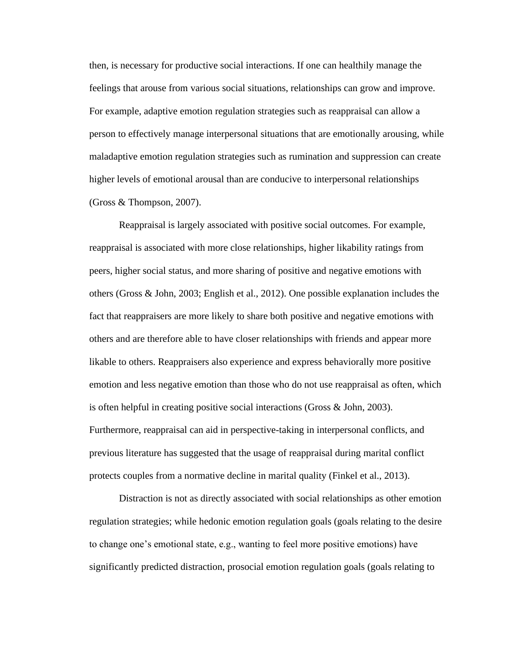then, is necessary for productive social interactions. If one can healthily manage the feelings that arouse from various social situations, relationships can grow and improve. For example, adaptive emotion regulation strategies such as reappraisal can allow a person to effectively manage interpersonal situations that are emotionally arousing, while maladaptive emotion regulation strategies such as rumination and suppression can create higher levels of emotional arousal than are conducive to interpersonal relationships (Gross & Thompson, 2007).

Reappraisal is largely associated with positive social outcomes. For example, reappraisal is associated with more close relationships, higher likability ratings from peers, higher social status, and more sharing of positive and negative emotions with others (Gross & John, 2003; English et al., 2012). One possible explanation includes the fact that reappraisers are more likely to share both positive and negative emotions with others and are therefore able to have closer relationships with friends and appear more likable to others. Reappraisers also experience and express behaviorally more positive emotion and less negative emotion than those who do not use reappraisal as often, which is often helpful in creating positive social interactions (Gross & John, 2003). Furthermore, reappraisal can aid in perspective-taking in interpersonal conflicts, and previous literature has suggested that the usage of reappraisal during marital conflict protects couples from a normative decline in marital quality (Finkel et al., 2013).

Distraction is not as directly associated with social relationships as other emotion regulation strategies; while hedonic emotion regulation goals (goals relating to the desire to change one's emotional state, e.g., wanting to feel more positive emotions) have significantly predicted distraction, prosocial emotion regulation goals (goals relating to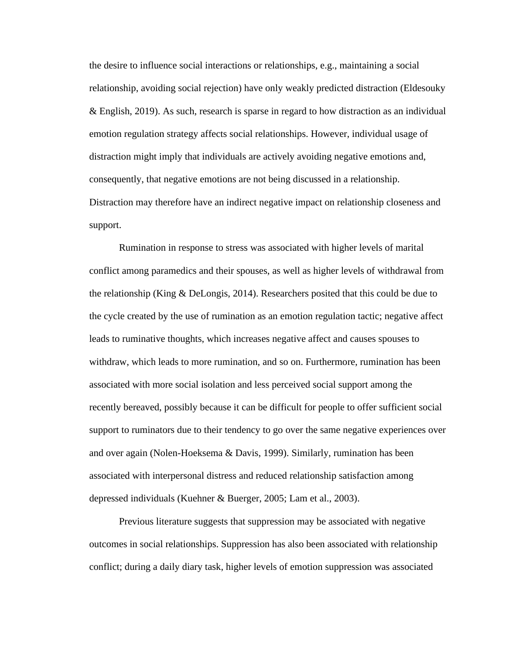the desire to influence social interactions or relationships, e.g., maintaining a social relationship, avoiding social rejection) have only weakly predicted distraction (Eldesouky & English, 2019). As such, research is sparse in regard to how distraction as an individual emotion regulation strategy affects social relationships. However, individual usage of distraction might imply that individuals are actively avoiding negative emotions and, consequently, that negative emotions are not being discussed in a relationship. Distraction may therefore have an indirect negative impact on relationship closeness and support.

Rumination in response to stress was associated with higher levels of marital conflict among paramedics and their spouses, as well as higher levels of withdrawal from the relationship (King  $\&$  DeLongis, 2014). Researchers posited that this could be due to the cycle created by the use of rumination as an emotion regulation tactic; negative affect leads to ruminative thoughts, which increases negative affect and causes spouses to withdraw, which leads to more rumination, and so on. Furthermore, rumination has been associated with more social isolation and less perceived social support among the recently bereaved, possibly because it can be difficult for people to offer sufficient social support to ruminators due to their tendency to go over the same negative experiences over and over again (Nolen-Hoeksema & Davis, 1999). Similarly, rumination has been associated with interpersonal distress and reduced relationship satisfaction among depressed individuals (Kuehner & Buerger, 2005; Lam et al., 2003).

Previous literature suggests that suppression may be associated with negative outcomes in social relationships. Suppression has also been associated with relationship conflict; during a daily diary task, higher levels of emotion suppression was associated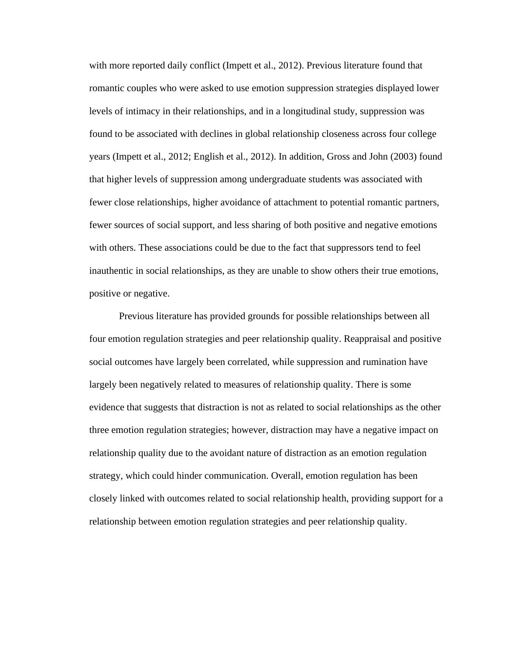with more reported daily conflict (Impett et al., 2012). Previous literature found that romantic couples who were asked to use emotion suppression strategies displayed lower levels of intimacy in their relationships, and in a longitudinal study, suppression was found to be associated with declines in global relationship closeness across four college years (Impett et al., 2012; English et al., 2012). In addition, Gross and John (2003) found that higher levels of suppression among undergraduate students was associated with fewer close relationships, higher avoidance of attachment to potential romantic partners, fewer sources of social support, and less sharing of both positive and negative emotions with others. These associations could be due to the fact that suppressors tend to feel inauthentic in social relationships, as they are unable to show others their true emotions, positive or negative.

Previous literature has provided grounds for possible relationships between all four emotion regulation strategies and peer relationship quality. Reappraisal and positive social outcomes have largely been correlated, while suppression and rumination have largely been negatively related to measures of relationship quality. There is some evidence that suggests that distraction is not as related to social relationships as the other three emotion regulation strategies; however, distraction may have a negative impact on relationship quality due to the avoidant nature of distraction as an emotion regulation strategy, which could hinder communication. Overall, emotion regulation has been closely linked with outcomes related to social relationship health, providing support for a relationship between emotion regulation strategies and peer relationship quality.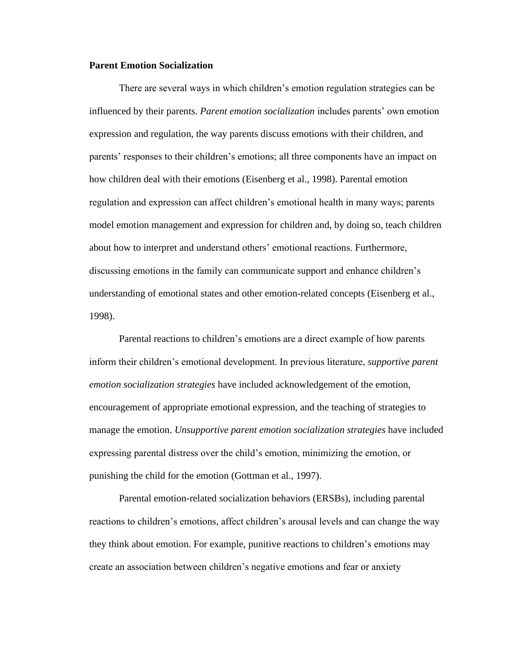## **Parent Emotion Socialization**

There are several ways in which children's emotion regulation strategies can be influenced by their parents. *Parent emotion socialization* includes parents' own emotion expression and regulation, the way parents discuss emotions with their children, and parents' responses to their children's emotions; all three components have an impact on how children deal with their emotions (Eisenberg et al., 1998). Parental emotion regulation and expression can affect children's emotional health in many ways; parents model emotion management and expression for children and, by doing so, teach children about how to interpret and understand others' emotional reactions. Furthermore, discussing emotions in the family can communicate support and enhance children's understanding of emotional states and other emotion-related concepts (Eisenberg et al., 1998).

Parental reactions to children's emotions are a direct example of how parents inform their children's emotional development. In previous literature, *supportive parent emotion socialization strategies* have included acknowledgement of the emotion, encouragement of appropriate emotional expression, and the teaching of strategies to manage the emotion. *Unsupportive parent emotion socialization strategies* have included expressing parental distress over the child's emotion, minimizing the emotion, or punishing the child for the emotion (Gottman et al., 1997).

Parental emotion-related socialization behaviors (ERSBs), including parental reactions to children's emotions, affect children's arousal levels and can change the way they think about emotion. For example, punitive reactions to children's emotions may create an association between children's negative emotions and fear or anxiety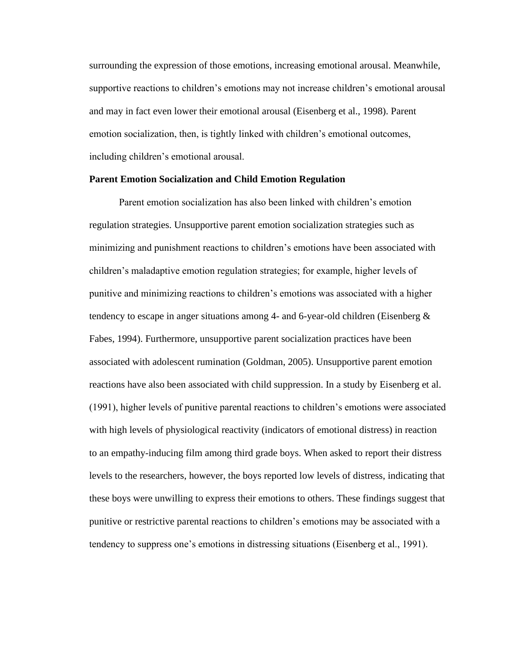surrounding the expression of those emotions, increasing emotional arousal. Meanwhile, supportive reactions to children's emotions may not increase children's emotional arousal and may in fact even lower their emotional arousal (Eisenberg et al., 1998). Parent emotion socialization, then, is tightly linked with children's emotional outcomes, including children's emotional arousal.

## **Parent Emotion Socialization and Child Emotion Regulation**

Parent emotion socialization has also been linked with children's emotion regulation strategies. Unsupportive parent emotion socialization strategies such as minimizing and punishment reactions to children's emotions have been associated with children's maladaptive emotion regulation strategies; for example, higher levels of punitive and minimizing reactions to children's emotions was associated with a higher tendency to escape in anger situations among 4- and 6-year-old children (Eisenberg  $\&$ Fabes, 1994). Furthermore, unsupportive parent socialization practices have been associated with adolescent rumination (Goldman, 2005). Unsupportive parent emotion reactions have also been associated with child suppression. In a study by Eisenberg et al. (1991), higher levels of punitive parental reactions to children's emotions were associated with high levels of physiological reactivity (indicators of emotional distress) in reaction to an empathy-inducing film among third grade boys. When asked to report their distress levels to the researchers, however, the boys reported low levels of distress, indicating that these boys were unwilling to express their emotions to others. These findings suggest that punitive or restrictive parental reactions to children's emotions may be associated with a tendency to suppress one's emotions in distressing situations (Eisenberg et al., 1991).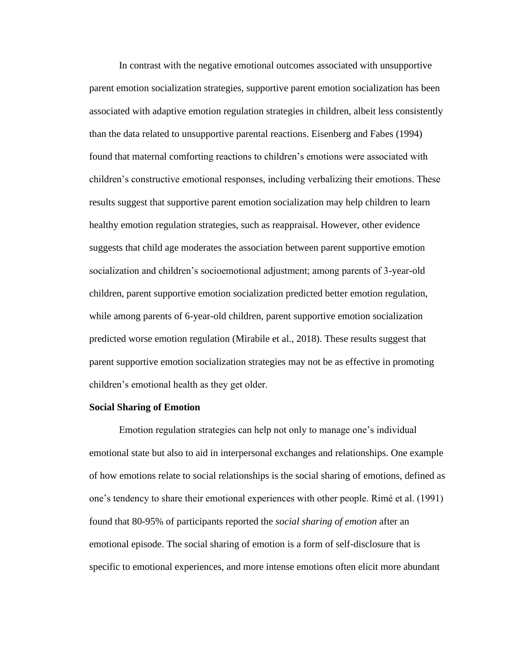In contrast with the negative emotional outcomes associated with unsupportive parent emotion socialization strategies, supportive parent emotion socialization has been associated with adaptive emotion regulation strategies in children, albeit less consistently than the data related to unsupportive parental reactions. Eisenberg and Fabes (1994) found that maternal comforting reactions to children's emotions were associated with children's constructive emotional responses, including verbalizing their emotions. These results suggest that supportive parent emotion socialization may help children to learn healthy emotion regulation strategies, such as reappraisal. However, other evidence suggests that child age moderates the association between parent supportive emotion socialization and children's socioemotional adjustment; among parents of 3-year-old children, parent supportive emotion socialization predicted better emotion regulation, while among parents of 6-year-old children, parent supportive emotion socialization predicted worse emotion regulation (Mirabile et al., 2018). These results suggest that parent supportive emotion socialization strategies may not be as effective in promoting children's emotional health as they get older.

#### **Social Sharing of Emotion**

Emotion regulation strategies can help not only to manage one's individual emotional state but also to aid in interpersonal exchanges and relationships. One example of how emotions relate to social relationships is the social sharing of emotions, defined as one's tendency to share their emotional experiences with other people. Rimé et al. (1991) found that 80-95% of participants reported the *social sharing of emotion* after an emotional episode. The social sharing of emotion is a form of self-disclosure that is specific to emotional experiences, and more intense emotions often elicit more abundant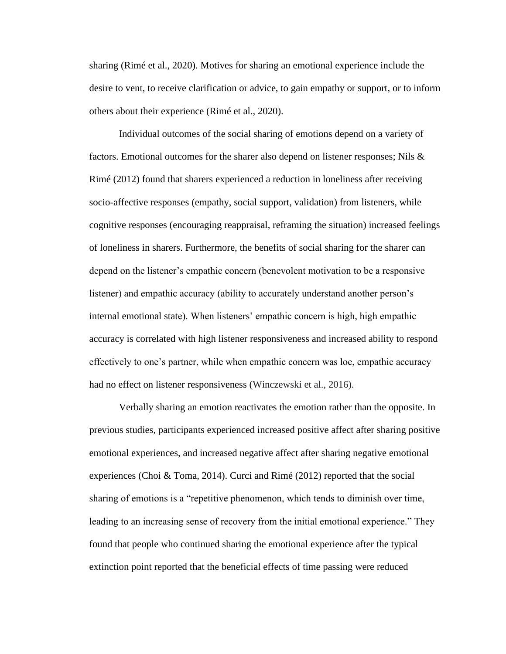sharing (Rimé et al., 2020). Motives for sharing an emotional experience include the desire to vent, to receive clarification or advice, to gain empathy or support, or to inform others about their experience (Rimé et al., 2020).

Individual outcomes of the social sharing of emotions depend on a variety of factors. Emotional outcomes for the sharer also depend on listener responses; Nils  $\&$ Rimé (2012) found that sharers experienced a reduction in loneliness after receiving socio-affective responses (empathy, social support, validation) from listeners, while cognitive responses (encouraging reappraisal, reframing the situation) increased feelings of loneliness in sharers. Furthermore, the benefits of social sharing for the sharer can depend on the listener's empathic concern (benevolent motivation to be a responsive listener) and empathic accuracy (ability to accurately understand another person's internal emotional state). When listeners' empathic concern is high, high empathic accuracy is correlated with high listener responsiveness and increased ability to respond effectively to one's partner, while when empathic concern was loe, empathic accuracy had no effect on listener responsiveness (Winczewski et al., 2016).

Verbally sharing an emotion reactivates the emotion rather than the opposite. In previous studies, participants experienced increased positive affect after sharing positive emotional experiences, and increased negative affect after sharing negative emotional experiences (Choi & Toma, 2014). Curci and Rimé (2012) reported that the social sharing of emotions is a "repetitive phenomenon, which tends to diminish over time, leading to an increasing sense of recovery from the initial emotional experience." They found that people who continued sharing the emotional experience after the typical extinction point reported that the beneficial effects of time passing were reduced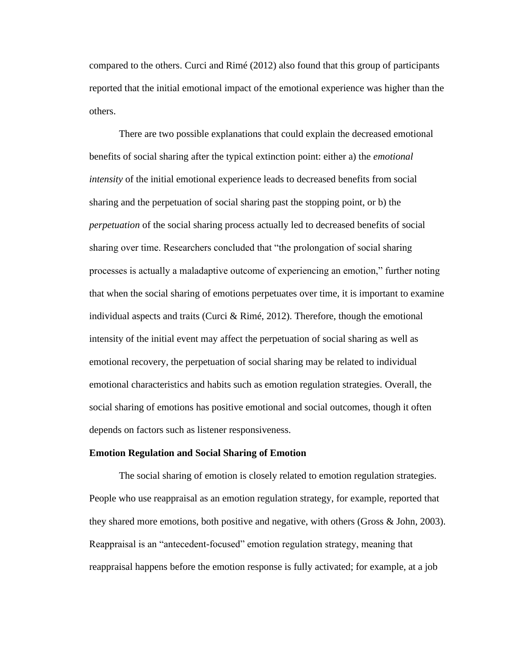compared to the others. Curci and Rimé (2012) also found that this group of participants reported that the initial emotional impact of the emotional experience was higher than the others.

There are two possible explanations that could explain the decreased emotional benefits of social sharing after the typical extinction point: either a) the *emotional intensity* of the initial emotional experience leads to decreased benefits from social sharing and the perpetuation of social sharing past the stopping point, or b) the *perpetuation* of the social sharing process actually led to decreased benefits of social sharing over time. Researchers concluded that "the prolongation of social sharing processes is actually a maladaptive outcome of experiencing an emotion," further noting that when the social sharing of emotions perpetuates over time, it is important to examine individual aspects and traits (Curci & Rimé, 2012). Therefore, though the emotional intensity of the initial event may affect the perpetuation of social sharing as well as emotional recovery, the perpetuation of social sharing may be related to individual emotional characteristics and habits such as emotion regulation strategies. Overall, the social sharing of emotions has positive emotional and social outcomes, though it often depends on factors such as listener responsiveness.

## **Emotion Regulation and Social Sharing of Emotion**

The social sharing of emotion is closely related to emotion regulation strategies. People who use reappraisal as an emotion regulation strategy, for example, reported that they shared more emotions, both positive and negative, with others (Gross & John, 2003). Reappraisal is an "antecedent-focused" emotion regulation strategy, meaning that reappraisal happens before the emotion response is fully activated; for example, at a job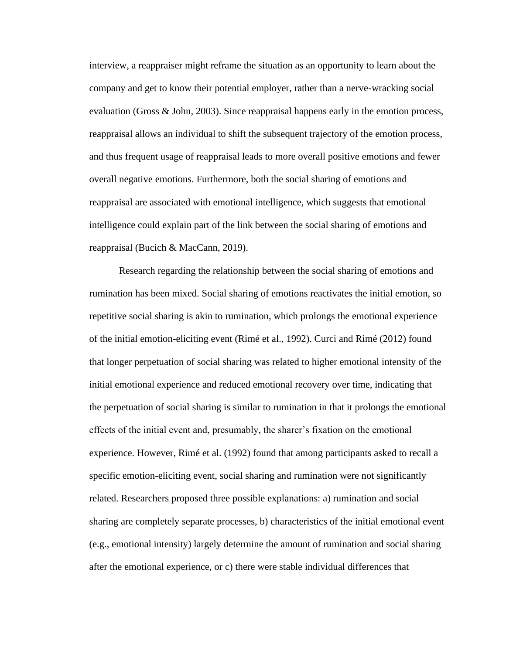interview, a reappraiser might reframe the situation as an opportunity to learn about the company and get to know their potential employer, rather than a nerve-wracking social evaluation (Gross & John, 2003). Since reappraisal happens early in the emotion process, reappraisal allows an individual to shift the subsequent trajectory of the emotion process, and thus frequent usage of reappraisal leads to more overall positive emotions and fewer overall negative emotions. Furthermore, both the social sharing of emotions and reappraisal are associated with emotional intelligence, which suggests that emotional intelligence could explain part of the link between the social sharing of emotions and reappraisal (Bucich & MacCann, 2019).

Research regarding the relationship between the social sharing of emotions and rumination has been mixed. Social sharing of emotions reactivates the initial emotion, so repetitive social sharing is akin to rumination, which prolongs the emotional experience of the initial emotion-eliciting event (Rimé et al., 1992). Curci and Rimé (2012) found that longer perpetuation of social sharing was related to higher emotional intensity of the initial emotional experience and reduced emotional recovery over time, indicating that the perpetuation of social sharing is similar to rumination in that it prolongs the emotional effects of the initial event and, presumably, the sharer's fixation on the emotional experience. However, Rimé et al. (1992) found that among participants asked to recall a specific emotion-eliciting event, social sharing and rumination were not significantly related. Researchers proposed three possible explanations: a) rumination and social sharing are completely separate processes, b) characteristics of the initial emotional event (e.g., emotional intensity) largely determine the amount of rumination and social sharing after the emotional experience, or c) there were stable individual differences that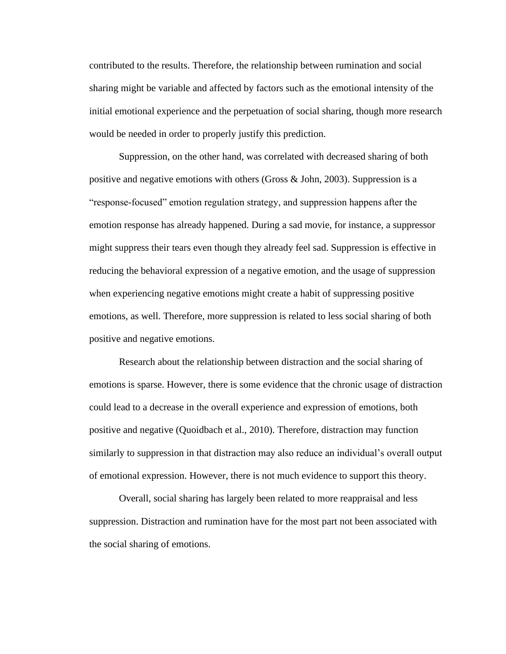contributed to the results. Therefore, the relationship between rumination and social sharing might be variable and affected by factors such as the emotional intensity of the initial emotional experience and the perpetuation of social sharing, though more research would be needed in order to properly justify this prediction.

Suppression, on the other hand, was correlated with decreased sharing of both positive and negative emotions with others (Gross  $\&$  John, 2003). Suppression is a "response-focused" emotion regulation strategy, and suppression happens after the emotion response has already happened. During a sad movie, for instance, a suppressor might suppress their tears even though they already feel sad. Suppression is effective in reducing the behavioral expression of a negative emotion, and the usage of suppression when experiencing negative emotions might create a habit of suppressing positive emotions, as well. Therefore, more suppression is related to less social sharing of both positive and negative emotions.

Research about the relationship between distraction and the social sharing of emotions is sparse. However, there is some evidence that the chronic usage of distraction could lead to a decrease in the overall experience and expression of emotions, both positive and negative (Quoidbach et al., 2010). Therefore, distraction may function similarly to suppression in that distraction may also reduce an individual's overall output of emotional expression. However, there is not much evidence to support this theory.

Overall, social sharing has largely been related to more reappraisal and less suppression. Distraction and rumination have for the most part not been associated with the social sharing of emotions.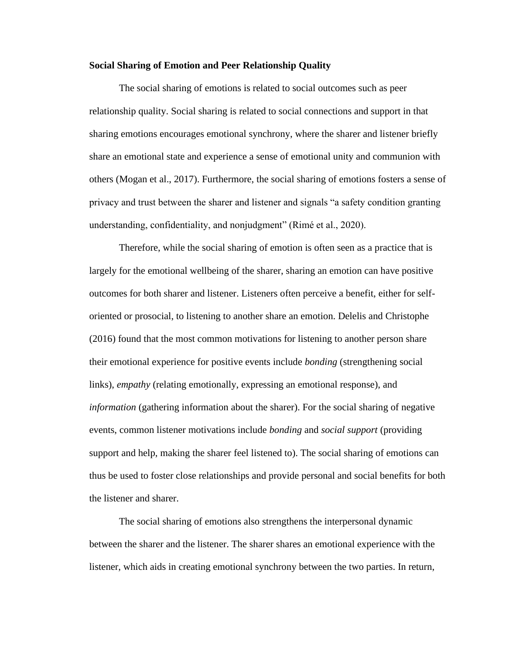## **Social Sharing of Emotion and Peer Relationship Quality**

The social sharing of emotions is related to social outcomes such as peer relationship quality. Social sharing is related to social connections and support in that sharing emotions encourages emotional synchrony, where the sharer and listener briefly share an emotional state and experience a sense of emotional unity and communion with others (Mogan et al., 2017). Furthermore, the social sharing of emotions fosters a sense of privacy and trust between the sharer and listener and signals "a safety condition granting understanding, confidentiality, and nonjudgment" (Rimé et al., 2020).

Therefore, while the social sharing of emotion is often seen as a practice that is largely for the emotional wellbeing of the sharer, sharing an emotion can have positive outcomes for both sharer and listener. Listeners often perceive a benefit, either for selforiented or prosocial, to listening to another share an emotion. Delelis and Christophe (2016) found that the most common motivations for listening to another person share their emotional experience for positive events include *bonding* (strengthening social links), *empathy* (relating emotionally, expressing an emotional response), and *information* (gathering information about the sharer). For the social sharing of negative events, common listener motivations include *bonding* and *social support* (providing support and help, making the sharer feel listened to). The social sharing of emotions can thus be used to foster close relationships and provide personal and social benefits for both the listener and sharer.

The social sharing of emotions also strengthens the interpersonal dynamic between the sharer and the listener. The sharer shares an emotional experience with the listener, which aids in creating emotional synchrony between the two parties. In return,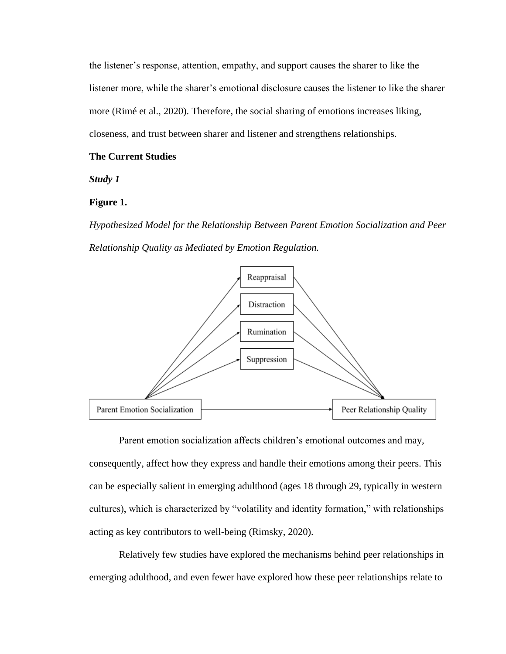the listener's response, attention, empathy, and support causes the sharer to like the listener more, while the sharer's emotional disclosure causes the listener to like the sharer more (Rimé et al., 2020). Therefore, the social sharing of emotions increases liking, closeness, and trust between sharer and listener and strengthens relationships.

## <span id="page-23-0"></span>**The Current Studies**

<span id="page-23-1"></span>*Study 1*

## **Figure 1.**

*Hypothesized Model for the Relationship Between Parent Emotion Socialization and Peer Relationship Quality as Mediated by Emotion Regulation.*



Parent emotion socialization affects children's emotional outcomes and may, consequently, affect how they express and handle their emotions among their peers. This can be especially salient in emerging adulthood (ages 18 through 29, typically in western cultures), which is characterized by "volatility and identity formation," with relationships acting as key contributors to well-being (Rimsky, 2020).

Relatively few studies have explored the mechanisms behind peer relationships in emerging adulthood, and even fewer have explored how these peer relationships relate to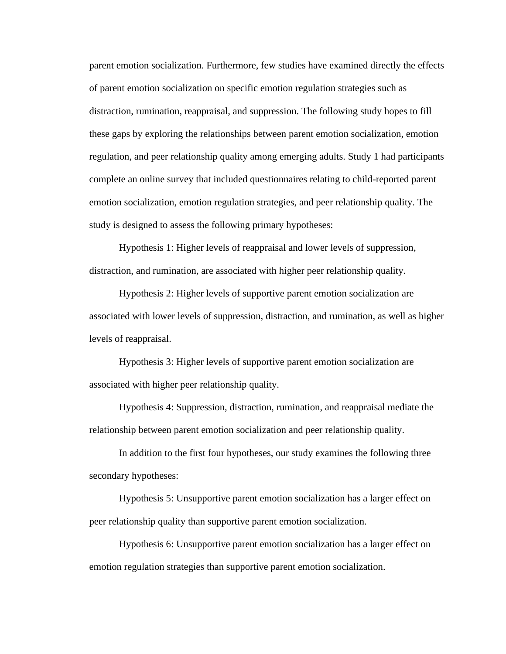parent emotion socialization. Furthermore, few studies have examined directly the effects of parent emotion socialization on specific emotion regulation strategies such as distraction, rumination, reappraisal, and suppression. The following study hopes to fill these gaps by exploring the relationships between parent emotion socialization, emotion regulation, and peer relationship quality among emerging adults. Study 1 had participants complete an online survey that included questionnaires relating to child-reported parent emotion socialization, emotion regulation strategies, and peer relationship quality. The study is designed to assess the following primary hypotheses:

Hypothesis 1: Higher levels of reappraisal and lower levels of suppression, distraction, and rumination, are associated with higher peer relationship quality.

Hypothesis 2: Higher levels of supportive parent emotion socialization are associated with lower levels of suppression, distraction, and rumination, as well as higher levels of reappraisal.

Hypothesis 3: Higher levels of supportive parent emotion socialization are associated with higher peer relationship quality.

Hypothesis 4: Suppression, distraction, rumination, and reappraisal mediate the relationship between parent emotion socialization and peer relationship quality.

In addition to the first four hypotheses, our study examines the following three secondary hypotheses:

Hypothesis 5: Unsupportive parent emotion socialization has a larger effect on peer relationship quality than supportive parent emotion socialization.

Hypothesis 6: Unsupportive parent emotion socialization has a larger effect on emotion regulation strategies than supportive parent emotion socialization.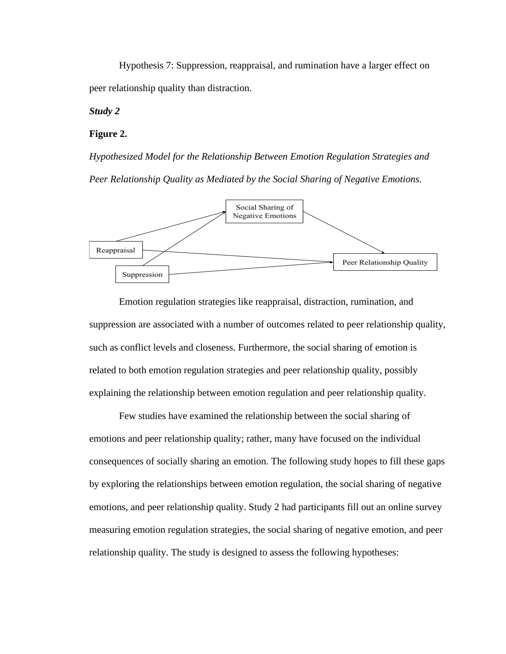Hypothesis 7: Suppression, reappraisal, and rumination have a larger effect on peer relationship quality than distraction.

## <span id="page-25-0"></span>*Study 2*

## **Figure 2.**

*Hypothesized Model for the Relationship Between Emotion Regulation Strategies and Peer Relationship Quality as Mediated by the Social Sharing of Negative Emotions.*



Emotion regulation strategies like reappraisal, distraction, rumination, and suppression are associated with a number of outcomes related to peer relationship quality, such as conflict levels and closeness. Furthermore, the social sharing of emotion is related to both emotion regulation strategies and peer relationship quality, possibly explaining the relationship between emotion regulation and peer relationship quality.

Few studies have examined the relationship between the social sharing of emotions and peer relationship quality; rather, many have focused on the individual consequences of socially sharing an emotion. The following study hopes to fill these gaps by exploring the relationships between emotion regulation, the social sharing of negative emotions, and peer relationship quality. Study 2 had participants fill out an online survey measuring emotion regulation strategies, the social sharing of negative emotion, and peer relationship quality. The study is designed to assess the following hypotheses: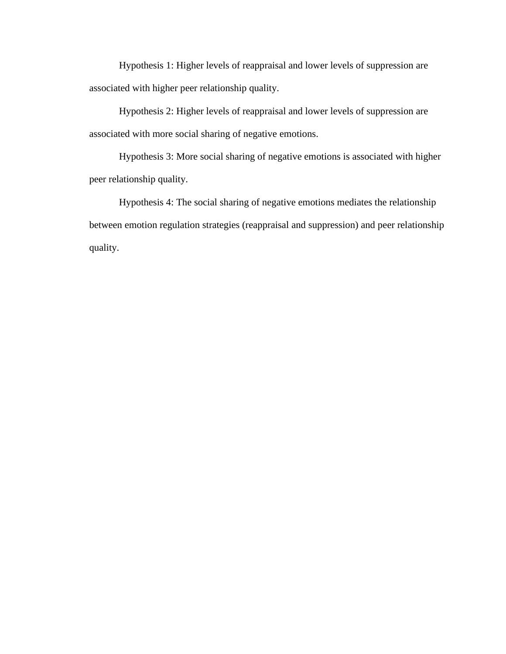Hypothesis 1: Higher levels of reappraisal and lower levels of suppression are associated with higher peer relationship quality.

Hypothesis 2: Higher levels of reappraisal and lower levels of suppression are associated with more social sharing of negative emotions.

Hypothesis 3: More social sharing of negative emotions is associated with higher peer relationship quality.

Hypothesis 4: The social sharing of negative emotions mediates the relationship between emotion regulation strategies (reappraisal and suppression) and peer relationship quality.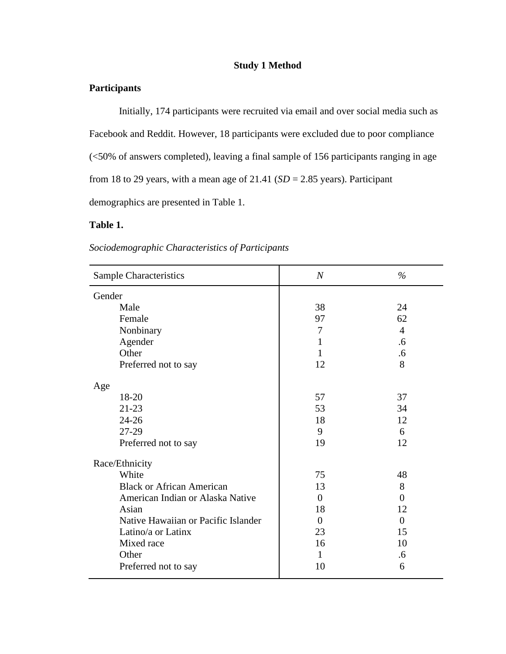## **Study 1 Method**

## <span id="page-27-1"></span><span id="page-27-0"></span>**Participants**

Initially, 174 participants were recruited via email and over social media such as Facebook and Reddit. However, 18 participants were excluded due to poor compliance (<50% of answers completed), leaving a final sample of 156 participants ranging in age from 18 to 29 years, with a mean age of  $21.41$  ( $SD = 2.85$  years). Participant demographics are presented in Table 1.

## **Table 1.**

| Sociodemographic Characteristics of Participants |  |
|--------------------------------------------------|--|
|                                                  |  |

| <b>Sample Characteristics</b>       | $\overline{N}$ | $\%$           |
|-------------------------------------|----------------|----------------|
| Gender                              |                |                |
| Male                                | 38             | 24             |
| Female                              | 97             | 62             |
| Nonbinary                           | 7              | $\overline{4}$ |
| Agender                             | 1              | .6             |
| Other                               | $\mathbf{1}$   | .6             |
| Preferred not to say                | 12             | 8              |
| Age                                 |                |                |
| 18-20                               | 57             | 37             |
| $21 - 23$                           | 53             | 34             |
| $24 - 26$                           | 18             | 12             |
| 27-29                               | 9              | 6              |
| Preferred not to say                | 19             | 12             |
| Race/Ethnicity                      |                |                |
| White                               | 75             | 48             |
| <b>Black or African American</b>    | 13             | 8              |
| American Indian or Alaska Native    | $\overline{0}$ | $\overline{0}$ |
| Asian                               | 18             | 12             |
| Native Hawaiian or Pacific Islander | $\theta$       | $\Omega$       |
| Latino/a or Latinx                  | 23             | 15             |
| Mixed race                          | 16             | 10             |
| Other                               | $\mathbf{1}$   | .6             |
| Preferred not to say                | 10             | 6              |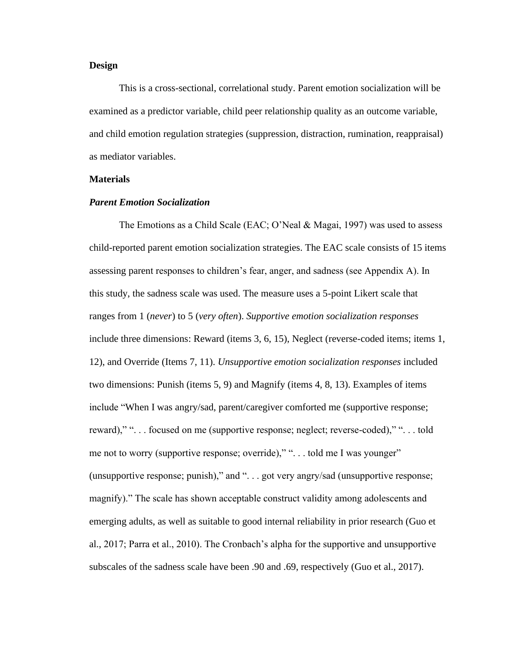## <span id="page-28-0"></span>**Design**

This is a cross-sectional, correlational study. Parent emotion socialization will be examined as a predictor variable, child peer relationship quality as an outcome variable, and child emotion regulation strategies (suppression, distraction, rumination, reappraisal) as mediator variables.

## <span id="page-28-1"></span>**Materials**

## *Parent Emotion Socialization*

The Emotions as a Child Scale (EAC; O'Neal & Magai, 1997) was used to assess child-reported parent emotion socialization strategies. The EAC scale consists of 15 items assessing parent responses to children's fear, anger, and sadness (see Appendix A). In this study, the sadness scale was used. The measure uses a 5-point Likert scale that ranges from 1 (*never*) to 5 (*very often*). *Supportive emotion socialization responses* include three dimensions: Reward (items 3, 6, 15), Neglect (reverse-coded items; items 1, 12), and Override (Items 7, 11). *Unsupportive emotion socialization responses* included two dimensions: Punish (items 5, 9) and Magnify (items 4, 8, 13). Examples of items include "When I was angry/sad, parent/caregiver comforted me (supportive response; reward)," ". . . focused on me (supportive response; neglect; reverse-coded)," ". . . told me not to worry (supportive response; override)," "... told me I was younger" (unsupportive response; punish)," and ". . . got very angry/sad (unsupportive response; magnify)." The scale has shown acceptable construct validity among adolescents and emerging adults, as well as suitable to good internal reliability in prior research (Guo et al., 2017; Parra et al., 2010). The Cronbach's alpha for the supportive and unsupportive subscales of the sadness scale have been .90 and .69, respectively (Guo et al., 2017).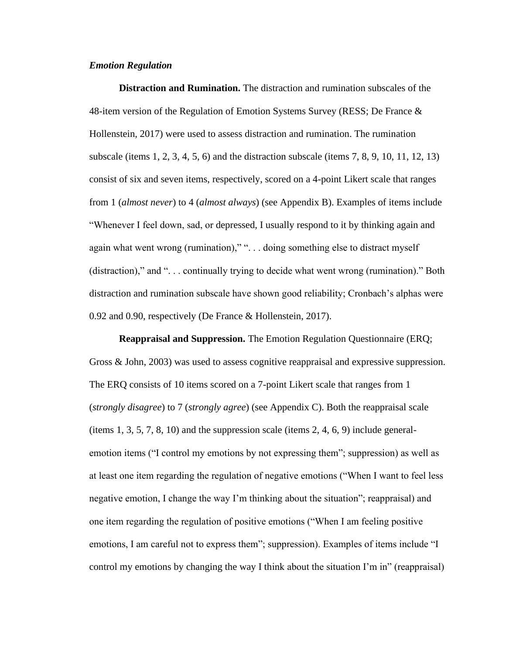## *Emotion Regulation*

**Distraction and Rumination.** The distraction and rumination subscales of the 48-item version of the Regulation of Emotion Systems Survey (RESS; De France  $\&$ Hollenstein, 2017) were used to assess distraction and rumination. The rumination subscale (items 1, 2, 3, 4, 5, 6) and the distraction subscale (items 7, 8, 9, 10, 11, 12, 13) consist of six and seven items, respectively, scored on a 4-point Likert scale that ranges from 1 (*almost never*) to 4 (*almost always*) (see Appendix B). Examples of items include "Whenever I feel down, sad, or depressed, I usually respond to it by thinking again and again what went wrong (rumination)," ". . . doing something else to distract myself (distraction)," and ". . . continually trying to decide what went wrong (rumination)." Both distraction and rumination subscale have shown good reliability; Cronbach's alphas were 0.92 and 0.90, respectively (De France & Hollenstein, 2017).

**Reappraisal and Suppression.** The Emotion Regulation Questionnaire (ERQ; Gross & John, 2003) was used to assess cognitive reappraisal and expressive suppression. The ERQ consists of 10 items scored on a 7-point Likert scale that ranges from 1 (*strongly disagree*) to 7 (*strongly agree*) (see Appendix C). Both the reappraisal scale (items  $1, 3, 5, 7, 8, 10$ ) and the suppression scale (items  $2, 4, 6, 9$ ) include generalemotion items ("I control my emotions by not expressing them"; suppression) as well as at least one item regarding the regulation of negative emotions ("When I want to feel less negative emotion, I change the way I'm thinking about the situation"; reappraisal) and one item regarding the regulation of positive emotions ("When I am feeling positive emotions, I am careful not to express them"; suppression). Examples of items include "I control my emotions by changing the way I think about the situation I'm in" (reappraisal)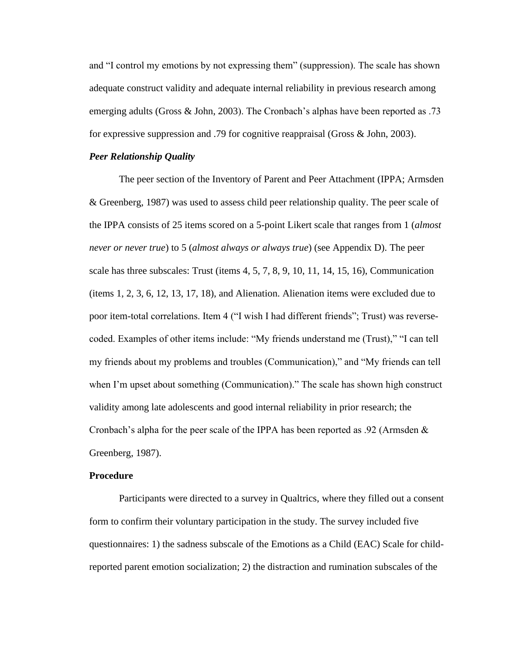and "I control my emotions by not expressing them" (suppression). The scale has shown adequate construct validity and adequate internal reliability in previous research among emerging adults (Gross & John, 2003). The Cronbach's alphas have been reported as .73 for expressive suppression and .79 for cognitive reappraisal (Gross & John, 2003).

## *Peer Relationship Quality*

The peer section of the Inventory of Parent and Peer Attachment (IPPA; Armsden & Greenberg, 1987) was used to assess child peer relationship quality. The peer scale of the IPPA consists of 25 items scored on a 5-point Likert scale that ranges from 1 (*almost never or never true*) to 5 (*almost always or always true*) (see Appendix D). The peer scale has three subscales: Trust (items 4, 5, 7, 8, 9, 10, 11, 14, 15, 16), Communication (items 1, 2, 3, 6, 12, 13, 17, 18), and Alienation. Alienation items were excluded due to poor item-total correlations. Item 4 ("I wish I had different friends"; Trust) was reversecoded. Examples of other items include: "My friends understand me (Trust)," "I can tell my friends about my problems and troubles (Communication)," and "My friends can tell when I'm upset about something (Communication)." The scale has shown high construct validity among late adolescents and good internal reliability in prior research; the Cronbach's alpha for the peer scale of the IPPA has been reported as .92 (Armsden & Greenberg, 1987).

## <span id="page-30-0"></span>**Procedure**

Participants were directed to a survey in Qualtrics, where they filled out a consent form to confirm their voluntary participation in the study. The survey included five questionnaires: 1) the sadness subscale of the Emotions as a Child (EAC) Scale for childreported parent emotion socialization; 2) the distraction and rumination subscales of the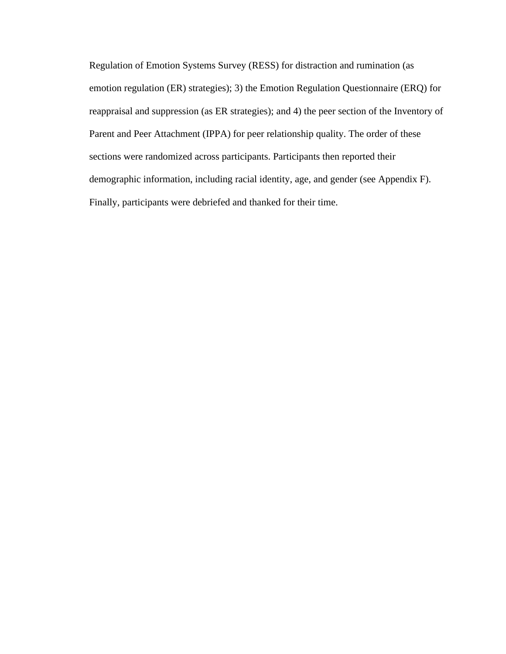Regulation of Emotion Systems Survey (RESS) for distraction and rumination (as emotion regulation (ER) strategies); 3) the Emotion Regulation Questionnaire (ERQ) for reappraisal and suppression (as ER strategies); and 4) the peer section of the Inventory of Parent and Peer Attachment (IPPA) for peer relationship quality. The order of these sections were randomized across participants. Participants then reported their demographic information, including racial identity, age, and gender (see Appendix F). Finally, participants were debriefed and thanked for their time.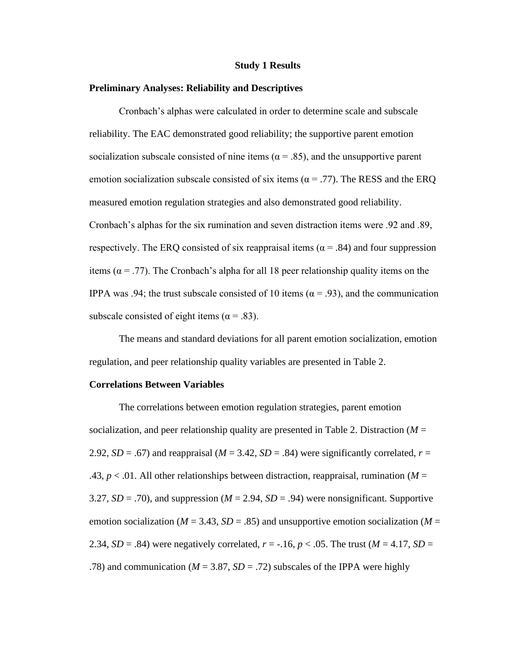#### **Study 1 Results**

## <span id="page-32-1"></span><span id="page-32-0"></span>**Preliminary Analyses: Reliability and Descriptives**

Cronbach's alphas were calculated in order to determine scale and subscale reliability. The EAC demonstrated good reliability; the supportive parent emotion socialization subscale consisted of nine items ( $\alpha$  = .85), and the unsupportive parent emotion socialization subscale consisted of six items ( $\alpha$  = .77). The RESS and the ERQ measured emotion regulation strategies and also demonstrated good reliability. Cronbach's alphas for the six rumination and seven distraction items were .92 and .89, respectively. The ERQ consisted of six reappraisal items ( $\alpha$  = .84) and four suppression items ( $\alpha$  = .77). The Cronbach's alpha for all 18 peer relationship quality items on the IPPA was .94; the trust subscale consisted of 10 items ( $\alpha$  = .93), and the communication subscale consisted of eight items ( $\alpha$  = .83).

The means and standard deviations for all parent emotion socialization, emotion regulation, and peer relationship quality variables are presented in Table 2.

## <span id="page-32-2"></span>**Correlations Between Variables**

The correlations between emotion regulation strategies, parent emotion socialization, and peer relationship quality are presented in Table 2. Distraction (*M* = 2.92,  $SD = .67$  and reappraisal ( $M = 3.42$ ,  $SD = .84$ ) were significantly correlated,  $r =$ .43,  $p < .01$ . All other relationships between distraction, reappraisal, rumination ( $M =$ 3.27,  $SD = .70$ ), and suppression ( $M = 2.94$ ,  $SD = .94$ ) were nonsignificant. Supportive emotion socialization ( $M = 3.43$ ,  $SD = .85$ ) and unsupportive emotion socialization ( $M =$ 2.34, *SD* = .84) were negatively correlated,  $r = -16$ ,  $p < .05$ . The trust ( $M = 4.17$ , *SD* = .78) and communication ( $M = 3.87$ ,  $SD = .72$ ) subscales of the IPPA were highly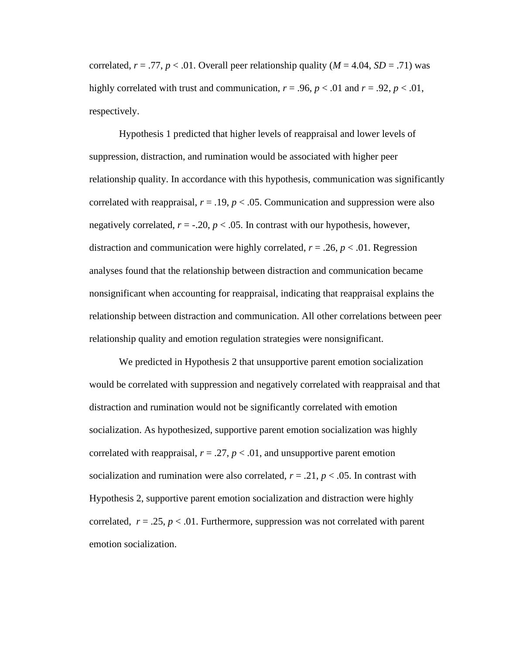correlated,  $r = .77$ ,  $p < .01$ . Overall peer relationship quality ( $M = 4.04$ ,  $SD = .71$ ) was highly correlated with trust and communication,  $r = .96$ ,  $p < .01$  and  $r = .92$ ,  $p < .01$ , respectively.

Hypothesis 1 predicted that higher levels of reappraisal and lower levels of suppression, distraction, and rumination would be associated with higher peer relationship quality. In accordance with this hypothesis, communication was significantly correlated with reappraisal,  $r = .19$ ,  $p < .05$ . Communication and suppression were also negatively correlated,  $r = -.20$ ,  $p < .05$ . In contrast with our hypothesis, however, distraction and communication were highly correlated,  $r = .26$ ,  $p < .01$ . Regression analyses found that the relationship between distraction and communication became nonsignificant when accounting for reappraisal, indicating that reappraisal explains the relationship between distraction and communication. All other correlations between peer relationship quality and emotion regulation strategies were nonsignificant.

We predicted in Hypothesis 2 that unsupportive parent emotion socialization would be correlated with suppression and negatively correlated with reappraisal and that distraction and rumination would not be significantly correlated with emotion socialization. As hypothesized, supportive parent emotion socialization was highly correlated with reappraisal,  $r = .27$ ,  $p < .01$ , and unsupportive parent emotion socialization and rumination were also correlated,  $r = .21$ ,  $p < .05$ . In contrast with Hypothesis 2, supportive parent emotion socialization and distraction were highly correlated,  $r = .25$ ,  $p < .01$ . Furthermore, suppression was not correlated with parent emotion socialization.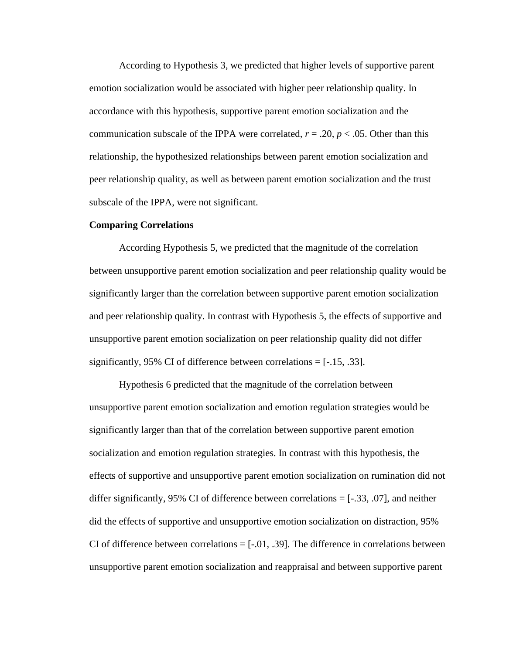According to Hypothesis 3, we predicted that higher levels of supportive parent emotion socialization would be associated with higher peer relationship quality. In accordance with this hypothesis, supportive parent emotion socialization and the communication subscale of the IPPA were correlated,  $r = .20$ ,  $p < .05$ . Other than this relationship, the hypothesized relationships between parent emotion socialization and peer relationship quality, as well as between parent emotion socialization and the trust subscale of the IPPA, were not significant.

## <span id="page-34-0"></span>**Comparing Correlations**

According Hypothesis 5, we predicted that the magnitude of the correlation between unsupportive parent emotion socialization and peer relationship quality would be significantly larger than the correlation between supportive parent emotion socialization and peer relationship quality. In contrast with Hypothesis 5, the effects of supportive and unsupportive parent emotion socialization on peer relationship quality did not differ significantly, 95% CI of difference between correlations  $=$  [-.15, .33].

Hypothesis 6 predicted that the magnitude of the correlation between unsupportive parent emotion socialization and emotion regulation strategies would be significantly larger than that of the correlation between supportive parent emotion socialization and emotion regulation strategies. In contrast with this hypothesis, the effects of supportive and unsupportive parent emotion socialization on rumination did not differ significantly, 95% CI of difference between correlations  $=$  [ $-.33, .07$ ], and neither did the effects of supportive and unsupportive emotion socialization on distraction, 95% CI of difference between correlations  $=[-.01, .39]$ . The difference in correlations between unsupportive parent emotion socialization and reappraisal and between supportive parent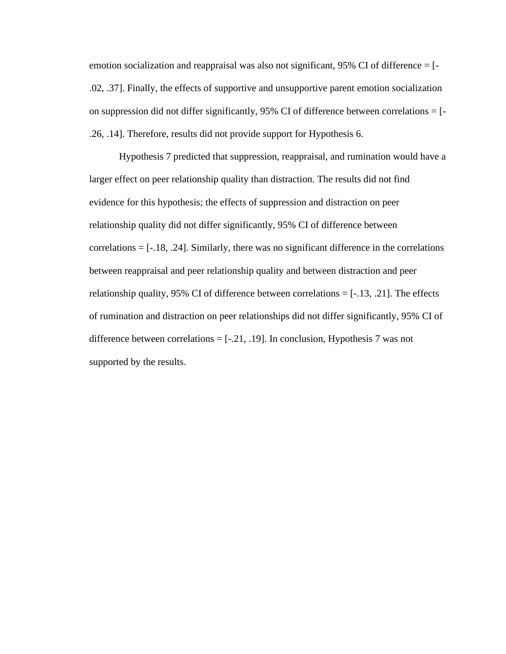emotion socialization and reappraisal was also not significant, 95% CI of difference = [- .02, .37]. Finally, the effects of supportive and unsupportive parent emotion socialization on suppression did not differ significantly,  $95\%$  CI of difference between correlations = [-.26, .14]. Therefore, results did not provide support for Hypothesis 6.

Hypothesis 7 predicted that suppression, reappraisal, and rumination would have a larger effect on peer relationship quality than distraction. The results did not find evidence for this hypothesis; the effects of suppression and distraction on peer relationship quality did not differ significantly, 95% CI of difference between  $correlations = [-18, .24]$ . Similarly, there was no significant difference in the correlations between reappraisal and peer relationship quality and between distraction and peer relationship quality, 95% CI of difference between correlations  $=[-.13, .21]$ . The effects of rumination and distraction on peer relationships did not differ significantly, 95% CI of difference between correlations  $=[-.21, .19]$ . In conclusion, Hypothesis 7 was not supported by the results.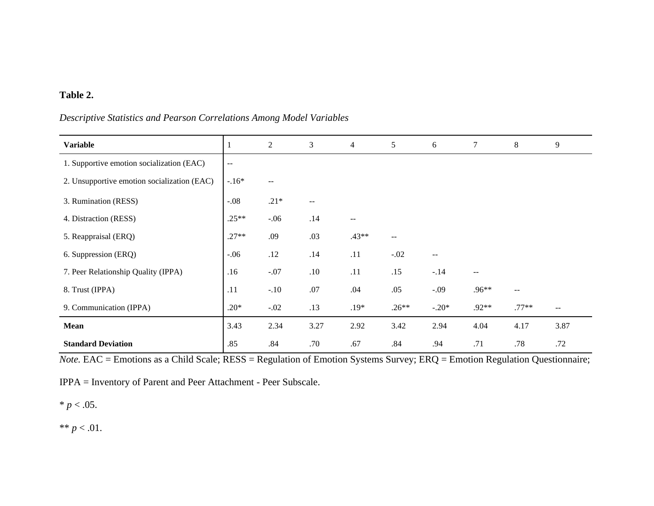# **Table 2.**

# *Descriptive Statistics and Pearson Correlations Among Model Variables*

| <b>Variable</b>                             | $\perp$                  | $\mathbf{2}$ | 3    | $\overline{4}$ | 5                 | 6                        | $\tau$                   | 8                        | 9     |
|---------------------------------------------|--------------------------|--------------|------|----------------|-------------------|--------------------------|--------------------------|--------------------------|-------|
| 1. Supportive emotion socialization (EAC)   | $\overline{\phantom{m}}$ |              |      |                |                   |                          |                          |                          |       |
| 2. Unsupportive emotion socialization (EAC) | $-.16*$                  | $-$          |      |                |                   |                          |                          |                          |       |
| 3. Rumination (RESS)                        | $-.08$                   | $.21*$       | --   |                |                   |                          |                          |                          |       |
| 4. Distraction (RESS)                       | $.25**$                  | $-.06$       | .14  | --             |                   |                          |                          |                          |       |
| 5. Reappraisal (ERQ)                        | $.27**$                  | .09          | .03  | $.43**$        | $\qquad \qquad -$ |                          |                          |                          |       |
| 6. Suppression (ERQ)                        | $-.06$                   | .12          | .14  | .11            | $-.02$            | $\overline{\phantom{m}}$ |                          |                          |       |
| 7. Peer Relationship Quality (IPPA)         | .16                      | $-.07$       | .10  | .11            | .15               | $-.14$                   | $\overline{\phantom{m}}$ |                          |       |
| 8. Trust (IPPA)                             | .11                      | $-.10$       | .07  | .04            | .05               | $-0.09$                  | .96**                    | $\overline{\phantom{m}}$ |       |
| 9. Communication (IPPA)                     | $.20*$                   | $-.02$       | .13  | $.19*$         | $.26**$           | $-.20*$                  | $.92**$                  | $.77**$                  | $- -$ |
| <b>Mean</b>                                 | 3.43                     | 2.34         | 3.27 | 2.92           | 3.42              | 2.94                     | 4.04                     | 4.17                     | 3.87  |
| <b>Standard Deviation</b>                   | .85                      | .84          | .70  | .67            | .84               | .94                      | .71                      | .78                      | .72   |

*Note.* EAC = Emotions as a Child Scale; RESS = Regulation of Emotion Systems Survey; ERQ = Emotion Regulation Questionnaire;

IPPA = Inventory of Parent and Peer Attachment - Peer Subscale.

 $* p < .05.$ 

\*\*  $p < .01$ .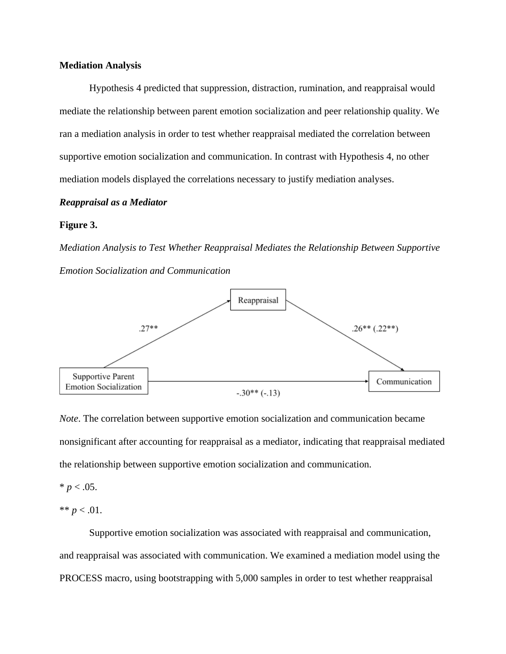#### **Mediation Analysis**

Hypothesis 4 predicted that suppression, distraction, rumination, and reappraisal would mediate the relationship between parent emotion socialization and peer relationship quality. We ran a mediation analysis in order to test whether reappraisal mediated the correlation between supportive emotion socialization and communication. In contrast with Hypothesis 4, no other mediation models displayed the correlations necessary to justify mediation analyses.

#### *Reappraisal as a Mediator*

#### **Figure 3.**

*Mediation Analysis to Test Whether Reappraisal Mediates the Relationship Between Supportive Emotion Socialization and Communication*



*Note*. The correlation between supportive emotion socialization and communication became nonsignificant after accounting for reappraisal as a mediator, indicating that reappraisal mediated the relationship between supportive emotion socialization and communication.

# $* p < .05.$

\*\*  $p < .01$ .

Supportive emotion socialization was associated with reappraisal and communication, and reappraisal was associated with communication. We examined a mediation model using the PROCESS macro, using bootstrapping with 5,000 samples in order to test whether reappraisal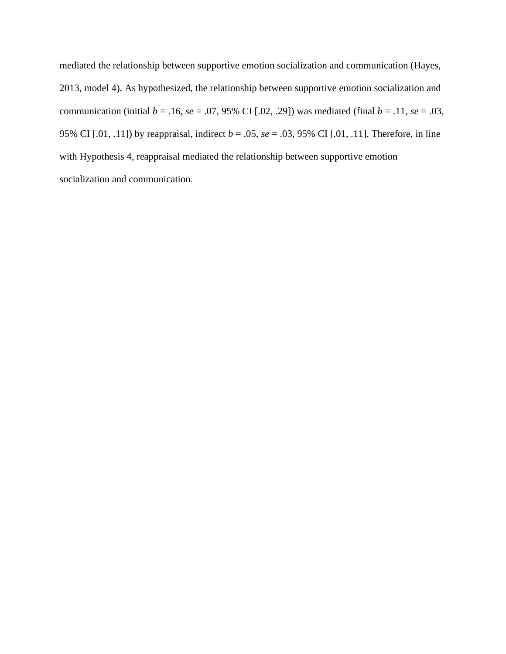mediated the relationship between supportive emotion socialization and communication (Hayes, 2013, model 4). As hypothesized, the relationship between supportive emotion socialization and communication (initial  $b = .16$ ,  $se = .07$ , 95% CI [.02, .29]) was mediated (final  $b = .11$ ,  $se = .03$ , 95% CI [.01, .11]) by reappraisal, indirect *b* = .05, *se* = .03, 95% CI [.01, .11]. Therefore, in line with Hypothesis 4, reappraisal mediated the relationship between supportive emotion socialization and communication.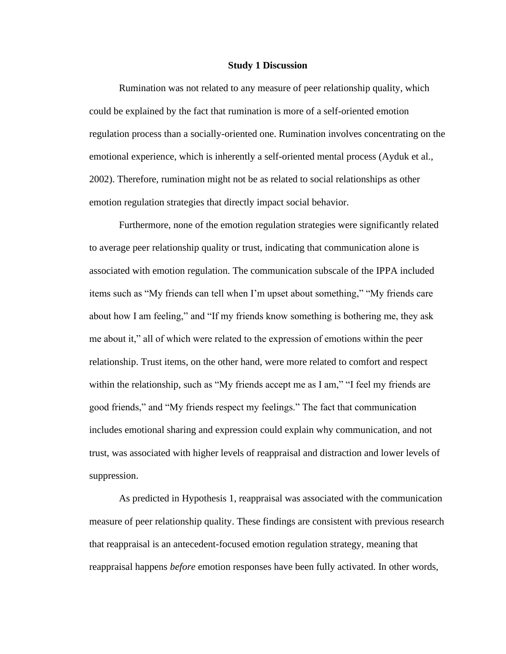#### **Study 1 Discussion**

Rumination was not related to any measure of peer relationship quality, which could be explained by the fact that rumination is more of a self-oriented emotion regulation process than a socially-oriented one. Rumination involves concentrating on the emotional experience, which is inherently a self-oriented mental process (Ayduk et al., 2002). Therefore, rumination might not be as related to social relationships as other emotion regulation strategies that directly impact social behavior.

Furthermore, none of the emotion regulation strategies were significantly related to average peer relationship quality or trust, indicating that communication alone is associated with emotion regulation. The communication subscale of the IPPA included items such as "My friends can tell when I'm upset about something," "My friends care about how I am feeling," and "If my friends know something is bothering me, they ask me about it," all of which were related to the expression of emotions within the peer relationship. Trust items, on the other hand, were more related to comfort and respect within the relationship, such as "My friends accept me as I am," "I feel my friends are good friends," and "My friends respect my feelings." The fact that communication includes emotional sharing and expression could explain why communication, and not trust, was associated with higher levels of reappraisal and distraction and lower levels of suppression.

As predicted in Hypothesis 1, reappraisal was associated with the communication measure of peer relationship quality. These findings are consistent with previous research that reappraisal is an antecedent-focused emotion regulation strategy, meaning that reappraisal happens *before* emotion responses have been fully activated. In other words,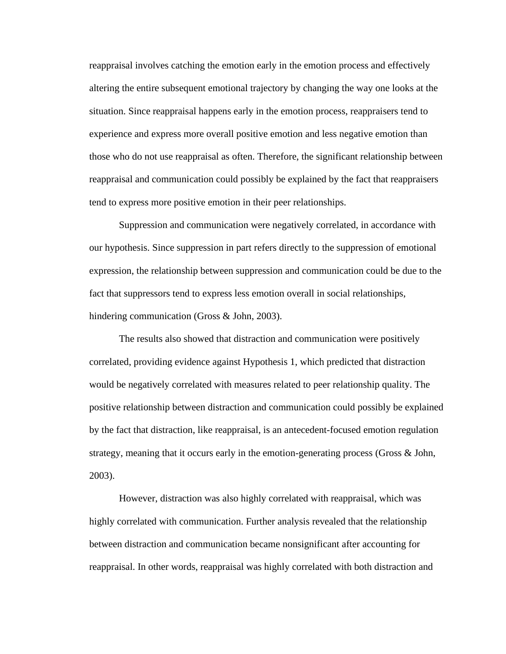reappraisal involves catching the emotion early in the emotion process and effectively altering the entire subsequent emotional trajectory by changing the way one looks at the situation. Since reappraisal happens early in the emotion process, reappraisers tend to experience and express more overall positive emotion and less negative emotion than those who do not use reappraisal as often. Therefore, the significant relationship between reappraisal and communication could possibly be explained by the fact that reappraisers tend to express more positive emotion in their peer relationships.

Suppression and communication were negatively correlated, in accordance with our hypothesis. Since suppression in part refers directly to the suppression of emotional expression, the relationship between suppression and communication could be due to the fact that suppressors tend to express less emotion overall in social relationships, hindering communication (Gross & John, 2003).

The results also showed that distraction and communication were positively correlated, providing evidence against Hypothesis 1, which predicted that distraction would be negatively correlated with measures related to peer relationship quality. The positive relationship between distraction and communication could possibly be explained by the fact that distraction, like reappraisal, is an antecedent-focused emotion regulation strategy, meaning that it occurs early in the emotion-generating process (Gross & John, 2003).

However, distraction was also highly correlated with reappraisal, which was highly correlated with communication. Further analysis revealed that the relationship between distraction and communication became nonsignificant after accounting for reappraisal. In other words, reappraisal was highly correlated with both distraction and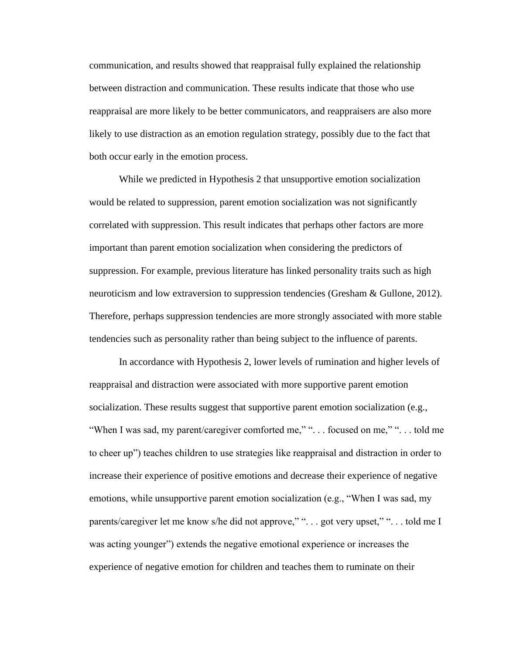communication, and results showed that reappraisal fully explained the relationship between distraction and communication. These results indicate that those who use reappraisal are more likely to be better communicators, and reappraisers are also more likely to use distraction as an emotion regulation strategy, possibly due to the fact that both occur early in the emotion process.

While we predicted in Hypothesis 2 that unsupportive emotion socialization would be related to suppression, parent emotion socialization was not significantly correlated with suppression. This result indicates that perhaps other factors are more important than parent emotion socialization when considering the predictors of suppression. For example, previous literature has linked personality traits such as high neuroticism and low extraversion to suppression tendencies (Gresham & Gullone, 2012). Therefore, perhaps suppression tendencies are more strongly associated with more stable tendencies such as personality rather than being subject to the influence of parents.

In accordance with Hypothesis 2, lower levels of rumination and higher levels of reappraisal and distraction were associated with more supportive parent emotion socialization. These results suggest that supportive parent emotion socialization (e.g., "When I was sad, my parent/caregiver comforted me," ". . . focused on me," ". . . told me to cheer up") teaches children to use strategies like reappraisal and distraction in order to increase their experience of positive emotions and decrease their experience of negative emotions, while unsupportive parent emotion socialization (e.g., "When I was sad, my parents/caregiver let me know s/he did not approve," "... got very upset," "... told me I was acting younger") extends the negative emotional experience or increases the experience of negative emotion for children and teaches them to ruminate on their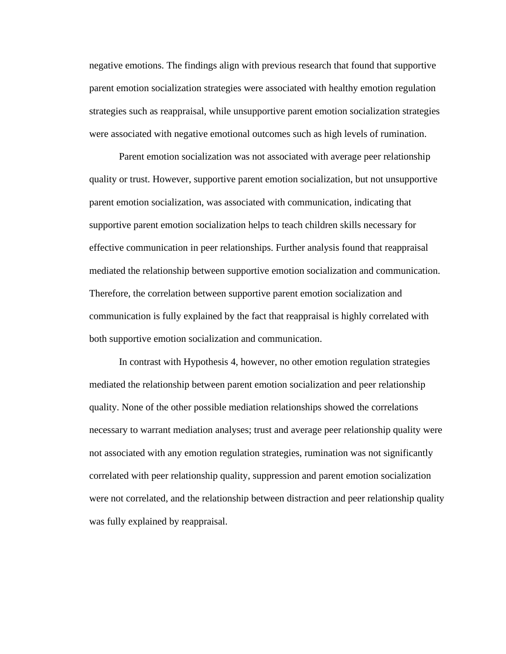negative emotions. The findings align with previous research that found that supportive parent emotion socialization strategies were associated with healthy emotion regulation strategies such as reappraisal, while unsupportive parent emotion socialization strategies were associated with negative emotional outcomes such as high levels of rumination.

Parent emotion socialization was not associated with average peer relationship quality or trust. However, supportive parent emotion socialization, but not unsupportive parent emotion socialization, was associated with communication, indicating that supportive parent emotion socialization helps to teach children skills necessary for effective communication in peer relationships. Further analysis found that reappraisal mediated the relationship between supportive emotion socialization and communication. Therefore, the correlation between supportive parent emotion socialization and communication is fully explained by the fact that reappraisal is highly correlated with both supportive emotion socialization and communication.

In contrast with Hypothesis 4, however, no other emotion regulation strategies mediated the relationship between parent emotion socialization and peer relationship quality. None of the other possible mediation relationships showed the correlations necessary to warrant mediation analyses; trust and average peer relationship quality were not associated with any emotion regulation strategies, rumination was not significantly correlated with peer relationship quality, suppression and parent emotion socialization were not correlated, and the relationship between distraction and peer relationship quality was fully explained by reappraisal.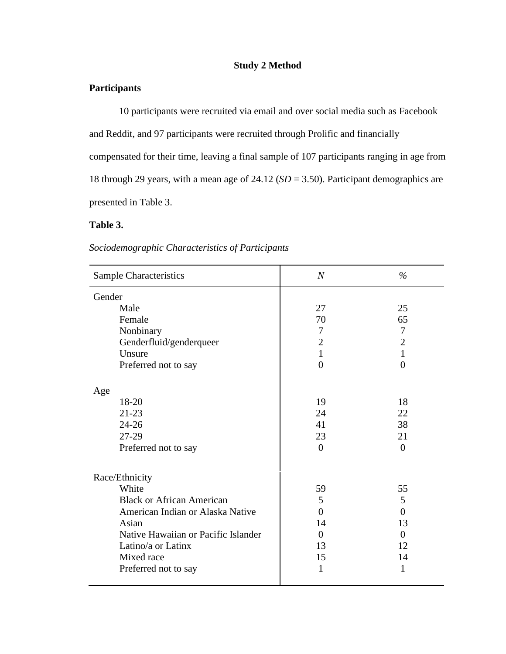# **Study 2 Method**

# **Participants**

10 participants were recruited via email and over social media such as Facebook and Reddit, and 97 participants were recruited through Prolific and financially compensated for their time, leaving a final sample of 107 participants ranging in age from 18 through 29 years, with a mean age of 24.12 (*SD* = 3.50). Participant demographics are presented in Table 3.

# **Table 3.**

# *Sociodemographic Characteristics of Participants*

| <b>Sample Characteristics</b>       | $\overline{N}$ | $\%$           |
|-------------------------------------|----------------|----------------|
| Gender                              |                |                |
| Male                                | 27             | 25             |
| Female                              | 70             | 65             |
| Nonbinary                           | $\tau$         | $\overline{7}$ |
| Genderfluid/genderqueer             | $\mathbf{2}$   | $\overline{2}$ |
| Unsure                              | $\mathbf{1}$   | $\mathbf{1}$   |
| Preferred not to say                | $\overline{0}$ | $\overline{0}$ |
| Age                                 |                |                |
| 18-20                               | 19             | 18             |
| $21 - 23$                           | 24             | 22             |
| $24 - 26$                           | 41             | 38             |
| 27-29                               | 23             | 21             |
| Preferred not to say                | $\theta$       | $\Omega$       |
| Race/Ethnicity                      |                |                |
| White                               | 59             | 55             |
| <b>Black or African American</b>    | 5              | 5              |
| American Indian or Alaska Native    | $\theta$       | $\theta$       |
| Asian                               | 14             | 13             |
| Native Hawaiian or Pacific Islander | $\overline{0}$ | $\Omega$       |
| Latino/a or Latinx                  | 13             | 12             |
| Mixed race                          | 15             | 14             |
| Preferred not to say                | $\mathbf{1}$   | 1              |
|                                     |                |                |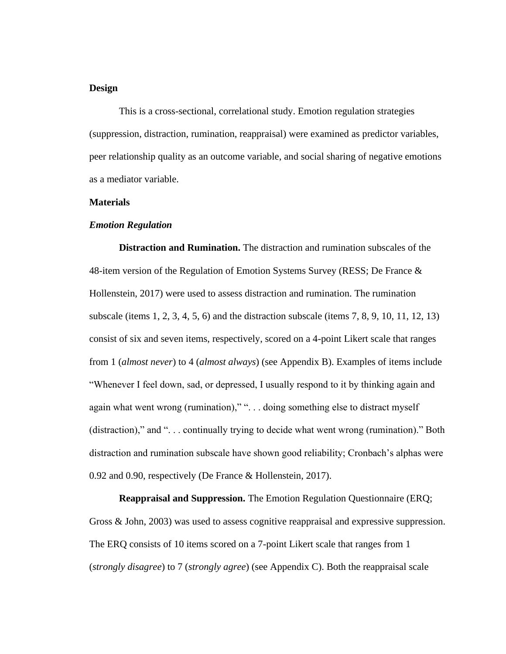## **Design**

This is a cross-sectional, correlational study. Emotion regulation strategies (suppression, distraction, rumination, reappraisal) were examined as predictor variables, peer relationship quality as an outcome variable, and social sharing of negative emotions as a mediator variable.

#### **Materials**

#### *Emotion Regulation*

**Distraction and Rumination.** The distraction and rumination subscales of the 48-item version of the Regulation of Emotion Systems Survey (RESS; De France & Hollenstein, 2017) were used to assess distraction and rumination. The rumination subscale (items 1, 2, 3, 4, 5, 6) and the distraction subscale (items 7, 8, 9, 10, 11, 12, 13) consist of six and seven items, respectively, scored on a 4-point Likert scale that ranges from 1 (*almost never*) to 4 (*almost always*) (see Appendix B). Examples of items include "Whenever I feel down, sad, or depressed, I usually respond to it by thinking again and again what went wrong (rumination)," ". . . doing something else to distract myself (distraction)," and ". . . continually trying to decide what went wrong (rumination)." Both distraction and rumination subscale have shown good reliability; Cronbach's alphas were 0.92 and 0.90, respectively (De France & Hollenstein, 2017).

**Reappraisal and Suppression.** The Emotion Regulation Questionnaire (ERQ; Gross & John, 2003) was used to assess cognitive reappraisal and expressive suppression. The ERQ consists of 10 items scored on a 7-point Likert scale that ranges from 1 (*strongly disagree*) to 7 (*strongly agree*) (see Appendix C). Both the reappraisal scale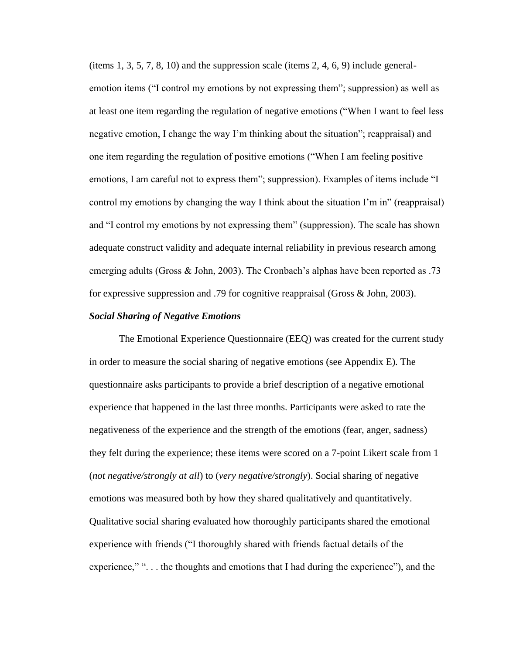(items  $1, 3, 5, 7, 8, 10$ ) and the suppression scale (items  $2, 4, 6, 9$ ) include generalemotion items ("I control my emotions by not expressing them"; suppression) as well as at least one item regarding the regulation of negative emotions ("When I want to feel less negative emotion, I change the way I'm thinking about the situation"; reappraisal) and one item regarding the regulation of positive emotions ("When I am feeling positive emotions, I am careful not to express them"; suppression). Examples of items include "I control my emotions by changing the way I think about the situation I'm in" (reappraisal) and "I control my emotions by not expressing them" (suppression). The scale has shown adequate construct validity and adequate internal reliability in previous research among emerging adults (Gross & John, 2003). The Cronbach's alphas have been reported as .73 for expressive suppression and .79 for cognitive reappraisal (Gross & John, 2003).

#### *Social Sharing of Negative Emotions*

The Emotional Experience Questionnaire (EEQ) was created for the current study in order to measure the social sharing of negative emotions (see Appendix E). The questionnaire asks participants to provide a brief description of a negative emotional experience that happened in the last three months. Participants were asked to rate the negativeness of the experience and the strength of the emotions (fear, anger, sadness) they felt during the experience; these items were scored on a 7-point Likert scale from 1 (*not negative/strongly at all*) to (*very negative/strongly*). Social sharing of negative emotions was measured both by how they shared qualitatively and quantitatively. Qualitative social sharing evaluated how thoroughly participants shared the emotional experience with friends ("I thoroughly shared with friends factual details of the experience," "... the thoughts and emotions that I had during the experience", and the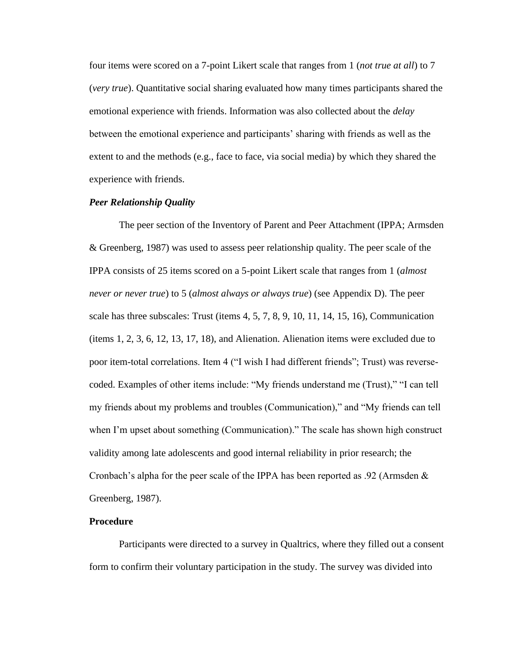four items were scored on a 7-point Likert scale that ranges from 1 (*not true at all*) to 7 (*very true*). Quantitative social sharing evaluated how many times participants shared the emotional experience with friends. Information was also collected about the *delay* between the emotional experience and participants' sharing with friends as well as the extent to and the methods (e.g., face to face, via social media) by which they shared the experience with friends.

#### *Peer Relationship Quality*

The peer section of the Inventory of Parent and Peer Attachment (IPPA; Armsden & Greenberg, 1987) was used to assess peer relationship quality. The peer scale of the IPPA consists of 25 items scored on a 5-point Likert scale that ranges from 1 (*almost never or never true*) to 5 (*almost always or always true*) (see Appendix D). The peer scale has three subscales: Trust (items 4, 5, 7, 8, 9, 10, 11, 14, 15, 16), Communication (items 1, 2, 3, 6, 12, 13, 17, 18), and Alienation. Alienation items were excluded due to poor item-total correlations. Item 4 ("I wish I had different friends"; Trust) was reversecoded. Examples of other items include: "My friends understand me (Trust)," "I can tell my friends about my problems and troubles (Communication)," and "My friends can tell when I'm upset about something (Communication)." The scale has shown high construct validity among late adolescents and good internal reliability in prior research; the Cronbach's alpha for the peer scale of the IPPA has been reported as .92 (Armsden  $\&$ Greenberg, 1987).

## **Procedure**

Participants were directed to a survey in Qualtrics, where they filled out a consent form to confirm their voluntary participation in the study. The survey was divided into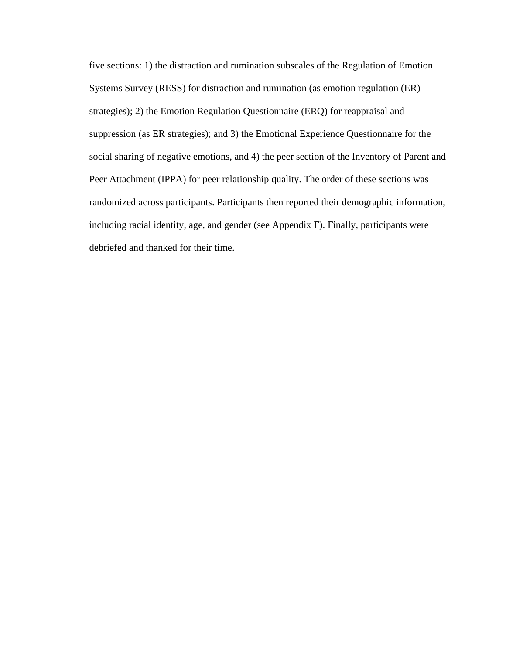five sections: 1) the distraction and rumination subscales of the Regulation of Emotion Systems Survey (RESS) for distraction and rumination (as emotion regulation (ER) strategies); 2) the Emotion Regulation Questionnaire (ERQ) for reappraisal and suppression (as ER strategies); and 3) the Emotional Experience Questionnaire for the social sharing of negative emotions, and 4) the peer section of the Inventory of Parent and Peer Attachment (IPPA) for peer relationship quality. The order of these sections was randomized across participants. Participants then reported their demographic information, including racial identity, age, and gender (see Appendix F). Finally, participants were debriefed and thanked for their time.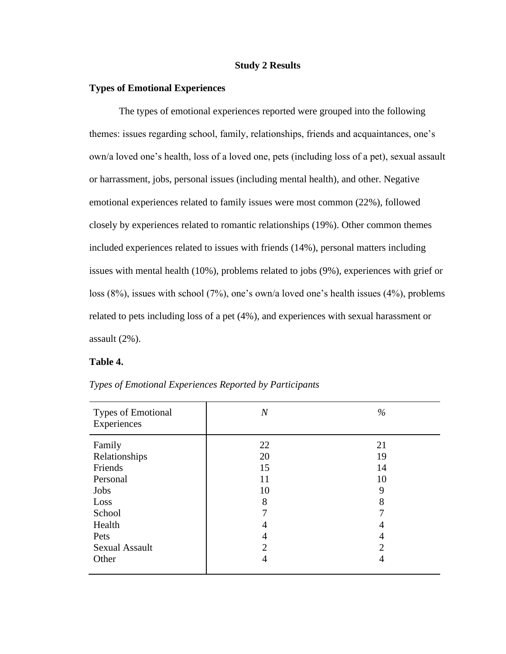#### **Study 2 Results**

# **Types of Emotional Experiences**

The types of emotional experiences reported were grouped into the following themes: issues regarding school, family, relationships, friends and acquaintances, one's own/a loved one's health, loss of a loved one, pets (including loss of a pet), sexual assault or harrassment, jobs, personal issues (including mental health), and other. Negative emotional experiences related to family issues were most common (22%), followed closely by experiences related to romantic relationships (19%). Other common themes included experiences related to issues with friends (14%), personal matters including issues with mental health (10%), problems related to jobs (9%), experiences with grief or loss (8%), issues with school (7%), one's own/a loved one's health issues (4%), problems related to pets including loss of a pet (4%), and experiences with sexual harassment or assault (2%).

#### **Table 4.**

| <b>Types of Emotional</b><br>Experiences                                 | $\overline{N}$                  | $\%$                           |
|--------------------------------------------------------------------------|---------------------------------|--------------------------------|
| Family<br>Relationships<br>Friends<br>Personal<br>Jobs<br>Loss<br>School | 22<br>20<br>15<br>11<br>10<br>8 | 21<br>19<br>14<br>10<br>9<br>8 |
| Health<br>Pets<br><b>Sexual Assault</b><br>Other                         | 4<br>4<br>2<br>4                | 4<br>4<br>າ<br>4               |

*Types of Emotional Experiences Reported by Participants*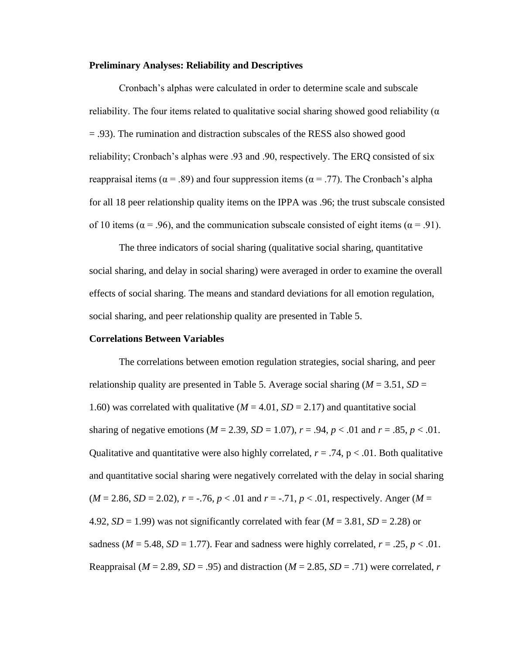#### **Preliminary Analyses: Reliability and Descriptives**

Cronbach's alphas were calculated in order to determine scale and subscale reliability. The four items related to qualitative social sharing showed good reliability ( $\alpha$ ) = .93). The rumination and distraction subscales of the RESS also showed good reliability; Cronbach's alphas were .93 and .90, respectively. The ERQ consisted of six reappraisal items ( $\alpha$  = .89) and four suppression items ( $\alpha$  = .77). The Cronbach's alpha for all 18 peer relationship quality items on the IPPA was .96; the trust subscale consisted of 10 items ( $\alpha$  = .96), and the communication subscale consisted of eight items ( $\alpha$  = .91).

The three indicators of social sharing (qualitative social sharing, quantitative social sharing, and delay in social sharing) were averaged in order to examine the overall effects of social sharing. The means and standard deviations for all emotion regulation, social sharing, and peer relationship quality are presented in Table 5.

#### **Correlations Between Variables**

The correlations between emotion regulation strategies, social sharing, and peer relationship quality are presented in Table 5. Average social sharing ( $M = 3.51$ ,  $SD =$ 1.60) was correlated with qualitative ( $M = 4.01$ ,  $SD = 2.17$ ) and quantitative social sharing of negative emotions  $(M = 2.39, SD = 1.07)$ ,  $r = .94$ ,  $p < .01$  and  $r = .85$ ,  $p < .01$ . Qualitative and quantitative were also highly correlated,  $r = .74$ ,  $p < .01$ . Both qualitative and quantitative social sharing were negatively correlated with the delay in social sharing  $(M = 2.86, SD = 2.02), r = -.76, p < .01$  and  $r = -.71, p < .01$ , respectively. Anger  $(M = 1.001)$ 4.92,  $SD = 1.99$ ) was not significantly correlated with fear  $(M = 3.81, SD = 2.28)$  or sadness ( $M = 5.48$ ,  $SD = 1.77$ ). Fear and sadness were highly correlated,  $r = .25$ ,  $p < .01$ . Reappraisal ( $M = 2.89$ ,  $SD = .95$ ) and distraction ( $M = 2.85$ ,  $SD = .71$ ) were correlated, *r*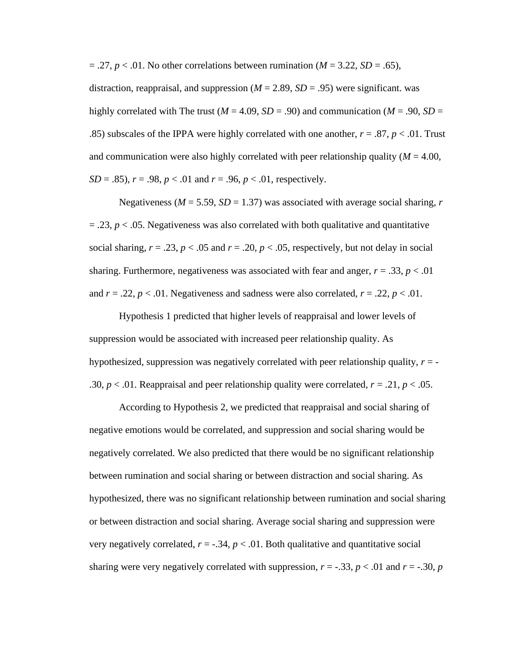$= .27, p < .01$ . No other correlations between rumination ( $M = 3.22$ ,  $SD = .65$ ),

distraction, reappraisal, and suppression  $(M = 2.89, SD = .95)$  were significant. was highly correlated with The trust ( $M = 4.09$ ,  $SD = .90$ ) and communication ( $M = .90$ ,  $SD =$ .85) subscales of the IPPA were highly correlated with one another,  $r = .87$ ,  $p < .01$ . Trust and communication were also highly correlated with peer relationship quality  $(M = 4.00)$ , *SD* = .85),  $r = .98$ ,  $p < .01$  and  $r = .96$ ,  $p < .01$ , respectively.

Negativeness ( $M = 5.59$ ,  $SD = 1.37$ ) was associated with average social sharing, *r*  $=$  .23,  $p <$  .05. Negativeness was also correlated with both qualitative and quantitative social sharing,  $r = .23$ ,  $p < .05$  and  $r = .20$ ,  $p < .05$ , respectively, but not delay in social sharing. Furthermore, negativeness was associated with fear and anger,  $r = .33$ ,  $p < .01$ and  $r = .22$ ,  $p < .01$ . Negativeness and sadness were also correlated,  $r = .22$ ,  $p < .01$ .

Hypothesis 1 predicted that higher levels of reappraisal and lower levels of suppression would be associated with increased peer relationship quality. As hypothesized, suppression was negatively correlated with peer relationship quality, *r* = - .30,  $p < 0.01$ . Reappraisal and peer relationship quality were correlated,  $r = 0.21$ ,  $p < 0.05$ .

According to Hypothesis 2, we predicted that reappraisal and social sharing of negative emotions would be correlated, and suppression and social sharing would be negatively correlated. We also predicted that there would be no significant relationship between rumination and social sharing or between distraction and social sharing. As hypothesized, there was no significant relationship between rumination and social sharing or between distraction and social sharing. Average social sharing and suppression were very negatively correlated,  $r = -.34$ ,  $p < .01$ . Both qualitative and quantitative social sharing were very negatively correlated with suppression,  $r = -.33$ ,  $p < .01$  and  $r = -.30$ ,  $p$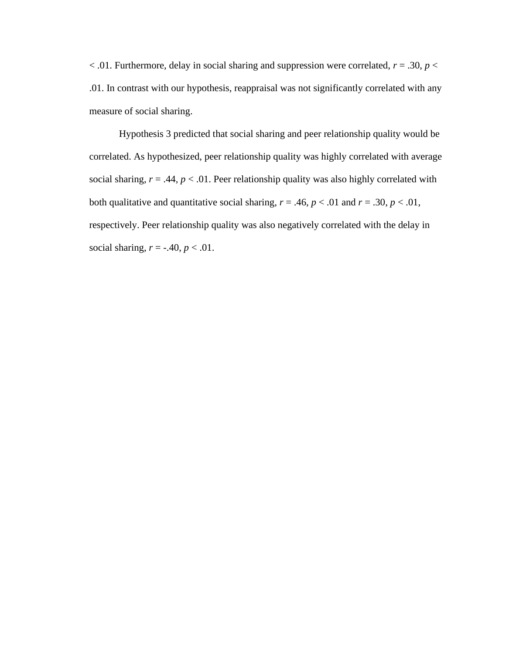$<$  01. Furthermore, delay in social sharing and suppression were correlated,  $r = .30$ ,  $p <$ .01. In contrast with our hypothesis, reappraisal was not significantly correlated with any measure of social sharing.

Hypothesis 3 predicted that social sharing and peer relationship quality would be correlated. As hypothesized, peer relationship quality was highly correlated with average social sharing,  $r = .44$ ,  $p < .01$ . Peer relationship quality was also highly correlated with both qualitative and quantitative social sharing,  $r = .46$ ,  $p < .01$  and  $r = .30$ ,  $p < .01$ , respectively. Peer relationship quality was also negatively correlated with the delay in social sharing,  $r = -.40$ ,  $p < .01$ .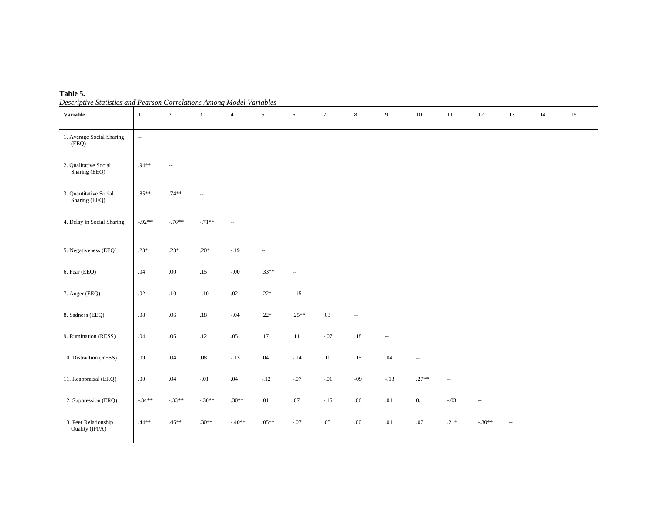| <b>Table 5.</b>                                                       |  |
|-----------------------------------------------------------------------|--|
| Descriptive Statistics and Pearson Correlations Among Model Variables |  |

| Descriptive Statistics and I earson Corretations Among model variables<br><b>Variable</b> | 1        | $\overline{2}$           | $\mathfrak{Z}$ | $\overline{4}$           | 5             | 6            | $7\phantom{.0}$          | $8\,$                    | 9                        | $10\,$  | 11     | 12       | 13                       | 14 | 15 |
|-------------------------------------------------------------------------------------------|----------|--------------------------|----------------|--------------------------|---------------|--------------|--------------------------|--------------------------|--------------------------|---------|--------|----------|--------------------------|----|----|
|                                                                                           |          |                          |                |                          |               |              |                          |                          |                          |         |        |          |                          |    |    |
| 1. Average Social Sharing<br>(EEQ)                                                        | ω.       |                          |                |                          |               |              |                          |                          |                          |         |        |          |                          |    |    |
| 2. Qualitative Social<br>Sharing (EEQ)                                                    | $.94**$  | $\overline{\phantom{a}}$ |                |                          |               |              |                          |                          |                          |         |        |          |                          |    |    |
| 3. Quantitative Social<br>Sharing (EEQ)                                                   | $.85**$  | $.74**$                  | Ξ.             |                          |               |              |                          |                          |                          |         |        |          |                          |    |    |
| 4. Delay in Social Sharing                                                                | $-92**$  | $-.76**$                 | $-.71**$       | $\overline{\phantom{a}}$ |               |              |                          |                          |                          |         |        |          |                          |    |    |
| 5. Negativeness (EEQ)                                                                     | $.23*$   | $.23*$                   | $.20*$         | $-.19$                   | $-\, -$       |              |                          |                          |                          |         |        |          |                          |    |    |
| 6. Fear (EEQ)                                                                             | .04      | $.00\,$                  | $.15\,$        | $-.00$                   | $.33**$       | $\mathbf{u}$ |                          |                          |                          |         |        |          |                          |    |    |
| 7. Anger (EEQ)                                                                            | .02      | $.10\,$                  | $-.10$         | $.02\,$                  | $.22\ast$     | $-.15$       | $\overline{\phantom{a}}$ |                          |                          |         |        |          |                          |    |    |
| 8. Sadness (EEQ)                                                                          | $.08\,$  | $.06\,$                  | $.18\,$        | $-.04$                   | $.22\ast$     | $.25**$      | $.03\,$                  | $\overline{\phantom{a}}$ |                          |         |        |          |                          |    |    |
| 9. Rumination (RESS)                                                                      | $.04\,$  | $.06\,$                  | .12            | $.05\,$                  | .17           | $.11\,$      | $\text{-}.07$            | $.18\,$                  | $\overline{\phantom{a}}$ |         |        |          |                          |    |    |
| 10. Distraction (RESS)                                                                    | $.09\,$  | $.04\,$                  | $.08\,$        | $-.13$                   | $.04\,$       | $-.14$       | $.10\,$                  | .15                      | $.04$                    | $\sim$  |        |          |                          |    |    |
| 11. Reappraisal (ERQ)                                                                     | $.00\,$  | $.04\,$                  | $-.01$         | .04                      | $\text{-}.12$ | $-.07$       | $-.01$                   | $-09$                    | $-.13$                   | $.27**$ | $\sim$ |          |                          |    |    |
| 12. Suppression (ERQ)                                                                     | $-.34**$ | $-.33**$                 | $-.30**$       | $.30**$                  | $.01\,$       | $.07$        | $-.15$                   | .06                      | $.01\,$                  | $0.1\,$ | $-.03$ | Ξ.       |                          |    |    |
| 13. Peer Relationship<br>Quality (IPPA)                                                   | $.44**$  | $.46**$                  | $.30**$        | $-40**$                  | $.05**$       | $-.07$       | $.05\,$                  | $.00\,$                  | $.01\,$                  | $.07$   | $.21*$ | $-.30**$ | $\overline{\phantom{a}}$ |    |    |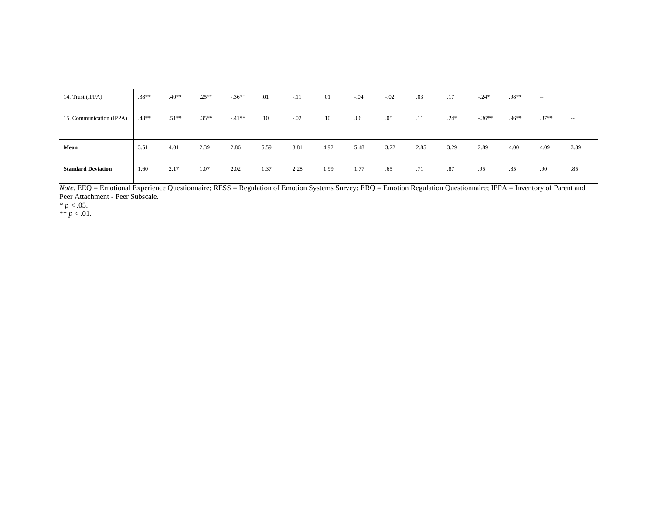| 14. Trust (IPPA)          | $.38**$ | $.40**$ | $.25**$ | $-36**$ | .01     | $-.11$ | .01  | $-.04$ | $-.02$ | .03  | .17    | $-24*$  | .98**   | $\sim$ $\sim$ |        |
|---------------------------|---------|---------|---------|---------|---------|--------|------|--------|--------|------|--------|---------|---------|---------------|--------|
| 15. Communication (IPPA)  | .48**   | $.51**$ | $.35**$ | $-41**$ | $.10\,$ | $-.02$ | .10  | .06    | .05    | .11  | $.24*$ | $-36**$ | $.96**$ | $.87**$       | $\sim$ |
|                           |         |         |         |         |         |        |      |        |        |      |        |         |         |               |        |
| Mean                      | 3.51    | 4.01    | 2.39    | 2.86    | 5.59    | 3.81   | 4.92 | 5.48   | 3.22   | 2.85 | 3.29   | 2.89    | 4.00    | 4.09          | 3.89   |
| <b>Standard Deviation</b> | 1.60    | 2.17    | 1.07    | 2.02    | 1.37    | 2.28   | 1.99 | 1.77   | .65    | .71  | .87    | .95     | .85     | .90           | .85    |

*Note.* EEQ = Emotional Experience Questionnaire; RESS = Regulation of Emotion Systems Survey; ERQ = Emotion Regulation Questionnaire; IPPA = Inventory of Parent and Peer Attachment - Peer Subscale.

 $* p < .05.$ 

\*\*  $p < .01$ .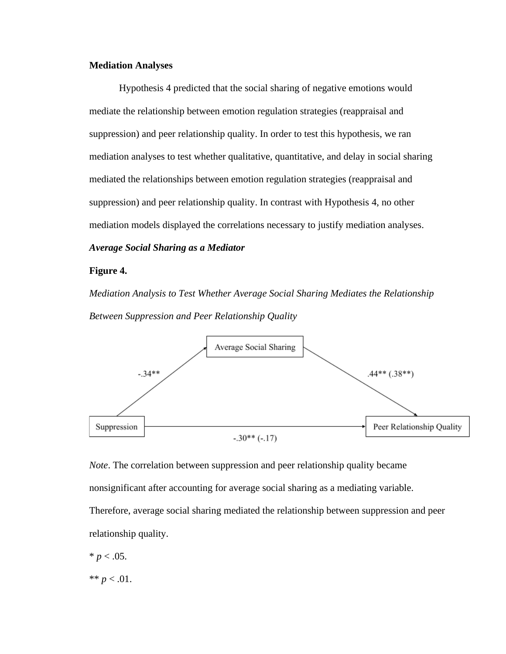## **Mediation Analyses**

Hypothesis 4 predicted that the social sharing of negative emotions would mediate the relationship between emotion regulation strategies (reappraisal and suppression) and peer relationship quality. In order to test this hypothesis, we ran mediation analyses to test whether qualitative, quantitative, and delay in social sharing mediated the relationships between emotion regulation strategies (reappraisal and suppression) and peer relationship quality. In contrast with Hypothesis 4, no other mediation models displayed the correlations necessary to justify mediation analyses. *Average Social Sharing as a Mediator*

#### **Figure 4.**

*Mediation Analysis to Test Whether Average Social Sharing Mediates the Relationship Between Suppression and Peer Relationship Quality*



*Note*. The correlation between suppression and peer relationship quality became

nonsignificant after accounting for average social sharing as a mediating variable.

Therefore, average social sharing mediated the relationship between suppression and peer relationship quality.

$$
* p < .05.
$$

\*\*  $p < .01$ .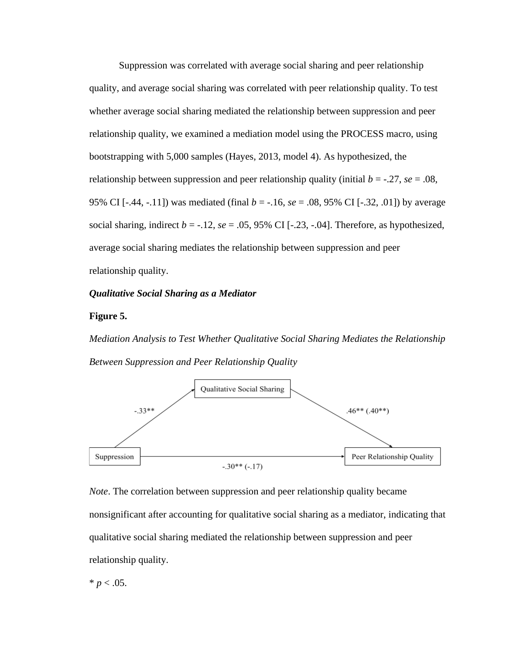Suppression was correlated with average social sharing and peer relationship quality, and average social sharing was correlated with peer relationship quality. To test whether average social sharing mediated the relationship between suppression and peer relationship quality, we examined a mediation model using the PROCESS macro, using bootstrapping with 5,000 samples (Hayes, 2013, model 4). As hypothesized, the relationship between suppression and peer relationship quality (initial  $b = -0.27$ ,  $se = 0.08$ , 95% CI [-.44, -.11]) was mediated (final *b* = -.16, *se* = .08, 95% CI [-.32, .01]) by average social sharing, indirect  $b = -.12$ ,  $se = .05$ , 95% CI  $[-.23, -.04]$ . Therefore, as hypothesized, average social sharing mediates the relationship between suppression and peer relationship quality.

#### *Qualitative Social Sharing as a Mediator*

#### **Figure 5.**

*Mediation Analysis to Test Whether Qualitative Social Sharing Mediates the Relationship Between Suppression and Peer Relationship Quality*



*Note*. The correlation between suppression and peer relationship quality became nonsignificant after accounting for qualitative social sharing as a mediator, indicating that qualitative social sharing mediated the relationship between suppression and peer relationship quality.

$$
* p < .05
$$
.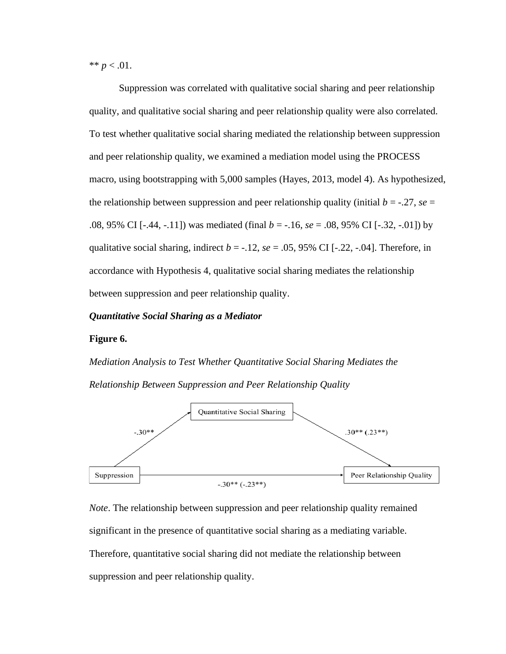\*\*  $p < .01$ .

Suppression was correlated with qualitative social sharing and peer relationship quality, and qualitative social sharing and peer relationship quality were also correlated. To test whether qualitative social sharing mediated the relationship between suppression and peer relationship quality, we examined a mediation model using the PROCESS macro, using bootstrapping with 5,000 samples (Hayes, 2013, model 4). As hypothesized, the relationship between suppression and peer relationship quality (initial  $b = -0.27$ ,  $se =$ .08, 95% CI [-.44, -.11]) was mediated (final *b* = -.16, *se* = .08, 95% CI [-.32, -.01]) by qualitative social sharing, indirect  $b = -.12$ ,  $se = .05$ , 95% CI [ $-.22, -.04$ ]. Therefore, in accordance with Hypothesis 4, qualitative social sharing mediates the relationship between suppression and peer relationship quality.

#### *Quantitative Social Sharing as a Mediator*

#### **Figure 6.**

*Mediation Analysis to Test Whether Quantitative Social Sharing Mediates the Relationship Between Suppression and Peer Relationship Quality*



*Note*. The relationship between suppression and peer relationship quality remained significant in the presence of quantitative social sharing as a mediating variable. Therefore, quantitative social sharing did not mediate the relationship between suppression and peer relationship quality.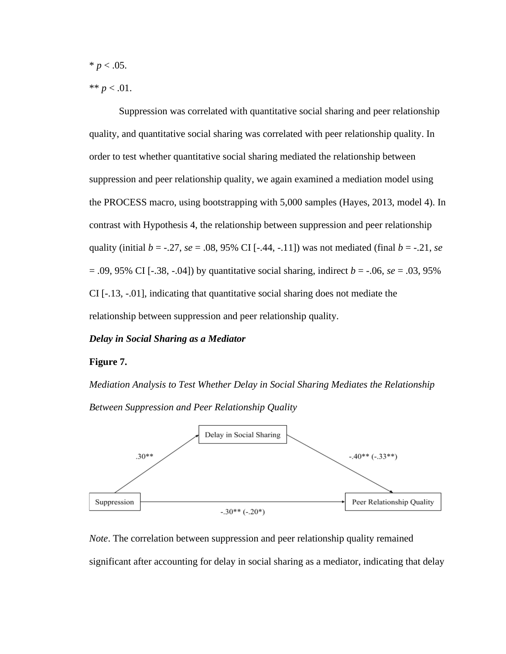$* p < .05.$ 

\*\*  $p < .01$ .

Suppression was correlated with quantitative social sharing and peer relationship quality, and quantitative social sharing was correlated with peer relationship quality. In order to test whether quantitative social sharing mediated the relationship between suppression and peer relationship quality, we again examined a mediation model using the PROCESS macro, using bootstrapping with 5,000 samples (Hayes, 2013, model 4). In contrast with Hypothesis 4, the relationship between suppression and peer relationship quality (initial  $b = -.27$ ,  $se = .08, 95\%$  CI [-.44, -.11]) was not mediated (final  $b = -.21$ ,  $se$ = .09, 95% CI [-.38, -.04]) by quantitative social sharing, indirect *b* = -.06, *se* = .03, 95% CI [-.13, -.01], indicating that quantitative social sharing does not mediate the relationship between suppression and peer relationship quality.

#### *Delay in Social Sharing as a Mediator*

#### **Figure 7.**

*Mediation Analysis to Test Whether Delay in Social Sharing Mediates the Relationship Between Suppression and Peer Relationship Quality*



*Note*. The correlation between suppression and peer relationship quality remained significant after accounting for delay in social sharing as a mediator, indicating that delay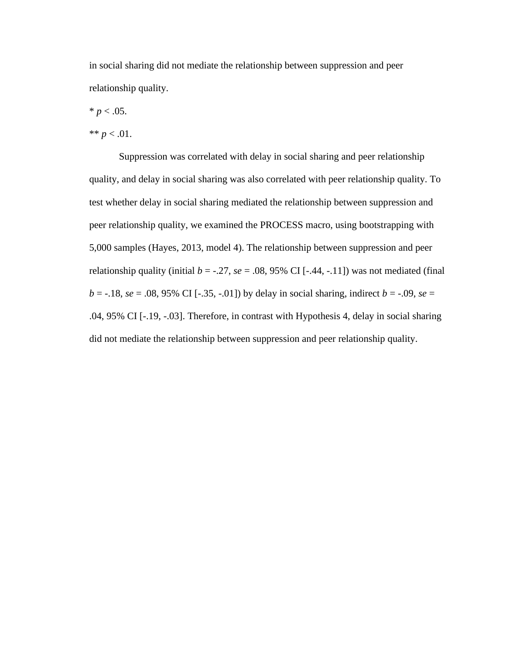in social sharing did not mediate the relationship between suppression and peer relationship quality.

 $* p < .05.$ 

\*\*  $p < .01$ .

Suppression was correlated with delay in social sharing and peer relationship quality, and delay in social sharing was also correlated with peer relationship quality. To test whether delay in social sharing mediated the relationship between suppression and peer relationship quality, we examined the PROCESS macro, using bootstrapping with 5,000 samples (Hayes, 2013, model 4). The relationship between suppression and peer relationship quality (initial  $b = -.27$ ,  $se = .08$ , 95% CI [-.44, -.11]) was not mediated (final  $b = -.18$ ,  $se = .08$ , 95% CI [ $-.35, -.01$ ]) by delay in social sharing, indirect  $b = .09$ ,  $se =$ .04, 95% CI [-.19, -.03]. Therefore, in contrast with Hypothesis 4, delay in social sharing did not mediate the relationship between suppression and peer relationship quality.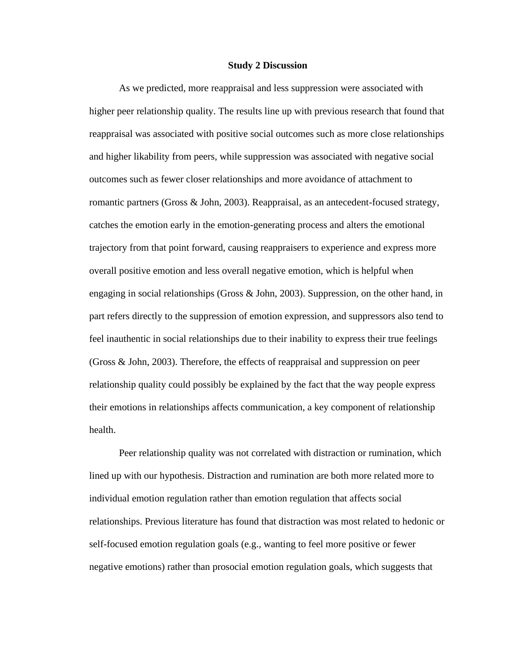#### **Study 2 Discussion**

As we predicted, more reappraisal and less suppression were associated with higher peer relationship quality. The results line up with previous research that found that reappraisal was associated with positive social outcomes such as more close relationships and higher likability from peers, while suppression was associated with negative social outcomes such as fewer closer relationships and more avoidance of attachment to romantic partners (Gross  $\&$  John, 2003). Reappraisal, as an antecedent-focused strategy, catches the emotion early in the emotion-generating process and alters the emotional trajectory from that point forward, causing reappraisers to experience and express more overall positive emotion and less overall negative emotion, which is helpful when engaging in social relationships (Gross & John, 2003). Suppression, on the other hand, in part refers directly to the suppression of emotion expression, and suppressors also tend to feel inauthentic in social relationships due to their inability to express their true feelings (Gross & John, 2003). Therefore, the effects of reappraisal and suppression on peer relationship quality could possibly be explained by the fact that the way people express their emotions in relationships affects communication, a key component of relationship health.

Peer relationship quality was not correlated with distraction or rumination, which lined up with our hypothesis. Distraction and rumination are both more related more to individual emotion regulation rather than emotion regulation that affects social relationships. Previous literature has found that distraction was most related to hedonic or self-focused emotion regulation goals (e.g., wanting to feel more positive or fewer negative emotions) rather than prosocial emotion regulation goals, which suggests that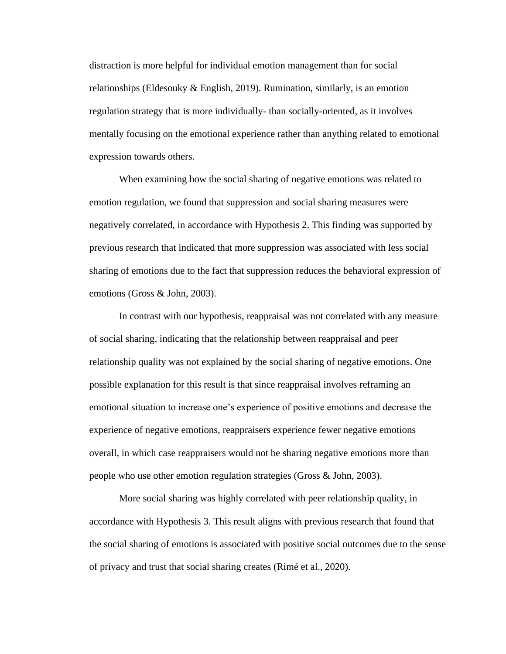distraction is more helpful for individual emotion management than for social relationships (Eldesouky & English, 2019). Rumination, similarly, is an emotion regulation strategy that is more individually- than socially-oriented, as it involves mentally focusing on the emotional experience rather than anything related to emotional expression towards others.

When examining how the social sharing of negative emotions was related to emotion regulation, we found that suppression and social sharing measures were negatively correlated, in accordance with Hypothesis 2. This finding was supported by previous research that indicated that more suppression was associated with less social sharing of emotions due to the fact that suppression reduces the behavioral expression of emotions (Gross & John, 2003).

In contrast with our hypothesis, reappraisal was not correlated with any measure of social sharing, indicating that the relationship between reappraisal and peer relationship quality was not explained by the social sharing of negative emotions. One possible explanation for this result is that since reappraisal involves reframing an emotional situation to increase one's experience of positive emotions and decrease the experience of negative emotions, reappraisers experience fewer negative emotions overall, in which case reappraisers would not be sharing negative emotions more than people who use other emotion regulation strategies (Gross & John, 2003).

More social sharing was highly correlated with peer relationship quality, in accordance with Hypothesis 3. This result aligns with previous research that found that the social sharing of emotions is associated with positive social outcomes due to the sense of privacy and trust that social sharing creates (Rimé et al., 2020).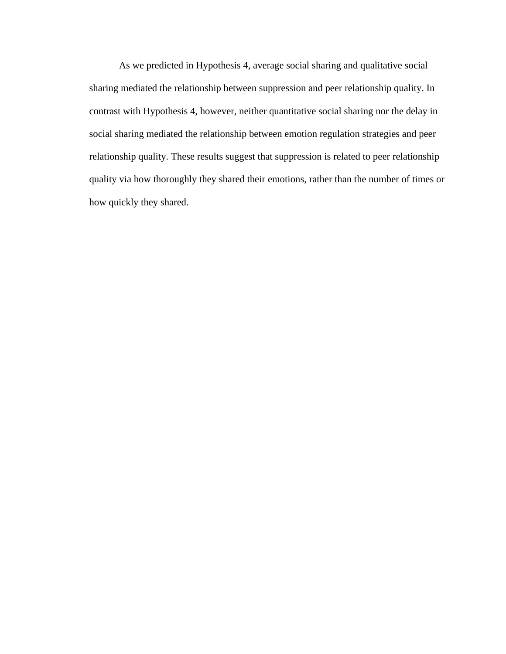As we predicted in Hypothesis 4, average social sharing and qualitative social sharing mediated the relationship between suppression and peer relationship quality. In contrast with Hypothesis 4, however, neither quantitative social sharing nor the delay in social sharing mediated the relationship between emotion regulation strategies and peer relationship quality. These results suggest that suppression is related to peer relationship quality via how thoroughly they shared their emotions, rather than the number of times or how quickly they shared.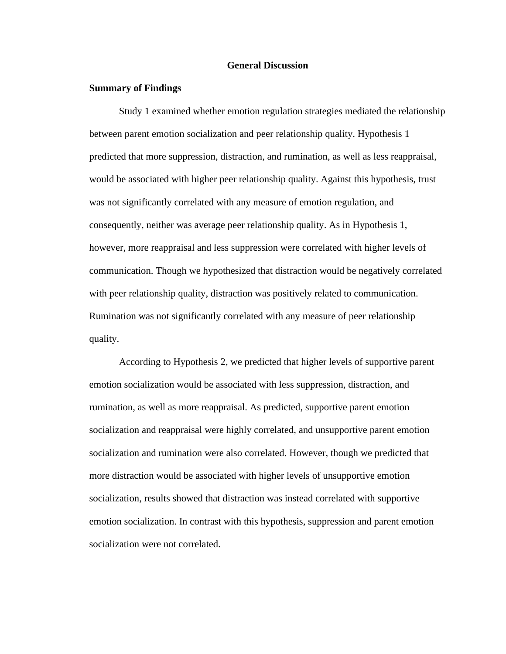#### **General Discussion**

#### **Summary of Findings**

Study 1 examined whether emotion regulation strategies mediated the relationship between parent emotion socialization and peer relationship quality. Hypothesis 1 predicted that more suppression, distraction, and rumination, as well as less reappraisal, would be associated with higher peer relationship quality. Against this hypothesis, trust was not significantly correlated with any measure of emotion regulation, and consequently, neither was average peer relationship quality. As in Hypothesis 1, however, more reappraisal and less suppression were correlated with higher levels of communication. Though we hypothesized that distraction would be negatively correlated with peer relationship quality, distraction was positively related to communication. Rumination was not significantly correlated with any measure of peer relationship quality.

According to Hypothesis 2, we predicted that higher levels of supportive parent emotion socialization would be associated with less suppression, distraction, and rumination, as well as more reappraisal. As predicted, supportive parent emotion socialization and reappraisal were highly correlated, and unsupportive parent emotion socialization and rumination were also correlated. However, though we predicted that more distraction would be associated with higher levels of unsupportive emotion socialization, results showed that distraction was instead correlated with supportive emotion socialization. In contrast with this hypothesis, suppression and parent emotion socialization were not correlated.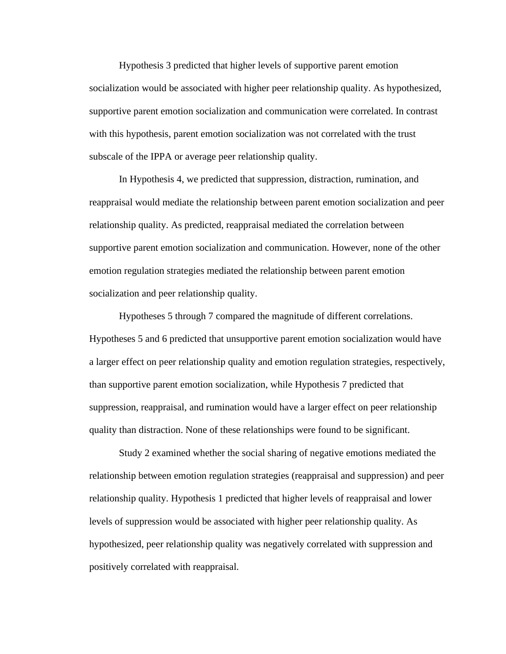Hypothesis 3 predicted that higher levels of supportive parent emotion socialization would be associated with higher peer relationship quality. As hypothesized, supportive parent emotion socialization and communication were correlated. In contrast with this hypothesis, parent emotion socialization was not correlated with the trust subscale of the IPPA or average peer relationship quality.

In Hypothesis 4, we predicted that suppression, distraction, rumination, and reappraisal would mediate the relationship between parent emotion socialization and peer relationship quality. As predicted, reappraisal mediated the correlation between supportive parent emotion socialization and communication. However, none of the other emotion regulation strategies mediated the relationship between parent emotion socialization and peer relationship quality.

Hypotheses 5 through 7 compared the magnitude of different correlations. Hypotheses 5 and 6 predicted that unsupportive parent emotion socialization would have a larger effect on peer relationship quality and emotion regulation strategies, respectively, than supportive parent emotion socialization, while Hypothesis 7 predicted that suppression, reappraisal, and rumination would have a larger effect on peer relationship quality than distraction. None of these relationships were found to be significant.

Study 2 examined whether the social sharing of negative emotions mediated the relationship between emotion regulation strategies (reappraisal and suppression) and peer relationship quality. Hypothesis 1 predicted that higher levels of reappraisal and lower levels of suppression would be associated with higher peer relationship quality. As hypothesized, peer relationship quality was negatively correlated with suppression and positively correlated with reappraisal.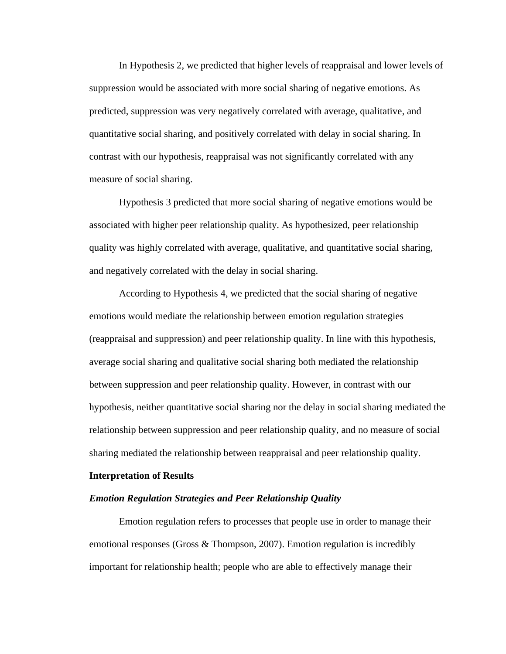In Hypothesis 2, we predicted that higher levels of reappraisal and lower levels of suppression would be associated with more social sharing of negative emotions. As predicted, suppression was very negatively correlated with average, qualitative, and quantitative social sharing, and positively correlated with delay in social sharing. In contrast with our hypothesis, reappraisal was not significantly correlated with any measure of social sharing.

Hypothesis 3 predicted that more social sharing of negative emotions would be associated with higher peer relationship quality. As hypothesized, peer relationship quality was highly correlated with average, qualitative, and quantitative social sharing, and negatively correlated with the delay in social sharing.

According to Hypothesis 4, we predicted that the social sharing of negative emotions would mediate the relationship between emotion regulation strategies (reappraisal and suppression) and peer relationship quality. In line with this hypothesis, average social sharing and qualitative social sharing both mediated the relationship between suppression and peer relationship quality. However, in contrast with our hypothesis, neither quantitative social sharing nor the delay in social sharing mediated the relationship between suppression and peer relationship quality, and no measure of social sharing mediated the relationship between reappraisal and peer relationship quality.

#### **Interpretation of Results**

#### *Emotion Regulation Strategies and Peer Relationship Quality*

Emotion regulation refers to processes that people use in order to manage their emotional responses (Gross & Thompson, 2007). Emotion regulation is incredibly important for relationship health; people who are able to effectively manage their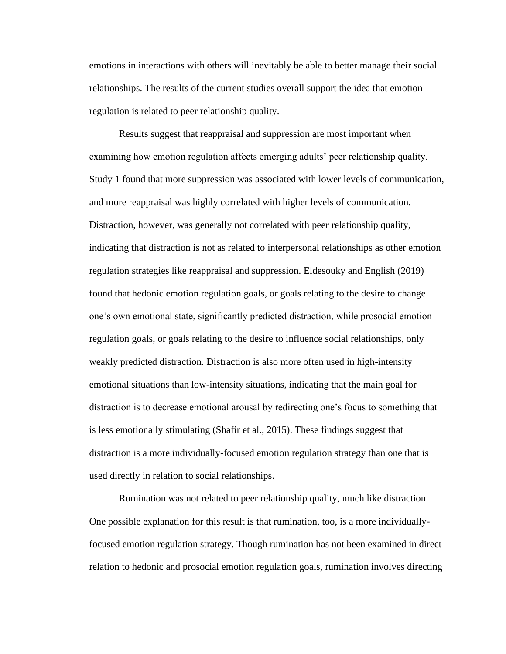emotions in interactions with others will inevitably be able to better manage their social relationships. The results of the current studies overall support the idea that emotion regulation is related to peer relationship quality.

Results suggest that reappraisal and suppression are most important when examining how emotion regulation affects emerging adults' peer relationship quality. Study 1 found that more suppression was associated with lower levels of communication, and more reappraisal was highly correlated with higher levels of communication. Distraction, however, was generally not correlated with peer relationship quality, indicating that distraction is not as related to interpersonal relationships as other emotion regulation strategies like reappraisal and suppression. Eldesouky and English (2019) found that hedonic emotion regulation goals, or goals relating to the desire to change one's own emotional state, significantly predicted distraction, while prosocial emotion regulation goals, or goals relating to the desire to influence social relationships, only weakly predicted distraction. Distraction is also more often used in high-intensity emotional situations than low-intensity situations, indicating that the main goal for distraction is to decrease emotional arousal by redirecting one's focus to something that is less emotionally stimulating (Shafir et al., 2015). These findings suggest that distraction is a more individually-focused emotion regulation strategy than one that is used directly in relation to social relationships.

Rumination was not related to peer relationship quality, much like distraction. One possible explanation for this result is that rumination, too, is a more individuallyfocused emotion regulation strategy. Though rumination has not been examined in direct relation to hedonic and prosocial emotion regulation goals, rumination involves directing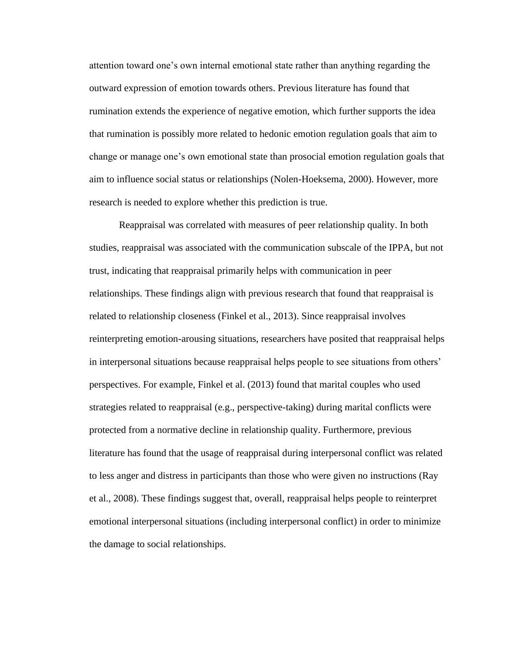attention toward one's own internal emotional state rather than anything regarding the outward expression of emotion towards others. Previous literature has found that rumination extends the experience of negative emotion, which further supports the idea that rumination is possibly more related to hedonic emotion regulation goals that aim to change or manage one's own emotional state than prosocial emotion regulation goals that aim to influence social status or relationships (Nolen-Hoeksema, 2000). However, more research is needed to explore whether this prediction is true.

Reappraisal was correlated with measures of peer relationship quality. In both studies, reappraisal was associated with the communication subscale of the IPPA, but not trust, indicating that reappraisal primarily helps with communication in peer relationships. These findings align with previous research that found that reappraisal is related to relationship closeness (Finkel et al., 2013). Since reappraisal involves reinterpreting emotion-arousing situations, researchers have posited that reappraisal helps in interpersonal situations because reappraisal helps people to see situations from others' perspectives. For example, Finkel et al. (2013) found that marital couples who used strategies related to reappraisal (e.g., perspective-taking) during marital conflicts were protected from a normative decline in relationship quality. Furthermore, previous literature has found that the usage of reappraisal during interpersonal conflict was related to less anger and distress in participants than those who were given no instructions (Ray et al., 2008). These findings suggest that, overall, reappraisal helps people to reinterpret emotional interpersonal situations (including interpersonal conflict) in order to minimize the damage to social relationships.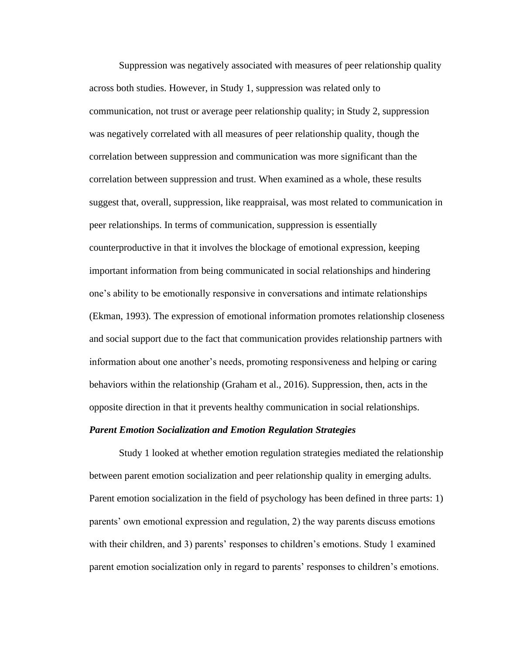Suppression was negatively associated with measures of peer relationship quality across both studies. However, in Study 1, suppression was related only to communication, not trust or average peer relationship quality; in Study 2, suppression was negatively correlated with all measures of peer relationship quality, though the correlation between suppression and communication was more significant than the correlation between suppression and trust. When examined as a whole, these results suggest that, overall, suppression, like reappraisal, was most related to communication in peer relationships. In terms of communication, suppression is essentially counterproductive in that it involves the blockage of emotional expression, keeping important information from being communicated in social relationships and hindering one's ability to be emotionally responsive in conversations and intimate relationships (Ekman, 1993). The expression of emotional information promotes relationship closeness and social support due to the fact that communication provides relationship partners with information about one another's needs, promoting responsiveness and helping or caring behaviors within the relationship (Graham et al., 2016). Suppression, then, acts in the opposite direction in that it prevents healthy communication in social relationships.

#### *Parent Emotion Socialization and Emotion Regulation Strategies*

Study 1 looked at whether emotion regulation strategies mediated the relationship between parent emotion socialization and peer relationship quality in emerging adults. Parent emotion socialization in the field of psychology has been defined in three parts: 1) parents' own emotional expression and regulation, 2) the way parents discuss emotions with their children, and 3) parents' responses to children's emotions. Study 1 examined parent emotion socialization only in regard to parents' responses to children's emotions.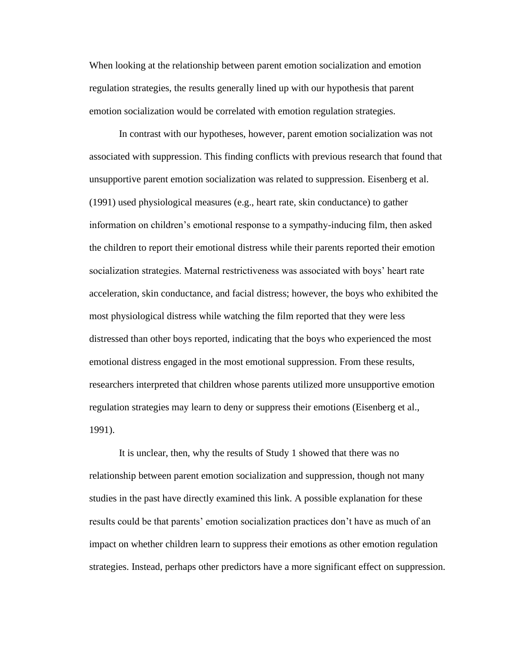When looking at the relationship between parent emotion socialization and emotion regulation strategies, the results generally lined up with our hypothesis that parent emotion socialization would be correlated with emotion regulation strategies.

In contrast with our hypotheses, however, parent emotion socialization was not associated with suppression. This finding conflicts with previous research that found that unsupportive parent emotion socialization was related to suppression. Eisenberg et al. (1991) used physiological measures (e.g., heart rate, skin conductance) to gather information on children's emotional response to a sympathy-inducing film, then asked the children to report their emotional distress while their parents reported their emotion socialization strategies. Maternal restrictiveness was associated with boys' heart rate acceleration, skin conductance, and facial distress; however, the boys who exhibited the most physiological distress while watching the film reported that they were less distressed than other boys reported, indicating that the boys who experienced the most emotional distress engaged in the most emotional suppression. From these results, researchers interpreted that children whose parents utilized more unsupportive emotion regulation strategies may learn to deny or suppress their emotions (Eisenberg et al., 1991).

It is unclear, then, why the results of Study 1 showed that there was no relationship between parent emotion socialization and suppression, though not many studies in the past have directly examined this link. A possible explanation for these results could be that parents' emotion socialization practices don't have as much of an impact on whether children learn to suppress their emotions as other emotion regulation strategies. Instead, perhaps other predictors have a more significant effect on suppression.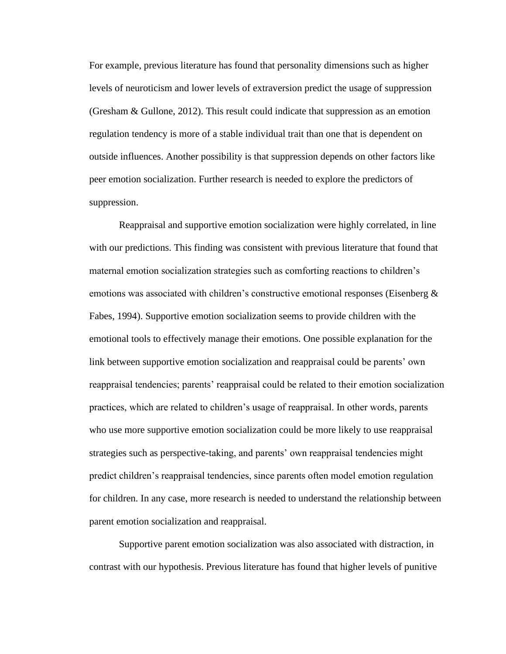For example, previous literature has found that personality dimensions such as higher levels of neuroticism and lower levels of extraversion predict the usage of suppression (Gresham & Gullone, 2012). This result could indicate that suppression as an emotion regulation tendency is more of a stable individual trait than one that is dependent on outside influences. Another possibility is that suppression depends on other factors like peer emotion socialization. Further research is needed to explore the predictors of suppression.

Reappraisal and supportive emotion socialization were highly correlated, in line with our predictions. This finding was consistent with previous literature that found that maternal emotion socialization strategies such as comforting reactions to children's emotions was associated with children's constructive emotional responses (Eisenberg  $\&$ Fabes, 1994). Supportive emotion socialization seems to provide children with the emotional tools to effectively manage their emotions. One possible explanation for the link between supportive emotion socialization and reappraisal could be parents' own reappraisal tendencies; parents' reappraisal could be related to their emotion socialization practices, which are related to children's usage of reappraisal. In other words, parents who use more supportive emotion socialization could be more likely to use reappraisal strategies such as perspective-taking, and parents' own reappraisal tendencies might predict children's reappraisal tendencies, since parents often model emotion regulation for children. In any case, more research is needed to understand the relationship between parent emotion socialization and reappraisal.

Supportive parent emotion socialization was also associated with distraction, in contrast with our hypothesis. Previous literature has found that higher levels of punitive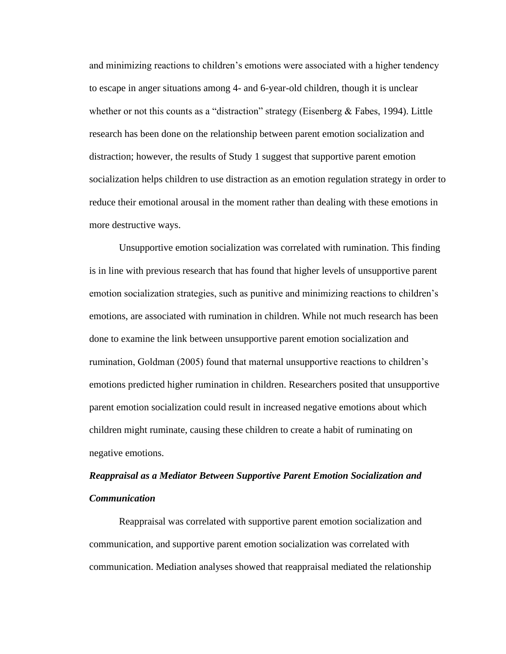and minimizing reactions to children's emotions were associated with a higher tendency to escape in anger situations among 4- and 6-year-old children, though it is unclear whether or not this counts as a "distraction" strategy (Eisenberg & Fabes, 1994). Little research has been done on the relationship between parent emotion socialization and distraction; however, the results of Study 1 suggest that supportive parent emotion socialization helps children to use distraction as an emotion regulation strategy in order to reduce their emotional arousal in the moment rather than dealing with these emotions in more destructive ways.

Unsupportive emotion socialization was correlated with rumination. This finding is in line with previous research that has found that higher levels of unsupportive parent emotion socialization strategies, such as punitive and minimizing reactions to children's emotions, are associated with rumination in children. While not much research has been done to examine the link between unsupportive parent emotion socialization and rumination, Goldman (2005) found that maternal unsupportive reactions to children's emotions predicted higher rumination in children. Researchers posited that unsupportive parent emotion socialization could result in increased negative emotions about which children might ruminate, causing these children to create a habit of ruminating on negative emotions.

# *Reappraisal as a Mediator Between Supportive Parent Emotion Socialization and Communication*

Reappraisal was correlated with supportive parent emotion socialization and communication, and supportive parent emotion socialization was correlated with communication. Mediation analyses showed that reappraisal mediated the relationship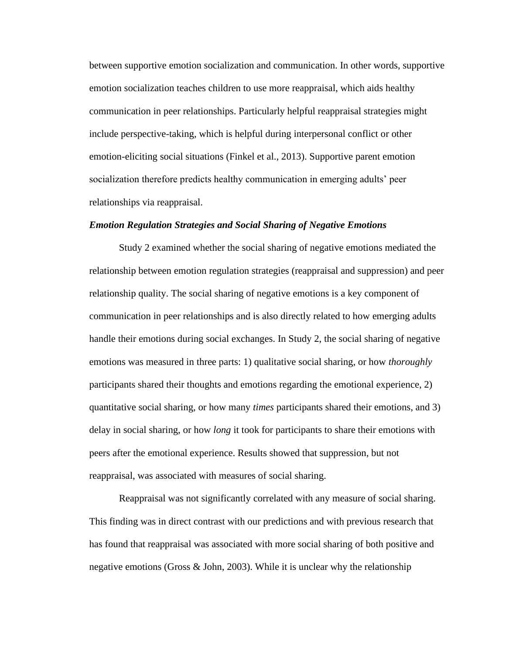between supportive emotion socialization and communication. In other words, supportive emotion socialization teaches children to use more reappraisal, which aids healthy communication in peer relationships. Particularly helpful reappraisal strategies might include perspective-taking, which is helpful during interpersonal conflict or other emotion-eliciting social situations (Finkel et al., 2013). Supportive parent emotion socialization therefore predicts healthy communication in emerging adults' peer relationships via reappraisal.

#### *Emotion Regulation Strategies and Social Sharing of Negative Emotions*

Study 2 examined whether the social sharing of negative emotions mediated the relationship between emotion regulation strategies (reappraisal and suppression) and peer relationship quality. The social sharing of negative emotions is a key component of communication in peer relationships and is also directly related to how emerging adults handle their emotions during social exchanges. In Study 2, the social sharing of negative emotions was measured in three parts: 1) qualitative social sharing, or how *thoroughly* participants shared their thoughts and emotions regarding the emotional experience, 2) quantitative social sharing, or how many *times* participants shared their emotions, and 3) delay in social sharing, or how *long* it took for participants to share their emotions with peers after the emotional experience. Results showed that suppression, but not reappraisal, was associated with measures of social sharing.

Reappraisal was not significantly correlated with any measure of social sharing. This finding was in direct contrast with our predictions and with previous research that has found that reappraisal was associated with more social sharing of both positive and negative emotions (Gross & John, 2003). While it is unclear why the relationship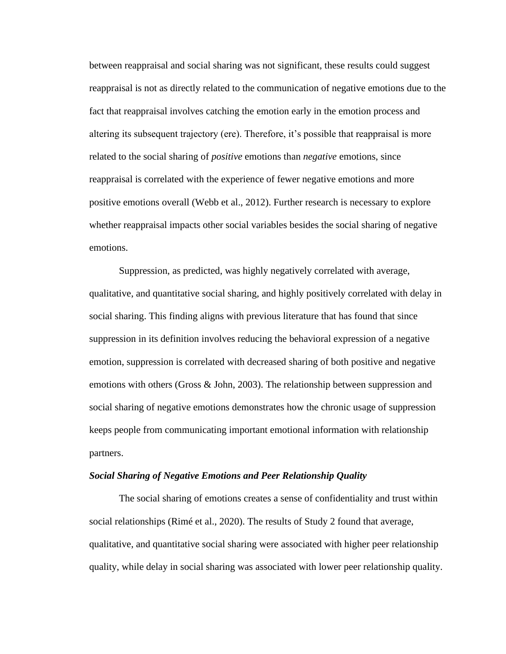between reappraisal and social sharing was not significant, these results could suggest reappraisal is not as directly related to the communication of negative emotions due to the fact that reappraisal involves catching the emotion early in the emotion process and altering its subsequent trajectory (ere). Therefore, it's possible that reappraisal is more related to the social sharing of *positive* emotions than *negative* emotions, since reappraisal is correlated with the experience of fewer negative emotions and more positive emotions overall (Webb et al., 2012). Further research is necessary to explore whether reappraisal impacts other social variables besides the social sharing of negative emotions.

Suppression, as predicted, was highly negatively correlated with average, qualitative, and quantitative social sharing, and highly positively correlated with delay in social sharing. This finding aligns with previous literature that has found that since suppression in its definition involves reducing the behavioral expression of a negative emotion, suppression is correlated with decreased sharing of both positive and negative emotions with others (Gross  $\&$  John, 2003). The relationship between suppression and social sharing of negative emotions demonstrates how the chronic usage of suppression keeps people from communicating important emotional information with relationship partners.

#### *Social Sharing of Negative Emotions and Peer Relationship Quality*

The social sharing of emotions creates a sense of confidentiality and trust within social relationships (Rimé et al., 2020). The results of Study 2 found that average, qualitative, and quantitative social sharing were associated with higher peer relationship quality, while delay in social sharing was associated with lower peer relationship quality.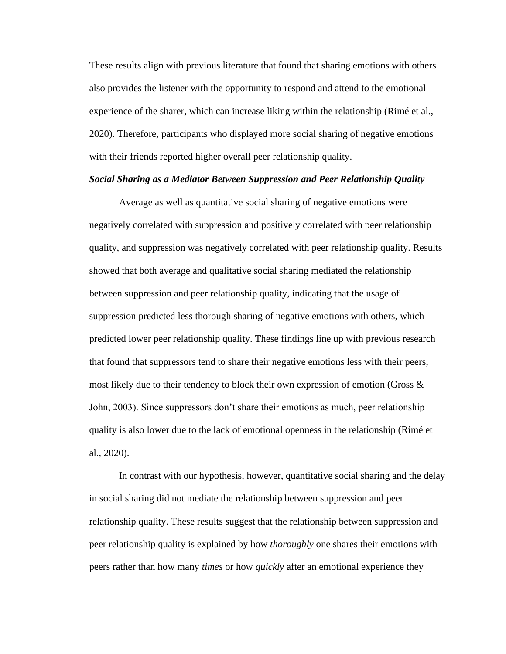These results align with previous literature that found that sharing emotions with others also provides the listener with the opportunity to respond and attend to the emotional experience of the sharer, which can increase liking within the relationship (Rimé et al., 2020). Therefore, participants who displayed more social sharing of negative emotions with their friends reported higher overall peer relationship quality.

#### *Social Sharing as a Mediator Between Suppression and Peer Relationship Quality*

Average as well as quantitative social sharing of negative emotions were negatively correlated with suppression and positively correlated with peer relationship quality, and suppression was negatively correlated with peer relationship quality. Results showed that both average and qualitative social sharing mediated the relationship between suppression and peer relationship quality, indicating that the usage of suppression predicted less thorough sharing of negative emotions with others, which predicted lower peer relationship quality. These findings line up with previous research that found that suppressors tend to share their negative emotions less with their peers, most likely due to their tendency to block their own expression of emotion (Gross  $\&$ John, 2003). Since suppressors don't share their emotions as much, peer relationship quality is also lower due to the lack of emotional openness in the relationship (Rimé et al., 2020).

In contrast with our hypothesis, however, quantitative social sharing and the delay in social sharing did not mediate the relationship between suppression and peer relationship quality. These results suggest that the relationship between suppression and peer relationship quality is explained by how *thoroughly* one shares their emotions with peers rather than how many *times* or how *quickly* after an emotional experience they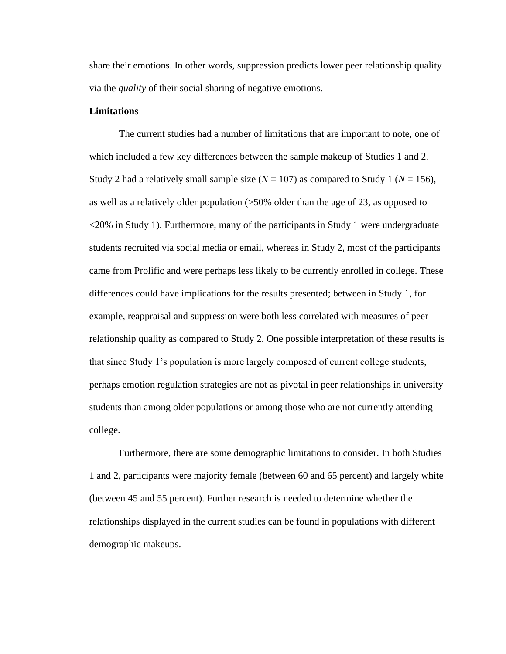share their emotions. In other words, suppression predicts lower peer relationship quality via the *quality* of their social sharing of negative emotions.

## **Limitations**

The current studies had a number of limitations that are important to note, one of which included a few key differences between the sample makeup of Studies 1 and 2. Study 2 had a relatively small sample size  $(N = 107)$  as compared to Study 1  $(N = 156)$ , as well as a relatively older population (>50% older than the age of 23, as opposed to <20% in Study 1). Furthermore, many of the participants in Study 1 were undergraduate students recruited via social media or email, whereas in Study 2, most of the participants came from Prolific and were perhaps less likely to be currently enrolled in college. These differences could have implications for the results presented; between in Study 1, for example, reappraisal and suppression were both less correlated with measures of peer relationship quality as compared to Study 2. One possible interpretation of these results is that since Study 1's population is more largely composed of current college students, perhaps emotion regulation strategies are not as pivotal in peer relationships in university students than among older populations or among those who are not currently attending college.

Furthermore, there are some demographic limitations to consider. In both Studies 1 and 2, participants were majority female (between 60 and 65 percent) and largely white (between 45 and 55 percent). Further research is needed to determine whether the relationships displayed in the current studies can be found in populations with different demographic makeups.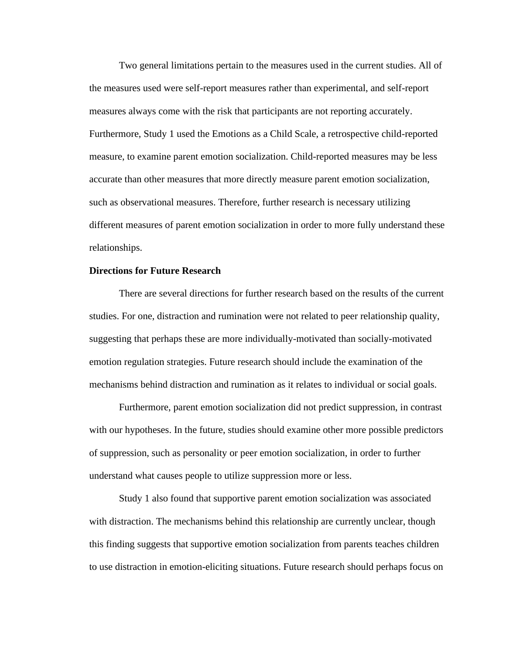Two general limitations pertain to the measures used in the current studies. All of the measures used were self-report measures rather than experimental, and self-report measures always come with the risk that participants are not reporting accurately. Furthermore, Study 1 used the Emotions as a Child Scale, a retrospective child-reported measure, to examine parent emotion socialization. Child-reported measures may be less accurate than other measures that more directly measure parent emotion socialization, such as observational measures. Therefore, further research is necessary utilizing different measures of parent emotion socialization in order to more fully understand these relationships.

## **Directions for Future Research**

There are several directions for further research based on the results of the current studies. For one, distraction and rumination were not related to peer relationship quality, suggesting that perhaps these are more individually-motivated than socially-motivated emotion regulation strategies. Future research should include the examination of the mechanisms behind distraction and rumination as it relates to individual or social goals.

Furthermore, parent emotion socialization did not predict suppression, in contrast with our hypotheses. In the future, studies should examine other more possible predictors of suppression, such as personality or peer emotion socialization, in order to further understand what causes people to utilize suppression more or less.

Study 1 also found that supportive parent emotion socialization was associated with distraction. The mechanisms behind this relationship are currently unclear, though this finding suggests that supportive emotion socialization from parents teaches children to use distraction in emotion-eliciting situations. Future research should perhaps focus on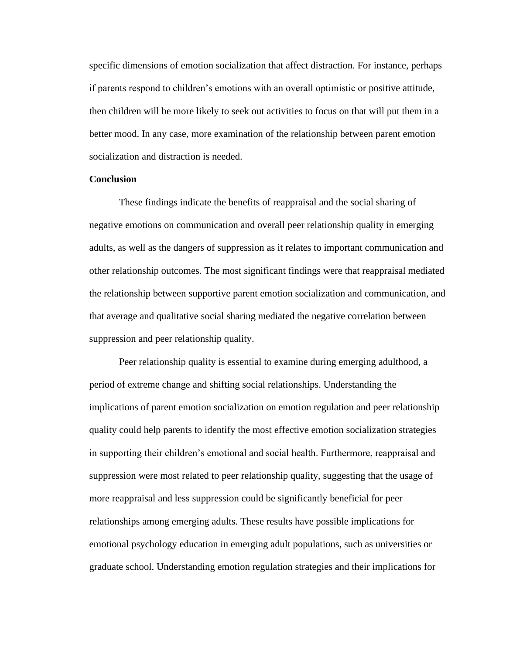specific dimensions of emotion socialization that affect distraction. For instance, perhaps if parents respond to children's emotions with an overall optimistic or positive attitude, then children will be more likely to seek out activities to focus on that will put them in a better mood. In any case, more examination of the relationship between parent emotion socialization and distraction is needed.

## **Conclusion**

These findings indicate the benefits of reappraisal and the social sharing of negative emotions on communication and overall peer relationship quality in emerging adults, as well as the dangers of suppression as it relates to important communication and other relationship outcomes. The most significant findings were that reappraisal mediated the relationship between supportive parent emotion socialization and communication, and that average and qualitative social sharing mediated the negative correlation between suppression and peer relationship quality.

Peer relationship quality is essential to examine during emerging adulthood, a period of extreme change and shifting social relationships. Understanding the implications of parent emotion socialization on emotion regulation and peer relationship quality could help parents to identify the most effective emotion socialization strategies in supporting their children's emotional and social health. Furthermore, reappraisal and suppression were most related to peer relationship quality, suggesting that the usage of more reappraisal and less suppression could be significantly beneficial for peer relationships among emerging adults. These results have possible implications for emotional psychology education in emerging adult populations, such as universities or graduate school. Understanding emotion regulation strategies and their implications for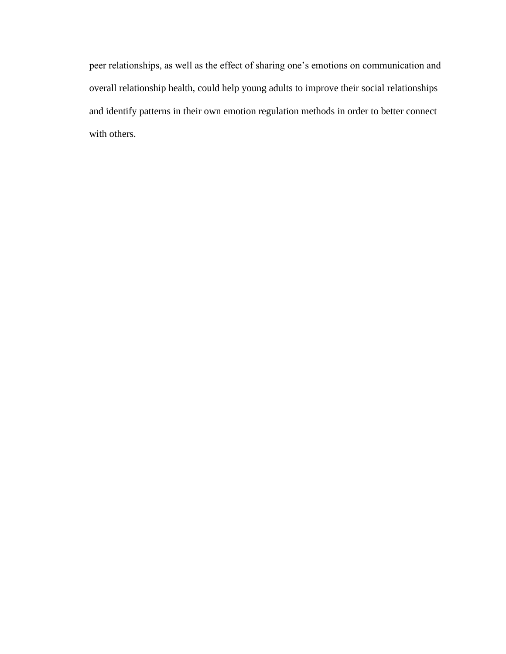peer relationships, as well as the effect of sharing one's emotions on communication and overall relationship health, could help young adults to improve their social relationships and identify patterns in their own emotion regulation methods in order to better connect with others.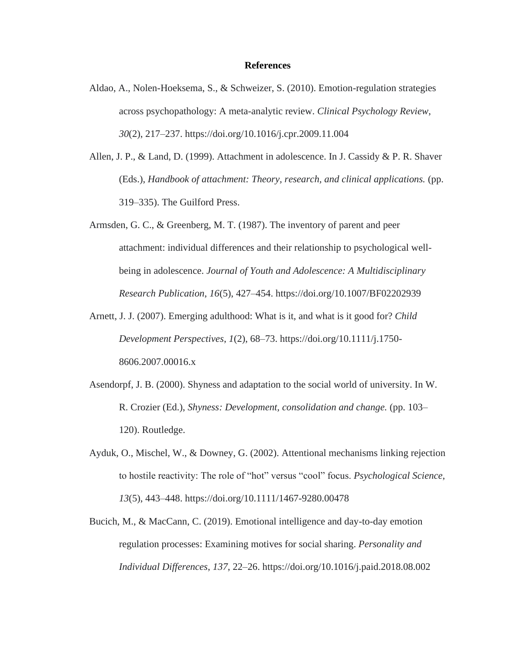## **References**

- Aldao, A., Nolen-Hoeksema, S., & Schweizer, S. (2010). Emotion-regulation strategies across psychopathology: A meta-analytic review. *Clinical Psychology Review*, *30*(2), 217–237. https://doi.org/10.1016/j.cpr.2009.11.004
- Allen, J. P., & Land, D. (1999). Attachment in adolescence. In J. Cassidy & P. R. Shaver (Eds.), *Handbook of attachment: Theory, research, and clinical applications.* (pp. 319–335). The Guilford Press.
- Armsden, G. C., & Greenberg, M. T. (1987). The inventory of parent and peer attachment: individual differences and their relationship to psychological wellbeing in adolescence. *Journal of Youth and Adolescence: A Multidisciplinary Research Publication*, *16*(5), 427–454. https://doi.org/10.1007/BF02202939
- Arnett, J. J. (2007). Emerging adulthood: What is it, and what is it good for? *Child Development Perspectives*, *1*(2), 68–73. [https://doi.org/10.1111/j.1750-](https://doi.org/10.1111/j.1750-8606.2007.00016.x) [8606.2007.00016.x](https://doi.org/10.1111/j.1750-8606.2007.00016.x)
- Asendorpf, J. B. (2000). Shyness and adaptation to the social world of university. In W. R. Crozier (Ed.), *Shyness: Development, consolidation and change.* (pp. 103– 120). Routledge.
- Ayduk, O., Mischel, W., & Downey, G. (2002). Attentional mechanisms linking rejection to hostile reactivity: The role of "hot" versus "cool" focus. *Psychological Science*, *13*(5), 443–448.<https://doi.org/10.1111/1467-9280.00478>
- Bucich, M., & MacCann, C. (2019). Emotional intelligence and day-to-day emotion regulation processes: Examining motives for social sharing. *Personality and Individual Differences*, *137*, 22–26. https://doi.org/10.1016/j.paid.2018.08.002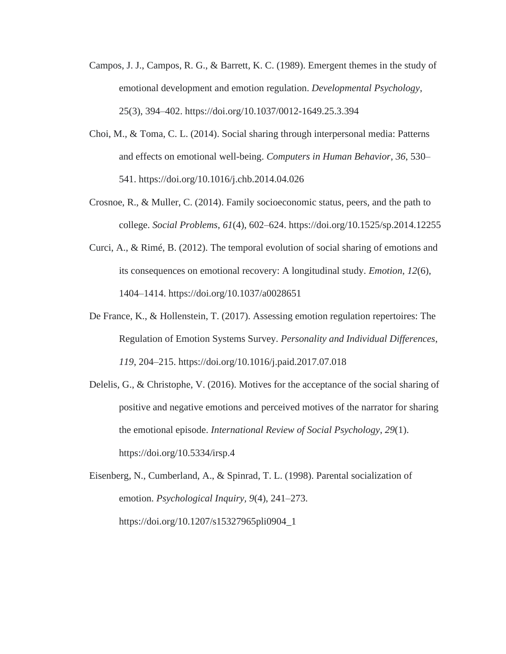- Campos, J. J., Campos, R. G., & Barrett, K. C. (1989). Emergent themes in the study of emotional development and emotion regulation. *Developmental Psychology*, 25(3), 394–402.<https://doi.org/10.1037/0012-1649.25.3.394>
- Choi, M., & Toma, C. L. (2014). Social sharing through interpersonal media: Patterns and effects on emotional well-being. *Computers in Human Behavior*, *36*, 530– 541.<https://doi.org/10.1016/j.chb.2014.04.026>
- Crosnoe, R., & Muller, C. (2014). Family socioeconomic status, peers, and the path to college. *Social Problems*, *61*(4), 602–624. https://doi.org/10.1525/sp.2014.12255
- Curci, A., & Rimé, B. (2012). The temporal evolution of social sharing of emotions and its consequences on emotional recovery: A longitudinal study. *Emotion*, *12*(6), 1404–1414. https://doi.org/10.1037/a0028651
- De France, K., & Hollenstein, T. (2017). Assessing emotion regulation repertoires: The Regulation of Emotion Systems Survey. *Personality and Individual Differences*, *119*, 204–215.<https://doi.org/10.1016/j.paid.2017.07.018>
- Delelis, G., & Christophe, V. (2016). Motives for the acceptance of the social sharing of positive and negative emotions and perceived motives of the narrator for sharing the emotional episode. *International Review of Social Psychology*, *29*(1). https://doi.org/10.5334/irsp.4

Eisenberg, N., Cumberland, A., & Spinrad, T. L. (1998). Parental socialization of emotion. *Psychological Inquiry, 9*(4), 241–273. https://doi.org/10.1207/s15327965pli0904\_1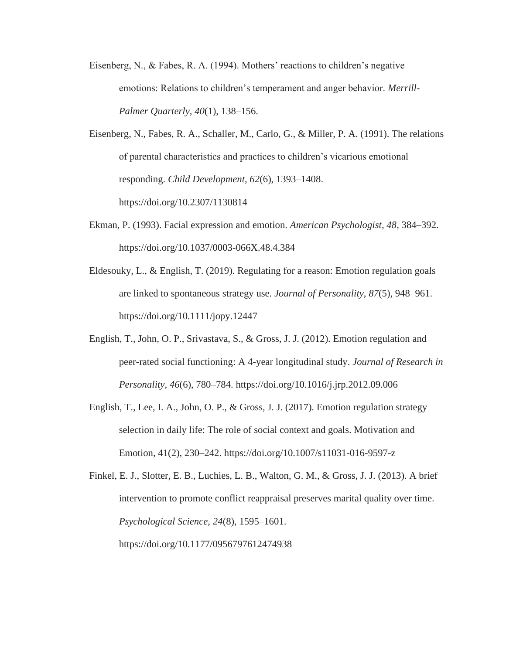- Eisenberg, N., & Fabes, R. A. (1994). Mothers' reactions to children's negative emotions: Relations to children's temperament and anger behavior. *Merrill-Palmer Quarterly, 40*(1), 138–156.
- Eisenberg, N., Fabes, R. A., Schaller, M., Carlo, G., & Miller, P. A. (1991). The relations of parental characteristics and practices to children's vicarious emotional responding. *Child Development, 62*(6), 1393–1408. https://doi.org/10.2307/1130814
- Ekman, P. (1993). Facial expression and emotion. *American Psychologist, 48*, 384–392. https://doi.org/10.1037/0003-066X.48.4.384
- Eldesouky, L., & English, T. (2019). Regulating for a reason: Emotion regulation goals are linked to spontaneous strategy use. *Journal of Personality*, *87*(5), 948–961. https://doi.org/10.1111/jopy.12447
- English, T., John, O. P., Srivastava, S., & Gross, J. J. (2012). Emotion regulation and peer-rated social functioning: A 4-year longitudinal study. *Journal of Research in Personality*, *46*(6), 780–784. https://doi.org/10.1016/j.jrp.2012.09.006
- English, T., Lee, I. A., John, O. P., & Gross, J. J. (2017). Emotion regulation strategy selection in daily life: The role of social context and goals. Motivation and Emotion, 41(2), 230–242. https://doi.org/10.1007/s11031-016-9597-z

Finkel, E. J., Slotter, E. B., Luchies, L. B., Walton, G. M., & Gross, J. J. (2013). A brief intervention to promote conflict reappraisal preserves marital quality over time. *Psychological Science*, *24*(8), 1595–1601.

https://doi.org/10.1177/0956797612474938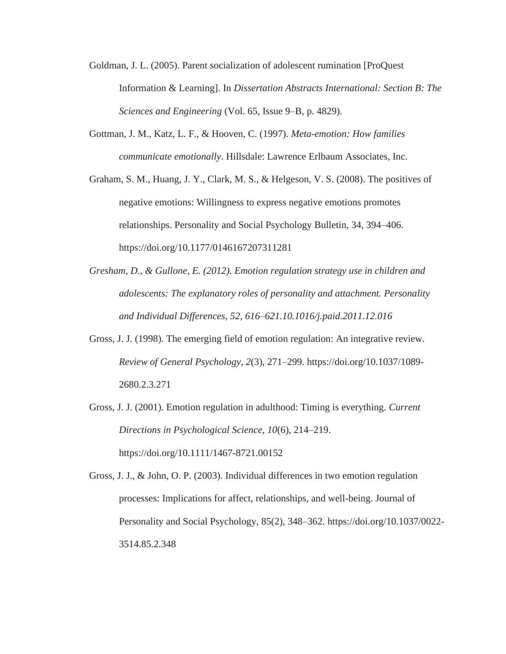- Goldman, J. L. (2005). Parent socialization of adolescent rumination [ProQuest Information & Learning]. In *Dissertation Abstracts International: Section B: The Sciences and Engineering* (Vol. 65, Issue 9–B, p. 4829).
- Gottman, J. M., Katz, L. F., & Hooven, C. (1997). *Meta-emotion: How families communicate emotionally*. Hillsdale: Lawrence Erlbaum Associates, Inc.
- Graham, S. M., Huang, J. Y., Clark, M. S., & Helgeson, V. S. (2008). The positives of negative emotions: Willingness to express negative emotions promotes relationships. Personality and Social Psychology Bulletin, 34, 394–406. https://doi.org/10.1177/0146167207311281
- *Gresham, D., & Gullone, E. (2012). Emotion regulation strategy use in children and adolescents: The explanatory roles of personality and attachment. Personality and Individual Differences, 52, 616–621.10.1016/j.paid.2011.12.016*
- Gross, J. J. (1998). The emerging field of emotion regulation: An integrative review. *Review of General Psychology*, *2*(3), 271–299. https://doi.org/10.1037/1089- 2680.2.3.271
- Gross, J. J. (2001). Emotion regulation in adulthood: Timing is everything. *Current Directions in Psychological Science*, *10*(6), 214–219. https://doi.org/10.1111/1467-8721.00152

Gross, J. J., & John, O. P. (2003). Individual differences in two emotion regulation processes: Implications for affect, relationships, and well-being. Journal of Personality and Social Psychology, 85(2), 348–362. https://doi.org/10.1037/0022- 3514.85.2.348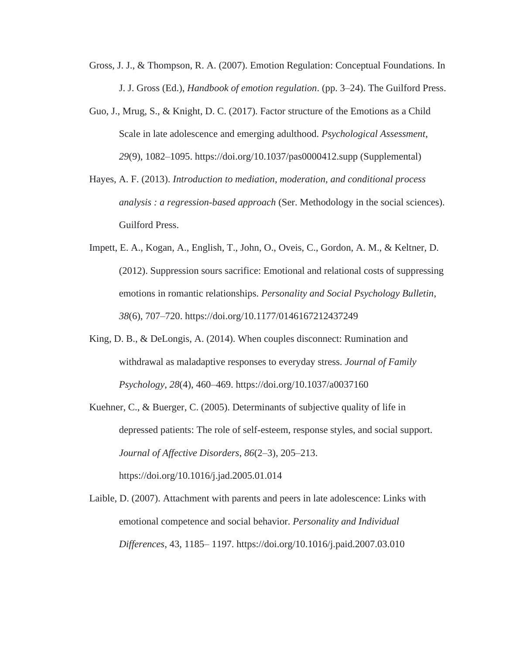- Gross, J. J., & Thompson, R. A. (2007). Emotion Regulation: Conceptual Foundations. In J. J. Gross (Ed.), *Handbook of emotion regulation*. (pp. 3–24). The Guilford Press.
- Guo, J., Mrug, S., & Knight, D. C. (2017). Factor structure of the Emotions as a Child Scale in late adolescence and emerging adulthood. *Psychological Assessment*, *29*(9), 1082–1095. https://doi.org/10.1037/pas0000412.supp (Supplemental)
- Hayes, A. F. (2013). *Introduction to mediation, moderation, and conditional process analysis : a regression-based approach* (Ser. Methodology in the social sciences). Guilford Press.
- Impett, E. A., Kogan, A., English, T., John, O., Oveis, C., Gordon, A. M., & Keltner, D. (2012). Suppression sours sacrifice: Emotional and relational costs of suppressing emotions in romantic relationships. *Personality and Social Psychology Bulletin*, *38*(6), 707–720. https://doi.org/10.1177/0146167212437249
- King, D. B., & DeLongis, A. (2014). When couples disconnect: Rumination and withdrawal as maladaptive responses to everyday stress. *Journal of Family Psychology*, *28*(4), 460–469. https://doi.org/10.1037/a0037160
- Kuehner, C., & Buerger, C. (2005). Determinants of subjective quality of life in depressed patients: The role of self-esteem, response styles, and social support. *Journal of Affective Disorders*, *86*(2–3), 205–213. https://doi.org/10.1016/j.jad.2005.01.014
- Laible, D. (2007). Attachment with parents and peers in late adolescence: Links with emotional competence and social behavior. *Personality and Individual Differences*, 43, 1185– 1197.<https://doi.org/10.1016/j.paid.2007.03.010>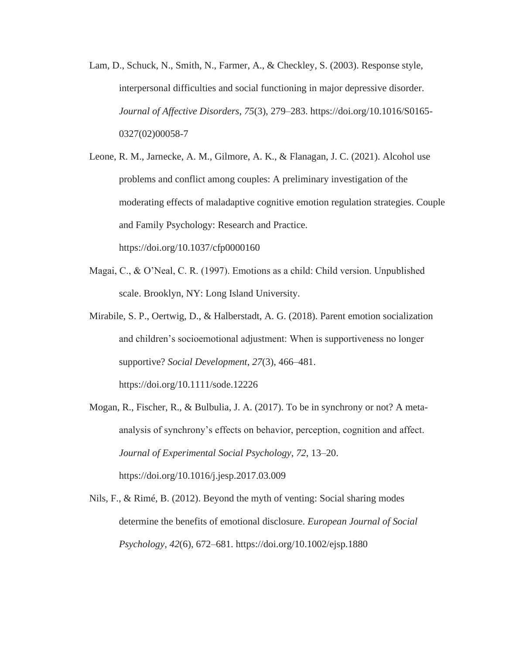- Lam, D., Schuck, N., Smith, N., Farmer, A., & Checkley, S. (2003). Response style, interpersonal difficulties and social functioning in major depressive disorder. *Journal of Affective Disorders*, *75*(3), 279–283. https://doi.org/10.1016/S0165- 0327(02)00058-7
- Leone, R. M., Jarnecke, A. M., Gilmore, A. K., & Flanagan, J. C. (2021). Alcohol use problems and conflict among couples: A preliminary investigation of the moderating effects of maladaptive cognitive emotion regulation strategies. Couple and Family Psychology: Research and Practice. https://doi.org/10.1037/cfp0000160
- Magai, C., & O'Neal, C. R. (1997). Emotions as a child: Child version. Unpublished scale. Brooklyn, NY: Long Island University.
- Mirabile, S. P., Oertwig, D., & Halberstadt, A. G. (2018). Parent emotion socialization and children's socioemotional adjustment: When is supportiveness no longer supportive? *Social Development*, *27*(3), 466–481. <https://doi.org/10.1111/sode.12226>
- Mogan, R., Fischer, R., & Bulbulia, J. A. (2017). To be in synchrony or not? A metaanalysis of synchrony's effects on behavior, perception, cognition and affect. *Journal of Experimental Social Psychology*, *72*, 13–20. <https://doi.org/10.1016/j.jesp.2017.03.009>
- Nils, F., & Rimé, B. (2012). Beyond the myth of venting: Social sharing modes determine the benefits of emotional disclosure. *European Journal of Social Psychology*, *42*(6), 672–681. https://doi.org/10.1002/ejsp.1880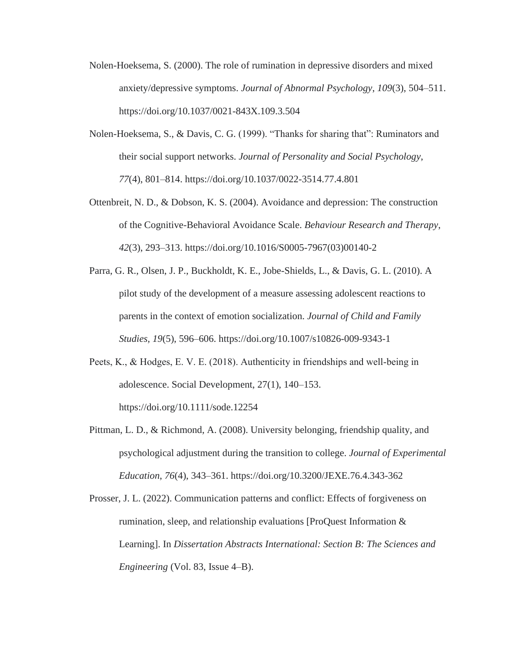- Nolen-Hoeksema, S. (2000). The role of rumination in depressive disorders and mixed anxiety/depressive symptoms. *Journal of Abnormal Psychology*, *109*(3), 504–511. https://doi.org/10.1037/0021-843X.109.3.504
- Nolen-Hoeksema, S., & Davis, C. G. (1999). "Thanks for sharing that": Ruminators and their social support networks. *Journal of Personality and Social Psychology*, *77*(4), 801–814. https://doi.org/10.1037/0022-3514.77.4.801
- Ottenbreit, N. D., & Dobson, K. S. (2004). Avoidance and depression: The construction of the Cognitive-Behavioral Avoidance Scale. *Behaviour Research and Therapy*, *42*(3), 293–313. https://doi.org/10.1016/S0005-7967(03)00140-2
- Parra, G. R., Olsen, J. P., Buckholdt, K. E., Jobe-Shields, L., & Davis, G. L. (2010). A pilot study of the development of a measure assessing adolescent reactions to parents in the context of emotion socialization. *Journal of Child and Family Studies, 19*(5), 596–606.<https://doi.org/10.1007/s10826-009-9343-1>
- Peets, K., & Hodges, E. V. E. (2018). Authenticity in friendships and well‐being in adolescence. Social Development, 27(1), 140–153. <https://doi.org/10.1111/sode.12254>
- Pittman, L. D., & Richmond, A. (2008). University belonging, friendship quality, and psychological adjustment during the transition to college. *Journal of Experimental Education*, *76*(4), 343–361. https://doi.org/10.3200/JEXE.76.4.343-362
- Prosser, J. L. (2022). Communication patterns and conflict: Effects of forgiveness on rumination, sleep, and relationship evaluations [ProQuest Information & Learning]. In *Dissertation Abstracts International: Section B: The Sciences and Engineering* (Vol. 83, Issue 4–B).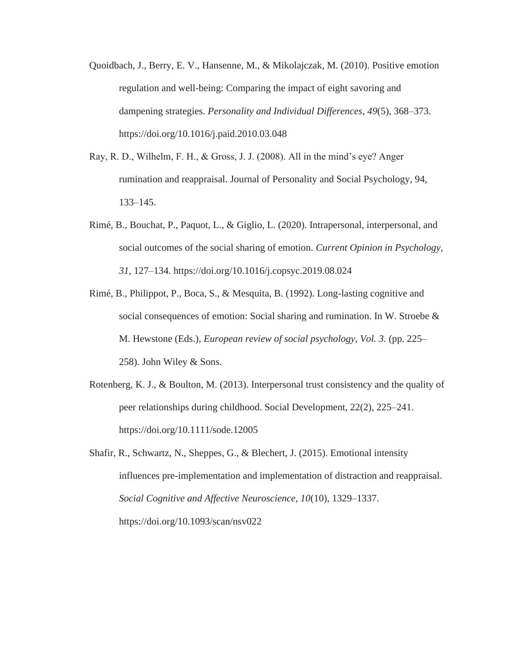- Quoidbach, J., Berry, E. V., Hansenne, M., & Mikolajczak, M. (2010). Positive emotion regulation and well-being: Comparing the impact of eight savoring and dampening strategies. *Personality and Individual Differences*, *49*(5), 368–373. <https://doi.org/10.1016/j.paid.2010.03.048>
- Ray, R. D., Wilhelm, F. H., & Gross, J. J. (2008). All in the mind's eye? Anger rumination and reappraisal. Journal of Personality and Social Psychology, 94, 133–145.
- Rimé, B., Bouchat, P., Paquot, L., & Giglio, L. (2020). Intrapersonal, interpersonal, and social outcomes of the social sharing of emotion. *Current Opinion in Psychology*, *31*, 127–134.<https://doi.org/10.1016/j.copsyc.2019.08.024>
- Rimé, B., Philippot, P., Boca, S., & Mesquita, B. (1992). Long-lasting cognitive and social consequences of emotion: Social sharing and rumination. In W. Stroebe  $\&$ M. Hewstone (Eds.), *European review of social psychology, Vol. 3.* (pp. 225– 258). John Wiley & Sons.
- Rotenberg, K. J., & Boulton, M. (2013). Interpersonal trust consistency and the quality of peer relationships during childhood. Social Development, 22(2), 225–241. https://doi.org/10.1111/sode.12005
- Shafir, R., Schwartz, N., Sheppes, G., & Blechert, J. (2015). Emotional intensity influences pre-implementation and implementation of distraction and reappraisal. *Social Cognitive and Affective Neuroscience*, *10*(10), 1329–1337. https://doi.org/10.1093/scan/nsv022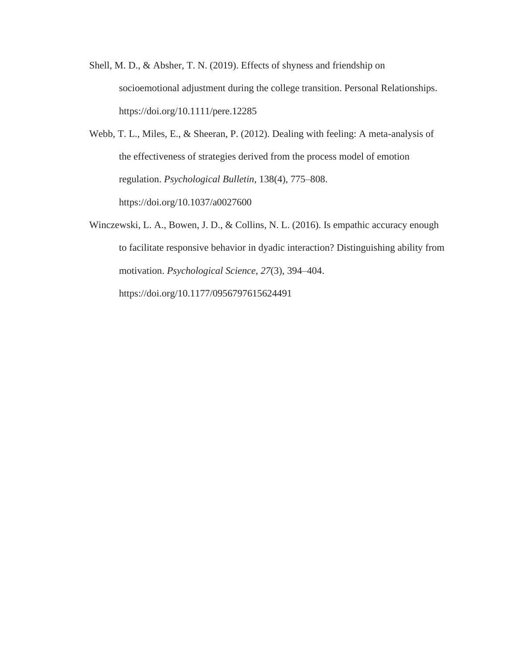- Shell, M. D., & Absher, T. N. (2019). Effects of shyness and friendship on socioemotional adjustment during the college transition. Personal Relationships. <https://doi.org/10.1111/pere.12285>
- Webb, T. L., Miles, E., & Sheeran, P. (2012). Dealing with feeling: A meta-analysis of the effectiveness of strategies derived from the process model of emotion regulation. *Psychological Bulletin*, 138(4), 775–808. <https://doi.org/10.1037/a0027600>
- Winczewski, L. A., Bowen, J. D., & Collins, N. L. (2016). Is empathic accuracy enough to facilitate responsive behavior in dyadic interaction? Distinguishing ability from motivation. *Psychological Science*, *27*(3), 394–404. https://doi.org/10.1177/0956797615624491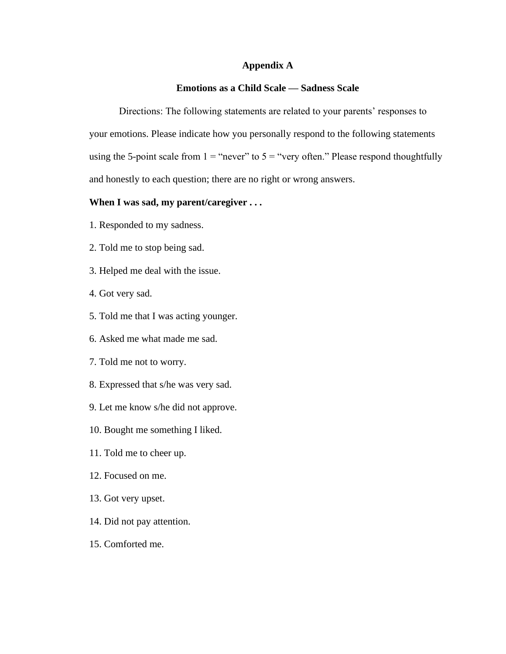## **Appendix A**

## **Emotions as a Child Scale — Sadness Scale**

Directions: The following statements are related to your parents' responses to your emotions. Please indicate how you personally respond to the following statements using the 5-point scale from  $1 =$  "never" to  $5 =$  "very often." Please respond thoughtfully and honestly to each question; there are no right or wrong answers.

## **When I was sad, my parent/caregiver . . .**

- 1. Responded to my sadness.
- 2. Told me to stop being sad.
- 3. Helped me deal with the issue.
- 4. Got very sad.
- 5. Told me that I was acting younger.
- 6. Asked me what made me sad.
- 7. Told me not to worry.
- 8. Expressed that s/he was very sad.
- 9. Let me know s/he did not approve.
- 10. Bought me something I liked.
- 11. Told me to cheer up.
- 12. Focused on me.
- 13. Got very upset.
- 14. Did not pay attention.
- 15. Comforted me.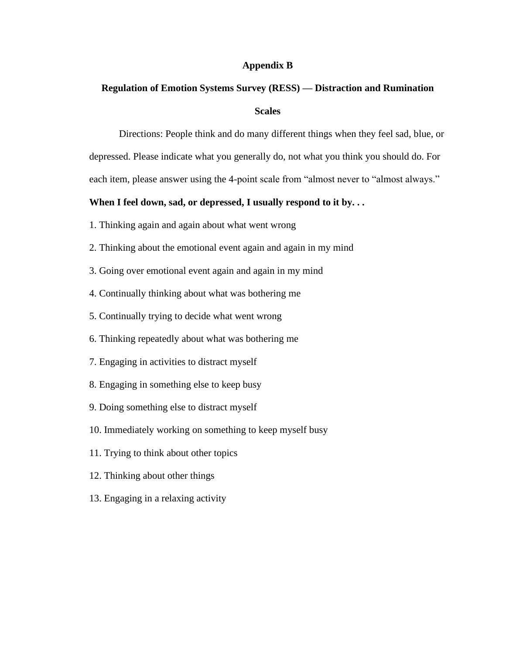## **Appendix B**

# **Regulation of Emotion Systems Survey (RESS) — Distraction and Rumination**

## **Scales**

Directions: People think and do many different things when they feel sad, blue, or depressed. Please indicate what you generally do, not what you think you should do. For each item, please answer using the 4-point scale from "almost never to "almost always."

## **When I feel down, sad, or depressed, I usually respond to it by. . .**

- 1. Thinking again and again about what went wrong
- 2. Thinking about the emotional event again and again in my mind
- 3. Going over emotional event again and again in my mind
- 4. Continually thinking about what was bothering me
- 5. Continually trying to decide what went wrong
- 6. Thinking repeatedly about what was bothering me
- 7. Engaging in activities to distract myself
- 8. Engaging in something else to keep busy
- 9. Doing something else to distract myself
- 10. Immediately working on something to keep myself busy
- 11. Trying to think about other topics
- 12. Thinking about other things
- 13. Engaging in a relaxing activity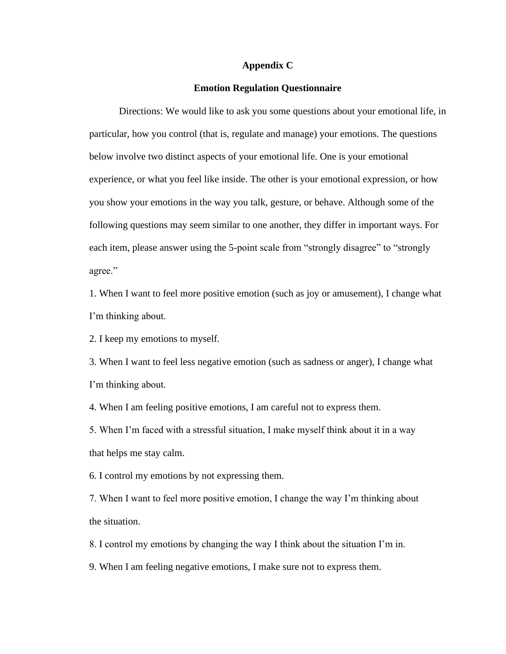#### **Appendix C**

## **Emotion Regulation Questionnaire**

Directions: We would like to ask you some questions about your emotional life, in particular, how you control (that is, regulate and manage) your emotions. The questions below involve two distinct aspects of your emotional life. One is your emotional experience, or what you feel like inside. The other is your emotional expression, or how you show your emotions in the way you talk, gesture, or behave. Although some of the following questions may seem similar to one another, they differ in important ways. For each item, please answer using the 5-point scale from "strongly disagree" to "strongly agree."

1. When I want to feel more positive emotion (such as joy or amusement), I change what I'm thinking about.

2. I keep my emotions to myself.

3. When I want to feel less negative emotion (such as sadness or anger), I change what I'm thinking about.

4. When I am feeling positive emotions, I am careful not to express them.

5. When I'm faced with a stressful situation, I make myself think about it in a way that helps me stay calm.

6. I control my emotions by not expressing them.

7. When I want to feel more positive emotion, I change the way I'm thinking about the situation.

8. I control my emotions by changing the way I think about the situation I'm in.

9. When I am feeling negative emotions, I make sure not to express them.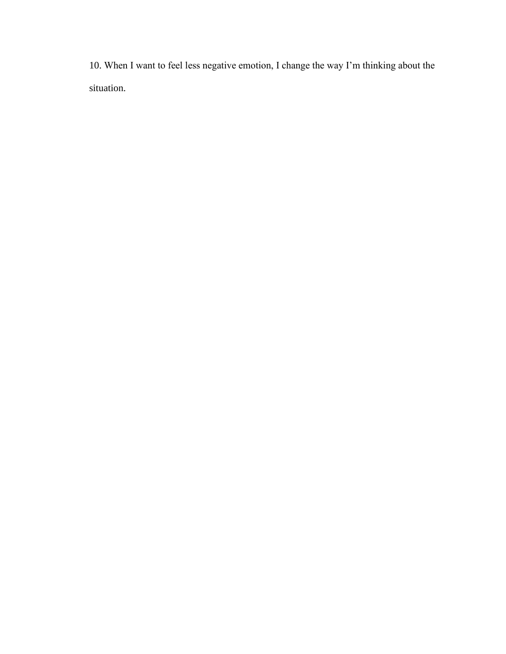10. When I want to feel less negative emotion, I change the way I'm thinking about the situation.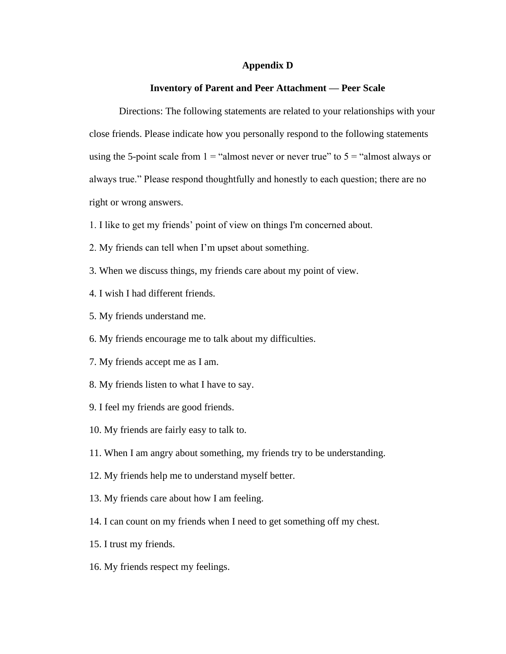#### **Appendix D**

## **Inventory of Parent and Peer Attachment — Peer Scale**

Directions: The following statements are related to your relationships with your close friends. Please indicate how you personally respond to the following statements using the 5-point scale from  $1 =$  "almost never or never true" to  $5 =$  "almost always or always true." Please respond thoughtfully and honestly to each question; there are no right or wrong answers.

- 1. I like to get my friends' point of view on things I'm concerned about.
- 2. My friends can tell when I'm upset about something.
- 3. When we discuss things, my friends care about my point of view.
- 4. I wish I had different friends.
- 5. My friends understand me.
- 6. My friends encourage me to talk about my difficulties.
- 7. My friends accept me as I am.
- 8. My friends listen to what I have to say.
- 9. I feel my friends are good friends.
- 10. My friends are fairly easy to talk to.
- 11. When I am angry about something, my friends try to be understanding.
- 12. My friends help me to understand myself better.
- 13. My friends care about how I am feeling.
- 14. I can count on my friends when I need to get something off my chest.
- 15. I trust my friends.
- 16. My friends respect my feelings.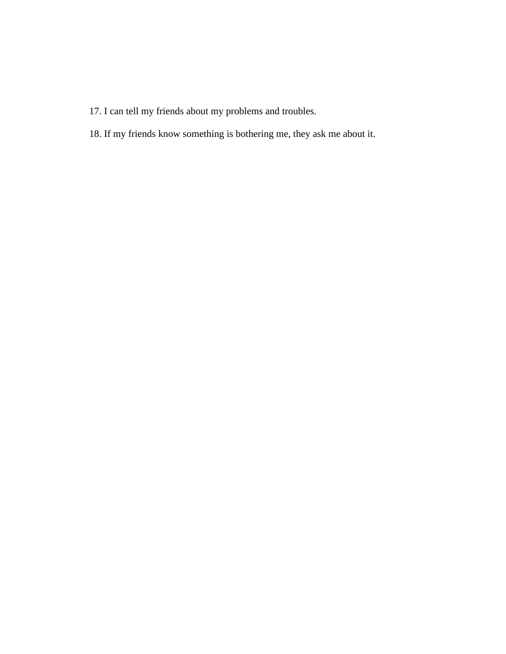- 17. I can tell my friends about my problems and troubles.
- 18. If my friends know something is bothering me, they ask me about it.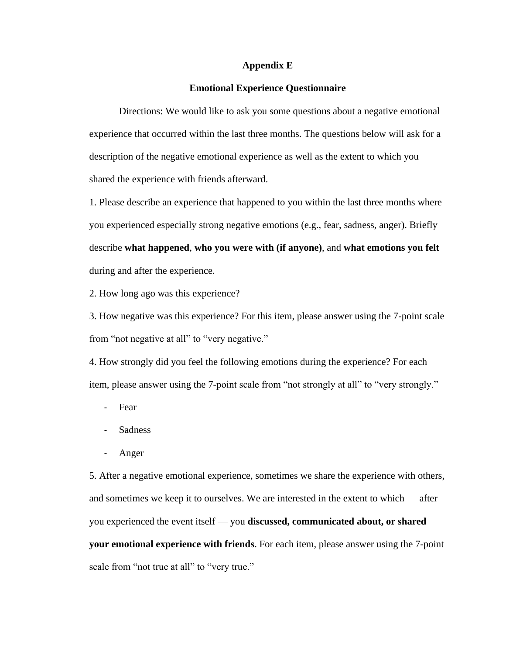## **Appendix E**

## **Emotional Experience Questionnaire**

Directions: We would like to ask you some questions about a negative emotional experience that occurred within the last three months. The questions below will ask for a description of the negative emotional experience as well as the extent to which you shared the experience with friends afterward.

1. Please describe an experience that happened to you within the last three months where you experienced especially strong negative emotions (e.g., fear, sadness, anger). Briefly describe **what happened**, **who you were with (if anyone)**, and **what emotions you felt** during and after the experience.

2. How long ago was this experience?

3. How negative was this experience? For this item, please answer using the 7-point scale from "not negative at all" to "very negative."

4. How strongly did you feel the following emotions during the experience? For each item, please answer using the 7-point scale from "not strongly at all" to "very strongly."

- Fear
- **Sadness**
- Anger

5. After a negative emotional experience, sometimes we share the experience with others, and sometimes we keep it to ourselves. We are interested in the extent to which — after you experienced the event itself — you **discussed, communicated about, or shared your emotional experience with friends**. For each item, please answer using the 7-point scale from "not true at all" to "very true."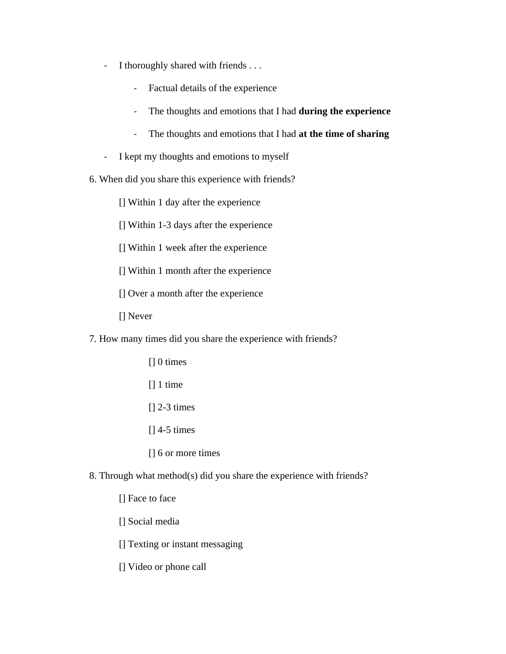- I thoroughly shared with friends . . .
	- Factual details of the experience
	- The thoughts and emotions that I had **during the experience**
	- The thoughts and emotions that I had **at the time of sharing**
- I kept my thoughts and emotions to myself
- 6. When did you share this experience with friends?
	- [] Within 1 day after the experience
	- [] Within 1-3 days after the experience
	- [] Within 1 week after the experience
	- [] Within 1 month after the experience
	- [] Over a month after the experience
	- [] Never
- 7. How many times did you share the experience with friends?
	- [] 0 times
	- [] 1 time
	- [] 2-3 times
	- [] 4-5 times
	- [] 6 or more times
- 8. Through what method(s) did you share the experience with friends?
	- [] Face to face
	- [] Social media
	- [] Texting or instant messaging
	- [] Video or phone call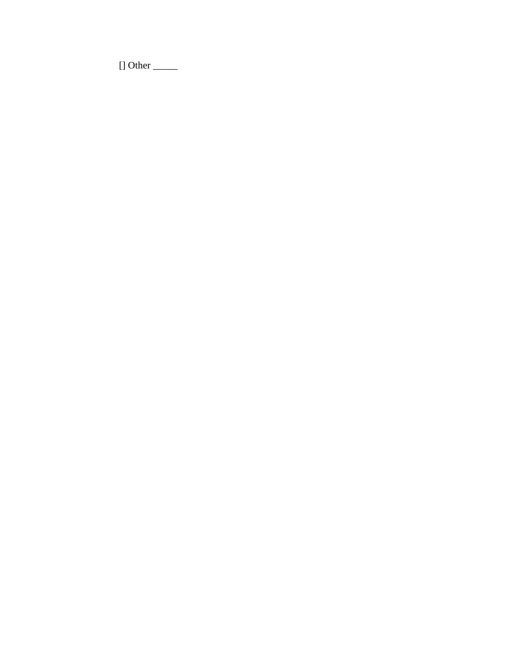$[]$  Other  $\_\_$